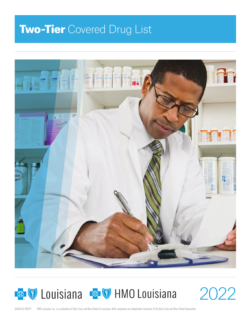# **Two-Tier** Covered Drug List





2022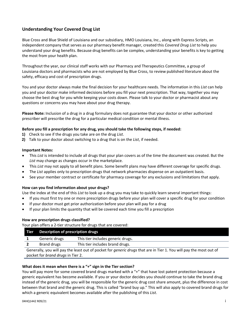# **Understanding Your Covered Drug List**

Blue Cross and Blue Shield of Louisiana and our subsidiary, HMO Louisiana, Inc., along with Express Scripts, an independent company that serves as our pharmacy benefit manager, created this *Covered Drug List* to help you understand your drug benefits. Because drug benefits can be complex, understanding your benefits is key to getting the most from your health plan.

Throughout the year, our clinical staff works with our Pharmacy and Therapeutics Committee, a group of Louisiana doctors and pharmacists who are not employed by Blue Cross, to review published literature about the safety, efficacy and cost of prescription drugs.

You and your doctor always make the final decision for your healthcare needs. The information in this *List* can help you and your doctor make informed decisions before you fill your next prescription. That way, together you may choose the best drug for you while keeping your costs down. Please talk to your doctor or pharmacist about any questions or concerns you may have about your drug therapy.

**Please Note:** Inclusion of a drug in a drug formulary does not guarantee that your doctor or other authorized prescriber will prescribe the drug for a particular medical condition or mental illness.

## **Before you fill a prescription for any drug, you should take the following steps, if needed:**

- **1)** Check to see if the drugs you take are on the drug *List*.
- **2)** Talk to your doctor about switching to a drug that is on the *List*, if needed.

#### **Important Notes:**

- This *List* is intended to include all drugs that your plan covers as of the time the document was created. But the *List* may change as changes occur in the marketplace.
- This *List* may not apply to all benefit plans. Some benefit plans may have different coverage for specific drugs.
- The *List* applies only to prescription drugs that network pharmacies dispense on an outpatient basis.
- See your member contract or certificate for pharmacy coverage for any exclusions and limitations that apply.

#### **How can you find information about your drugs?**

Use the index at the end of this *List* to look up a drug you may take to quickly learn several important things:

- If you must first try one or more prescription drugs before your plan will cover a specific drug for your condition
- If your doctor must get prior authorization before your plan will pay for a drug
- If your plan limits the quantity that will be covered each time you fill a prescription

#### **How are prescription drugs classified?**

Your plan offers a 2‐tier structure for drugs that are covered:

| <b>Tier</b>                                                                                                               | Description of prescription drugs |                                   |  |
|---------------------------------------------------------------------------------------------------------------------------|-----------------------------------|-----------------------------------|--|
|                                                                                                                           | Generic drugs                     | This tier includes generic drugs. |  |
|                                                                                                                           | Brand drugs                       | This tier includes brand drugs.   |  |
| Generally, you will pay the least out of pocket for <i>generic drugs</i> that are in Tier 1. You will pay the most out of |                                   |                                   |  |

pocket for *brand drugs* in Tier 2.

# **What does it mean when there is a "+" sign in the Tier section?**

You will pay more for some covered brand drugs marked with a "+" that have lost patent protection because a generic equivalent has become available. If you or your doctor decides you should continue to take the brand drug instead of the generic drug, you will be responsible for the generic drug cost share amount, plus the difference in cost between that brand and the generic drug. This is called "brand buy up." This will also apply to covered brand drugs for which a generic equivalent becomes available after the publishing of this *List*.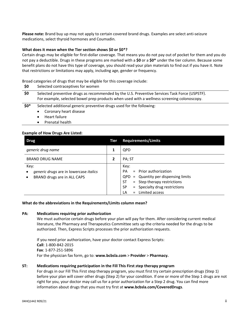**Please note:** Brand buy up may not apply to certain covered brand drugs. Examples are select anti‐seizure medications, select thyroid hormones and Coumadin.

## **What does it mean when the Tier section shows \$0 or \$0\*?**

Certain drugs may be eligible for first‐dollar coverage. That means you do not pay out of pocket for them and you do not pay a deductible. Drugs in these programs are marked with a **\$0** or a **\$0\*** under the tier column. Because some benefit plans do not have this type of coverage, you should read your plan materials to find out if you have it. Note that restrictions or limitations may apply, including age, gender or frequency.

Broad categories of drugs that may be eligible for this coverage include:

| \$0   | Selected contraceptives for women                                                                                                                                                           |
|-------|---------------------------------------------------------------------------------------------------------------------------------------------------------------------------------------------|
| \$0   | Selected preventive drugs as recommended by the U.S. Preventive Services Task Force (USPSTF).<br>For example, selected bowel prep products when used with a wellness screening colonoscopy. |
| $$0*$ | Selected additional generic preventive drugs used for the following:<br>Coronary heart disease<br>$\bullet$<br>$\bullet$ Heart failure                                                      |

• Prenatal health

## **Example of How Drugs Are Listed:**

| <b>Drug</b>                                                                                                           | Tier | <b>Requirements/Limits</b>                                                                                                                                                                                     |  |
|-----------------------------------------------------------------------------------------------------------------------|------|----------------------------------------------------------------------------------------------------------------------------------------------------------------------------------------------------------------|--|
| generic drug name                                                                                                     |      | <b>QPD</b>                                                                                                                                                                                                     |  |
| <b>BRAND DRUG NAME</b>                                                                                                |      | PA; ST                                                                                                                                                                                                         |  |
| Key:<br><i>generic drugs</i> are in lowercase <i>italics</i><br>$\bullet$<br>BRAND drugs are in ALL CAPS<br>$\bullet$ |      | Key:<br>$=$ Prior authorization<br><b>PA</b><br>= Quantity per dispensing limits<br>QPD.<br>= Step therapy restrictions<br><b>ST</b><br><b>SP</b><br>= Specialty drug restrictions<br>$=$ Limited access<br>LA |  |

#### **What do the abbreviations in the Requirements/Limits column mean?**

## **PA: Medications requiring prior authorization**

We must authorize certain drugs before your plan will pay for them. After considering current medical literature, the Pharmacy and Therapeutics Committee sets up the criteria needed for the drugs to be authorized. Then, Express Scripts processes the prior authorization requests.

If you need prior authorization, have your doctor contact Express Scripts: **Call**: 1‐800‐842‐2015  **Fax**: 1‐877‐251‐5896 For the physician fax form, go to: **www.bcbsla.com** > **Provider** > **Pharmacy.**

## **ST: Medications requiring participation in the Fill This First** *s***tep therapy program**

For drugs in our Fill This First step therapy program, you must first try certain prescription drugs (Step 1) before your plan will cover other drugs (Step 2) for your condition. If one or more of the Step 1 drugs are not right for you, your doctor may call us for a prior authorization for a Step 2 drug. You can find more information about drugs that you must try first at **www.bcbsla.com/CoveredDrugs**.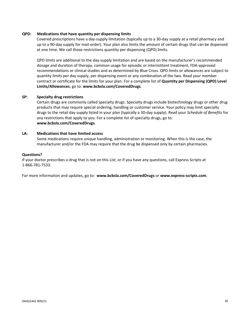# **QPD: Medications that have quantity per dispensing limits**

Covered prescriptions have a day‐supply limitation (typically up to a 30‐day supply at a retail pharmacy and up to a 90‐day supply for mail‐order). Your plan also limits the amount of certain drugs that can be dispensed at one time. We call those restrictions quantity per dispensing (QPD) limits.

QPD limits are additional to the day‐supply limitation and are based on the manufacturer's recommended dosage and duration of therapy, common usage for episodic or intermittent treatment, FDA‐approved recommendations or clinical studies and as determined by Blue Cross. QPD limits or allowances are subject to quantity limits per day supply, per dispensing event or any combination of the two. Read your member contract or certificate for the limits for your plan. For a complete list of **Quantity per Dispensing (QPD) Level Limits/Allowances**, go to: **www.bcbsla.com/CoveredDrugs**.

# **SP: Specialty drug restrictions**

Certain drugs are commonly called specialty drugs. Specialty drugs include biotechnology drugs or other drug products that may require special ordering, handling or customer service. Your policy may limit specialty drugs to the retail day supply listed in your plan (typically a 30‐day supply). Read your *Schedule of Benefits* for any restrictions that apply to you. For a complete list of specialty drugs, go to: **www.bcbsla.com/CoveredDrugs**.

# **LA: Medications that have limited access**

Some medications require unique handling, administration or monitoring. When this is the case, the manufacturer and/or the FDA may require that the drug be dispensed only by certain pharmacies.

#### **Questions?**

If your doctor prescribes a drug that is not on this *List*, or if you have any questions, call Express Scripts at 1‐866‐781‐7533.

For more information and updates, go to: **www.bcbsla.com/CoveredDrugs** or **www.express‐scripts.com**.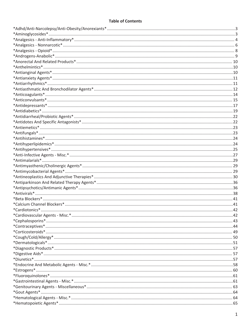# **Table of Contents**

| $*Contraceptives*44$ |  |
|----------------------|--|
|                      |  |
|                      |  |
|                      |  |
|                      |  |
|                      |  |
| $*Divretics*157$     |  |
|                      |  |
| $*Estrogens*160$     |  |
|                      |  |
|                      |  |
|                      |  |
|                      |  |
|                      |  |
|                      |  |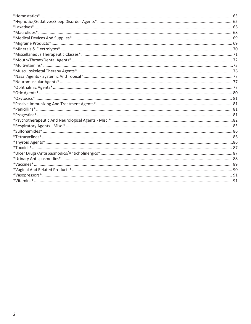| $* Progressins*181$ |  |
|---------------------|--|
|                     |  |
|                     |  |
|                     |  |
|                     |  |
|                     |  |
|                     |  |
|                     |  |
|                     |  |
|                     |  |
|                     |  |
|                     |  |
|                     |  |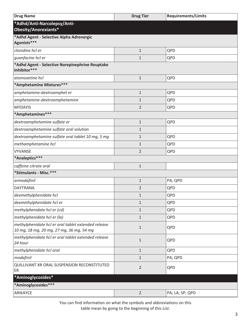<span id="page-6-0"></span>

| <b>Drug Name</b>                                                                                | <b>Drug Tier</b> | <b>Requirements/Limits</b> |  |
|-------------------------------------------------------------------------------------------------|------------------|----------------------------|--|
| *Adhd/Anti-Narcolepsy/Anti-<br>Obesity/Anorexiants*                                             |                  |                            |  |
| *Adhd Agent - Selective Alpha Adrenergic<br>Agonists***                                         |                  |                            |  |
| clonidine hcl er                                                                                | $\mathbf{1}$     | QPD                        |  |
| guanfacine hcl er                                                                               | $\mathbf{1}$     | QPD                        |  |
| *Adhd Agent - Selective Norepinephrine Reuptake<br>Inhibitor***                                 |                  |                            |  |
| atomoxetine hcl                                                                                 | $\mathbf{1}$     | QPD                        |  |
| *Amphetamine Mixtures***                                                                        |                  |                            |  |
| amphetamine-dextroamphet er                                                                     | $\mathbf{1}$     | QPD                        |  |
| amphetamine-dextroamphetamine                                                                   | 1                | QPD                        |  |
| <b>MYDAYIS</b>                                                                                  | $\overline{2}$   | QPD                        |  |
| *Amphetamines***                                                                                |                  |                            |  |
| dextroamphetamine sulfate er                                                                    | 1                | QPD                        |  |
| dextroamphetamine sulfate oral solution                                                         | $\mathbf 1$      |                            |  |
| dextroamphetamine sulfate oral tablet 10 mg, 5 mg                                               | 1                | QPD                        |  |
| methamphetamine hcl                                                                             | $\mathbf 1$      | QPD                        |  |
| <b>VYVANSE</b>                                                                                  | $\overline{2}$   | QPD                        |  |
| *Analeptics***                                                                                  |                  |                            |  |
| caffeine citrate oral                                                                           | $\mathbf{1}$     |                            |  |
| *Stimulants - Misc.***                                                                          |                  |                            |  |
| armodafinil                                                                                     | $\mathbf{1}$     | PA; QPD                    |  |
| <b>DAYTRANA</b>                                                                                 | $\overline{2}$   | QPD                        |  |
| dexmethylphenidate hcl                                                                          | $\mathbf{1}$     | QPD                        |  |
| dexmethylphenidate hcl er                                                                       | $\mathbf{1}$     | QPD                        |  |
| methylphenidate hcl er (cd)                                                                     | $\mathbf{1}$     | QPD                        |  |
| methylphenidate hcl er (la)                                                                     | $\mathbf{1}$     | QPD                        |  |
| methylphenidate hcl er oral tablet extended release<br>10 mg, 18 mg, 20 mg, 27 mg, 36 mg, 54 mg | $\mathbf{1}$     | QPD                        |  |
| methylphenidate hcl er oral tablet extended release<br>24 hour                                  | $\mathbf{1}$     | QPD                        |  |
| methylphenidate hcl oral                                                                        | 1                | QPD                        |  |
| modafinil                                                                                       | $\mathbf{1}$     | PA; QPD                    |  |
| QUILLIVANT XR ORAL SUSPENSION RECONSTITUTED<br>ER                                               | $\overline{2}$   | QPD                        |  |
| *Aminoglycosides*                                                                               |                  |                            |  |
| *Aminoglycosides***                                                                             |                  |                            |  |
| ARIKAYCE                                                                                        | $\overline{2}$   | PA; LA; SP; QPD            |  |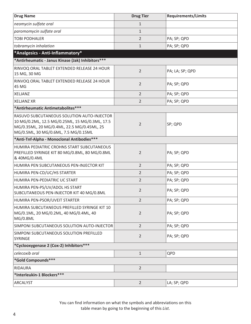<span id="page-7-0"></span>

| <b>Drug Name</b>                                                                                                                                                                   | <b>Drug Tier</b> | <b>Requirements/Limits</b> |  |
|------------------------------------------------------------------------------------------------------------------------------------------------------------------------------------|------------------|----------------------------|--|
| neomycin sulfate oral                                                                                                                                                              | $\mathbf{1}$     |                            |  |
| paromomycin sulfate oral                                                                                                                                                           | $\mathbf{1}$     |                            |  |
| <b>TOBI PODHALER</b>                                                                                                                                                               | $\overline{2}$   | PA; SP; QPD                |  |
| tobramycin inhalation                                                                                                                                                              | $\mathbf{1}$     | PA; SP; QPD                |  |
| *Analgesics - Anti-Inflammatory*                                                                                                                                                   |                  |                            |  |
| *Antirheumatic - Janus Kinase (Jak) Inhibitors***                                                                                                                                  |                  |                            |  |
| RINVOQ ORAL TABLET EXTENDED RELEASE 24 HOUR<br>15 MG, 30 MG                                                                                                                        | $\overline{2}$   | PA; LA; SP; QPD            |  |
| RINVOQ ORAL TABLET EXTENDED RELEASE 24 HOUR<br>45 MG                                                                                                                               | $\overline{2}$   | PA; SP; QPD                |  |
| <b>XELJANZ</b>                                                                                                                                                                     | $\overline{2}$   | PA; SP; QPD                |  |
| <b>XELJANZ XR</b>                                                                                                                                                                  | $\overline{2}$   | PA; SP; QPD                |  |
| *Antirheumatic Antimetabolites***                                                                                                                                                  |                  |                            |  |
| RASUVO SUBCUTANEOUS SOLUTION AUTO-INJECTOR<br>10 MG/0.2ML, 12.5 MG/0.25ML, 15 MG/0.3ML, 17.5<br>MG/0.35ML, 20 MG/0.4ML, 22.5 MG/0.45ML, 25<br>MG/0.5ML, 30 MG/0.6ML, 7.5 MG/0.15ML | $\overline{2}$   | SP; QPD                    |  |
| *Anti-Tnf-Alpha - Monoclonal Antibodies***                                                                                                                                         |                  |                            |  |
| HUMIRA PEDIATRIC CROHNS START SUBCUTANEOUS<br>PREFILLED SYRINGE KIT 80 MG/0.8ML, 80 MG/0.8ML<br>& 40MG/0.4ML                                                                       | $\overline{2}$   | PA; SP; QPD                |  |
| HUMIRA PEN SUBCUTANEOUS PEN-INJECTOR KIT                                                                                                                                           | $\overline{2}$   | PA; SP; QPD                |  |
| HUMIRA PEN-CD/UC/HS STARTER                                                                                                                                                        | $\overline{2}$   | PA; SP; QPD                |  |
| HUMIRA PEN-PEDIATRIC UC START                                                                                                                                                      | $\overline{2}$   | PA; SP; QPD                |  |
| HUMIRA PEN-PS/UV/ADOL HS START<br>SUBCUTANEOUS PEN-INJECTOR KIT 40 MG/0.8ML                                                                                                        | $\overline{2}$   | PA; SP; QPD                |  |
| HUMIRA PEN-PSOR/UVEIT STARTER                                                                                                                                                      | 2                | PA; SP; QPD                |  |
| HUMIRA SUBCUTANEOUS PREFILLED SYRINGE KIT 10<br>MG/0.1ML, 20 MG/0.2ML, 40 MG/0.4ML, 40<br>MG/0.8ML                                                                                 | $\overline{2}$   | PA; SP; QPD                |  |
| SIMPONI SUBCUTANEOUS SOLUTION AUTO-INJECTOR                                                                                                                                        | $\overline{2}$   | PA; SP; QPD                |  |
| SIMPONI SUBCUTANEOUS SOLUTION PREFILLED<br><b>SYRINGE</b>                                                                                                                          | $\overline{2}$   | PA; SP; QPD                |  |
| *Cyclooxygenase 2 (Cox-2) Inhibitors ***                                                                                                                                           |                  |                            |  |
| celecoxib oral                                                                                                                                                                     | $\mathbf{1}$     | QPD                        |  |
| *Gold Compounds***                                                                                                                                                                 |                  |                            |  |
| <b>RIDAURA</b>                                                                                                                                                                     | $\overline{2}$   |                            |  |
| *Interleukin-1 Blockers***                                                                                                                                                         |                  |                            |  |
| ARCALYST                                                                                                                                                                           | $\overline{2}$   | LA; SP; QPD                |  |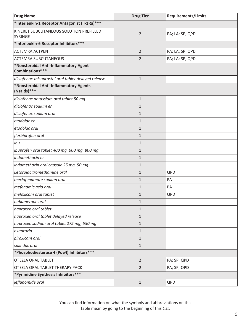| <b>Drug Name</b>                                          | <b>Drug Tier</b> | <b>Requirements/Limits</b> |  |
|-----------------------------------------------------------|------------------|----------------------------|--|
| *Interleukin-1 Receptor Antagonist (Il-1Ra) ***           |                  |                            |  |
| KINERET SUBCUTANEOUS SOLUTION PREFILLED<br><b>SYRINGE</b> | $\overline{2}$   | PA; LA; SP; QPD            |  |
| *Interleukin-6 Receptor Inhibitors ***                    |                  |                            |  |
| <b>ACTEMRA ACTPEN</b>                                     | $\overline{2}$   | PA; LA; SP; QPD            |  |
| <b>ACTEMRA SUBCUTANEOUS</b>                               | 2                | PA; LA; SP; QPD            |  |
| *Nonsteroidal Anti-Inflammatory Agent<br>Combinations***  |                  |                            |  |
| diclofenac-misoprostol oral tablet delayed release        | $\mathbf{1}$     |                            |  |
| *Nonsteroidal Anti-Inflammatory Agents<br>(Nsaids)***     |                  |                            |  |
| diclofenac potassium oral tablet 50 mg                    | $\mathbf{1}$     |                            |  |
| diclofenac sodium er                                      | 1                |                            |  |
| diclofenac sodium oral                                    | 1                |                            |  |
| etodolac er                                               | 1                |                            |  |
| etodolac oral                                             | 1                |                            |  |
| flurbiprofen oral                                         | 1                |                            |  |
| ibu                                                       | 1                |                            |  |
| ibuprofen oral tablet 400 mg, 600 mg, 800 mg              | $\mathbf{1}$     |                            |  |
| indomethacin er                                           | 1                |                            |  |
| indomethacin oral capsule 25 mg, 50 mg                    | $\mathbf{1}$     |                            |  |
| ketorolac tromethamine oral                               | 1                | QPD                        |  |
| meclofenamate sodium oral                                 | $\mathbf{1}$     | PA                         |  |
| mefenamic acid oral                                       | 1                | PA                         |  |
| meloxicam oral tablet                                     | $\mathbf{1}$     | QPD                        |  |
| nabumetone oral                                           | $\mathbf{1}$     |                            |  |
| naproxen oral tablet                                      | 1                |                            |  |
| naproxen oral tablet delayed release                      | $\mathbf{1}$     |                            |  |
| naproxen sodium oral tablet 275 mg, 550 mg                | $\mathbf{1}$     |                            |  |
| oxaprozin                                                 | $\mathbf{1}$     |                            |  |
| piroxicam oral                                            | $\mathbf{1}$     |                            |  |
| sulindac oral                                             | $\mathbf{1}$     |                            |  |
| *Phosphodiesterase 4 (Pde4) Inhibitors ***                |                  |                            |  |
| <b>OTEZLA ORAL TABLET</b>                                 | $\overline{2}$   | PA; SP; QPD                |  |
| OTEZLA ORAL TABLET THERAPY PACK                           | $\overline{2}$   | PA; SP; QPD                |  |
| *Pyrimidine Synthesis Inhibitors***                       |                  |                            |  |
| leflunomide oral                                          | $\mathbf{1}$     | QPD                        |  |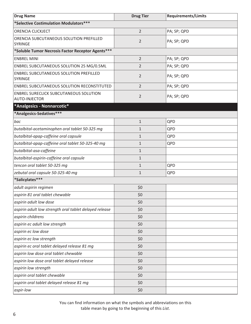<span id="page-9-0"></span>

| <b>Drug Name</b>                                               | <b>Drug Tier</b> | <b>Requirements/Limits</b> |  |
|----------------------------------------------------------------|------------------|----------------------------|--|
| *Selective Costimulation Modulators***                         |                  |                            |  |
| ORENCIA CLICKJECT                                              | $\overline{2}$   | PA; SP; QPD                |  |
| ORENCIA SUBCUTANEOUS SOLUTION PREFILLED<br>SYRINGE             | $\overline{2}$   | PA; SP; QPD                |  |
| *Soluble Tumor Necrosis Factor Receptor Agents***              |                  |                            |  |
| <b>ENBREL MINI</b>                                             | $\overline{2}$   | PA; SP; QPD                |  |
| ENBREL SUBCUTANEOUS SOLUTION 25 MG/0.5ML                       | $\overline{2}$   | PA; SP; QPD                |  |
| ENBREL SUBCUTANEOUS SOLUTION PREFILLED<br>SYRINGE              | $\overline{2}$   | PA; SP; QPD                |  |
| ENBREL SUBCUTANEOUS SOLUTION RECONSTITUTED                     | $\overline{2}$   | PA; SP; QPD                |  |
| ENBREL SURECLICK SUBCUTANEOUS SOLUTION<br><b>AUTO-INJECTOR</b> | $\overline{2}$   | PA; SP; QPD                |  |
| *Analgesics - Nonnarcotic*                                     |                  |                            |  |
| *Analgesics-Sedatives***                                       |                  |                            |  |
| bac                                                            | $\mathbf{1}$     | QPD                        |  |
| butalbital-acetaminophen oral tablet 50-325 mg                 | 1                | QPD                        |  |
| butalbital-apap-caffeine oral capsule                          | 1                | QPD                        |  |
| butalbital-apap-caffeine oral tablet 50-325-40 mg              | 1                | QPD                        |  |
| butalbital-asa-caffeine                                        | $\mathbf{1}$     |                            |  |
| butalbital-aspirin-caffeine oral capsule                       | $\mathbf{1}$     |                            |  |
| tencon oral tablet 50-325 mg                                   | $\mathbf{1}$     | QPD                        |  |
| zebutal oral capsule 50-325-40 mg                              | $\mathbf{1}$     | QPD                        |  |
| *Salicylates***                                                |                  |                            |  |
| adult aspirin regimen                                          | \$0              |                            |  |
| aspirin 81 oral tablet chewable                                | \$0              |                            |  |
| aspirin adult low dose                                         | \$0              |                            |  |
| aspirin adult low strength oral tablet delayed release         | \$0              |                            |  |
| aspirin childrens                                              | \$0              |                            |  |
| aspirin ec adult low strength                                  | \$0              |                            |  |
| aspirin ec low dose                                            | \$0              |                            |  |
| aspirin ec low strength                                        | \$0              |                            |  |
| aspirin ec oral tablet delayed release 81 mg                   | \$0              |                            |  |
| aspirin low dose oral tablet chewable                          | \$0              |                            |  |
| aspirin low dose oral tablet delayed release                   | \$0              |                            |  |
| aspirin low strength                                           | \$0              |                            |  |
| aspirin oral tablet chewable                                   | \$0              |                            |  |
| aspirin oral tablet delayed release 81 mg                      | \$0              |                            |  |
| aspir-low                                                      | \$0              |                            |  |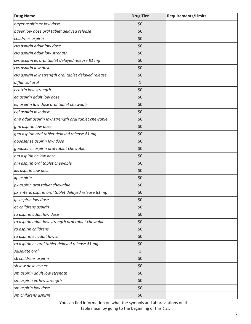| <b>Drug Name</b>                                     | <b>Drug Tier</b> | <b>Requirements/Limits</b> |
|------------------------------------------------------|------------------|----------------------------|
| bayer aspirin ec low dose                            | \$0              |                            |
| bayer low dose oral tablet delayed release           | \$0              |                            |
| childrens aspirin                                    | \$0              |                            |
| cvs aspirin adult low dose                           | \$0              |                            |
| cvs aspirin adult low strength                       | \$0              |                            |
| cvs aspirin ec oral tablet delayed release 81 mg     | \$0              |                            |
| cvs aspirin low dose                                 | \$0              |                            |
| cvs aspirin low strength oral tablet delayed release | \$0              |                            |
| diflunisal oral                                      | $\mathbf{1}$     |                            |
| ecotrin low strength                                 | \$0              |                            |
| eq aspirin adult low dose                            | \$0              |                            |
| eq aspirin low dose oral tablet chewable             | \$0              |                            |
| eql aspirin low dose                                 | \$0              |                            |
| gnp adult aspirin low strength oral tablet chewable  | \$0              |                            |
| gnp aspirin low dose                                 | \$0              |                            |
| gnp aspirin oral tablet delayed release 81 mg        | \$0              |                            |
| goodsense aspirin low dose                           | \$0              |                            |
| goodsense aspirin oral tablet chewable               | \$0              |                            |
| hm aspirin ec low dose                               | \$0              |                            |
| hm aspirin oral tablet chewable                      | \$0              |                            |
| kls aspirin low dose                                 | \$0              |                            |
| kp aspirin                                           | \$0              |                            |
| px aspirin oral tablet chewable                      | \$0              |                            |
| px enteric aspirin oral tablet delayed release 81 mg | \$0              |                            |
| qc aspirin low dose                                  | \$0              |                            |
| qc childrens aspirin                                 | \$0              |                            |
| ra aspirin adult low dose                            | \$0              |                            |
| ra aspirin adult low strength oral tablet chewable   | \$0              |                            |
| ra aspirin childrens                                 | \$0              |                            |
| ra aspirin ec adult low st                           | \$0              |                            |
| ra aspirin ec oral tablet delayed release 81 mg      | \$0              |                            |
| salsalate oral                                       | $\mathbf{1}$     |                            |
| sb childrens aspirin                                 | \$0              |                            |
| sb low dose asa ec                                   | \$0              |                            |
| sm aspirin adult low strength                        | \$0              |                            |
| sm aspirin ec low strength                           | \$0              |                            |
| sm aspirin low dose                                  | \$0              |                            |
| sm childrens aspirin                                 | \$0              |                            |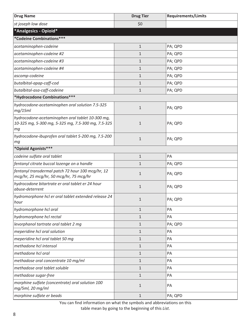<span id="page-11-0"></span>

| <b>Drug Name</b>                                                                                             | <b>Drug Tier</b> | <b>Requirements/Limits</b> |  |  |  |
|--------------------------------------------------------------------------------------------------------------|------------------|----------------------------|--|--|--|
| st joseph low dose                                                                                           | \$0              |                            |  |  |  |
| *Analgesics - Opioid*                                                                                        |                  |                            |  |  |  |
| *Codeine Combinations***                                                                                     |                  |                            |  |  |  |
| acetaminophen-codeine                                                                                        | $\mathbf{1}$     | PA; QPD                    |  |  |  |
| acetaminophen-codeine #2                                                                                     | $\mathbf{1}$     | PA; QPD                    |  |  |  |
| acetaminophen-codeine #3                                                                                     | $\mathbf{1}$     | PA; QPD                    |  |  |  |
| acetaminophen-codeine #4                                                                                     | $\mathbf{1}$     | PA; QPD                    |  |  |  |
| ascomp-codeine                                                                                               | $\mathbf{1}$     | PA; QPD                    |  |  |  |
| butalbital-apap-caff-cod                                                                                     | $\mathbf{1}$     | PA; QPD                    |  |  |  |
| butalbital-asa-caff-codeine                                                                                  | $\mathbf{1}$     | PA; QPD                    |  |  |  |
| *Hydrocodone Combinations***                                                                                 |                  |                            |  |  |  |
| hydrocodone-acetaminophen oral solution 7.5-325<br>mg/15ml                                                   | $\mathbf 1$      | PA; QPD                    |  |  |  |
| hydrocodone-acetaminophen oral tablet 10-300 mg,<br>10-325 mg, 5-300 mg, 5-325 mg, 7.5-300 mg, 7.5-325<br>mg | $\mathbf 1$      | PA; QPD                    |  |  |  |
| hydrocodone-ibuprofen oral tablet 5-200 mg, 7.5-200<br>mg                                                    | $\mathbf{1}$     | PA; QPD                    |  |  |  |
| *Opioid Agonists***                                                                                          |                  |                            |  |  |  |
| codeine sulfate oral tablet                                                                                  | $\mathbf 1$      | PA                         |  |  |  |
| fentanyl citrate buccal lozenge on a handle                                                                  | $\mathbf{1}$     | PA; QPD                    |  |  |  |
| fentanyl transdermal patch 72 hour 100 mcg/hr, 12<br>mcg/hr, 25 mcg/hr, 50 mcg/hr, 75 mcg/hr                 | $\mathbf{1}$     | PA; QPD                    |  |  |  |
| hydrocodone bitartrate er oral tablet er 24 hour<br>abuse-deterrent                                          | $\mathbf{1}$     | PA; QPD                    |  |  |  |
| hydromorphone hcl er oral tablet extended release 24<br>hour                                                 | $\mathbf{1}$     | PA; QPD                    |  |  |  |
| hydromorphone hcl oral                                                                                       | $\mathbf{1}$     | PA                         |  |  |  |
| hydromorphone hcl rectal                                                                                     | $\mathbf{1}$     | PA                         |  |  |  |
| levorphanol tartrate oral tablet 2 mg                                                                        | $\mathbf{1}$     | PA; QPD                    |  |  |  |
| meperidine hcl oral solution                                                                                 | $\mathbf{1}$     | PA                         |  |  |  |
| meperidine hcl oral tablet 50 mg                                                                             | $\mathbf{1}$     | PA                         |  |  |  |
| methadone hcl intensol                                                                                       | $\mathbf{1}$     | PA                         |  |  |  |
| methadone hcl oral                                                                                           | $\mathbf{1}$     | PA                         |  |  |  |
| methadose oral concentrate 10 mg/ml                                                                          | $\mathbf{1}$     | PA                         |  |  |  |
| methadose oral tablet soluble                                                                                | $\mathbf{1}$     | PA                         |  |  |  |
| methadose sugar-free                                                                                         | $\mathbf{1}$     | PA                         |  |  |  |
| morphine sulfate (concentrate) oral solution 100<br>mg/5ml, 20 mg/ml                                         | $\mathbf{1}$     | PA                         |  |  |  |
| morphine sulfate er beads                                                                                    | $\mathbf{1}$     | PA; QPD                    |  |  |  |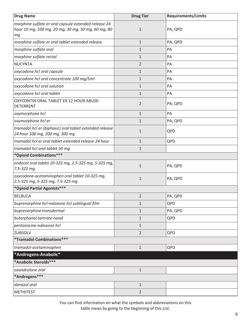<span id="page-12-0"></span>

| <b>Drug Name</b>                                                                                                 | <b>Drug Tier</b> | <b>Requirements/Limits</b> |  |
|------------------------------------------------------------------------------------------------------------------|------------------|----------------------------|--|
| morphine sulfate er oral capsule extended release 24<br>hour 10 mg, 100 mg, 20 mg, 30 mg, 50 mg, 60 mg, 80<br>тg | $\mathbf{1}$     | PA; QPD                    |  |
| morphine sulfate er oral tablet extended release                                                                 | $\mathbf{1}$     | PA; QPD                    |  |
| morphine sulfate oral                                                                                            | 1                | PA                         |  |
| morphine sulfate rectal                                                                                          | $\mathbf{1}$     | PA                         |  |
| <b>NUCYNTA</b>                                                                                                   | $\overline{2}$   | PA                         |  |
| oxycodone hcl oral capsule                                                                                       | $\mathbf{1}$     | PA                         |  |
| oxycodone hcl oral concentrate 100 mg/5ml                                                                        | $\mathbf{1}$     | PA                         |  |
| oxycodone hcl oral solution                                                                                      | $\mathbf{1}$     | PA                         |  |
| oxycodone hcl oral tablet                                                                                        | $\mathbf{1}$     | PA                         |  |
| OXYCONTIN ORAL TABLET ER 12 HOUR ABUSE-<br><b>DETERRENT</b>                                                      | $\overline{2}$   | PA; QPD                    |  |
| oxymorphone hcl                                                                                                  | $\mathbf{1}$     | PA                         |  |
| oxymorphone hcl er                                                                                               | $\mathbf{1}$     | PA; QPD                    |  |
| tramadol hcl er (biphasic) oral tablet extended release<br>24 hour 100 mg, 200 mg, 300 mg                        | $\mathbf{1}$     | QPD                        |  |
| tramadol hcl er oral tablet extended release 24 hour                                                             | $\mathbf{1}$     | QPD                        |  |
| tramadol hcl oral tablet 50 mg                                                                                   | $\mathbf{1}$     |                            |  |
| *Opioid Combinations***                                                                                          |                  |                            |  |
| endocet oral tablet 10-325 mg, 2.5-325 mg, 5-325 mg,<br>7.5-325 mg                                               | $\mathbf{1}$     | PA; QPD                    |  |
| oxycodone-acetaminophen oral tablet 10-325 mg,<br>2.5-325 mg, 5-325 mg, 7.5-325 mg                               | $\mathbf{1}$     | PA; QPD                    |  |
| *Opioid Partial Agonists***                                                                                      |                  |                            |  |
| <b>BELBUCA</b>                                                                                                   | 2                | PA; QPD                    |  |
| buprenorphine hcl-naloxone hcl sublingual film                                                                   | $\mathbf{1}$     | QPD                        |  |
| buprenorphine transdermal                                                                                        | $\mathbf{1}$     | PA; QPD                    |  |
| butorphanol tartrate nasal                                                                                       | $\mathbf{1}$     | QPD                        |  |
| pentazocine-naloxone hcl                                                                                         | $\mathbf{1}$     |                            |  |
| ZUBSOLV                                                                                                          | $\overline{2}$   | QPD                        |  |
| *Tramadol Combinations***                                                                                        |                  |                            |  |
| tramadol-acetaminophen                                                                                           | $\mathbf{1}$     | QPD                        |  |
| *Androgens-Anabolic*                                                                                             |                  |                            |  |
| *Anabolic Steroids***                                                                                            |                  |                            |  |
| oxandrolone oral                                                                                                 | $1\,$            |                            |  |
| *Androgens***                                                                                                    |                  |                            |  |
| danazol oral                                                                                                     | $\mathbf{1}$     |                            |  |
| <b>METHITEST</b>                                                                                                 | $\overline{2}$   |                            |  |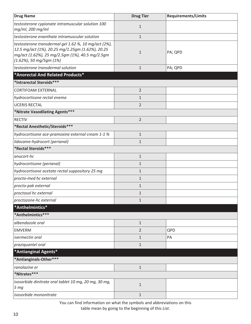<span id="page-13-0"></span>

| <b>Drug Name</b>                                                                                                                                                                           | <b>Drug Tier</b> | <b>Requirements/Limits</b> |
|--------------------------------------------------------------------------------------------------------------------------------------------------------------------------------------------|------------------|----------------------------|
| testosterone cypionate intramuscular solution 100<br>mg/ml, 200 mg/ml                                                                                                                      | $1\,$            |                            |
| testosterone enanthate intramuscular solution                                                                                                                                              | $\mathbf{1}$     |                            |
| testosterone transdermal gel 1.62 %, 10 mg/act (2%),<br>12.5 mg/act (1%), 20.25 mg/1.25gm (1.62%), 20.25<br>mg/act (1.62%), 25 mg/2.5gm (1%), 40.5 mg/2.5gm<br>$(1.62\%)$ , 50 mg/5gm (1%) | $\mathbf{1}$     | PA; QPD                    |
| testosterone transdermal solution                                                                                                                                                          | $1\,$            | PA; QPD                    |
| *Anorectal And Related Products*                                                                                                                                                           |                  |                            |
| *Intrarectal Steroids***                                                                                                                                                                   |                  |                            |
| <b>CORTIFOAM EXTERNAL</b>                                                                                                                                                                  | $\overline{2}$   |                            |
| hydrocortisone rectal enema                                                                                                                                                                | $\mathbf{1}$     |                            |
| <b>UCERIS RECTAL</b>                                                                                                                                                                       | $\overline{2}$   |                            |
| *Nitrate Vasodilating Agents***                                                                                                                                                            |                  |                            |
| <b>RECTIV</b>                                                                                                                                                                              | $\overline{2}$   |                            |
| *Rectal Anesthetic/Steroids***                                                                                                                                                             |                  |                            |
| hydrocortisone ace-pramoxine external cream 1-1 %                                                                                                                                          | $\mathbf{1}$     |                            |
| lidocaine-hydrocort (perianal)                                                                                                                                                             | $\mathbf{1}$     |                            |
| *Rectal Steroids***                                                                                                                                                                        |                  |                            |
| anucort-hc                                                                                                                                                                                 | $1\,$            |                            |
| hydrocortisone (perianal)                                                                                                                                                                  | $\mathbf{1}$     |                            |
| hydrocortisone acetate rectal suppository 25 mg                                                                                                                                            | $\mathbf{1}$     |                            |
| procto-med hc external                                                                                                                                                                     | $\mathbf{1}$     |                            |
| procto-pak external                                                                                                                                                                        | $\mathbf{1}$     |                            |
| proctosol hc external                                                                                                                                                                      | $\mathbf{1}$     |                            |
| proctozone-hc external                                                                                                                                                                     | $\mathbf{1}$     |                            |
| *Anthelmintics*                                                                                                                                                                            |                  |                            |
| *Anthelmintics***                                                                                                                                                                          |                  |                            |
| albendazole oral                                                                                                                                                                           | $1\,$            |                            |
| <b>EMVERM</b>                                                                                                                                                                              | $\overline{2}$   | QPD                        |
| ivermectin oral                                                                                                                                                                            | $\mathbf{1}$     | PA                         |
| praziquantel oral                                                                                                                                                                          | $\mathbf{1}$     |                            |
| *Antianginal Agents*                                                                                                                                                                       |                  |                            |
| *Antianginals-Other***                                                                                                                                                                     |                  |                            |
| ranolazine er                                                                                                                                                                              | $\mathbf{1}$     |                            |
| *Nitrates***                                                                                                                                                                               |                  |                            |
| isosorbide dinitrate oral tablet 10 mg, 20 mg, 30 mg,<br>5 <sub>mg</sub>                                                                                                                   | $1\,$            |                            |
| isosorbide mononitrate                                                                                                                                                                     | $1\,$            |                            |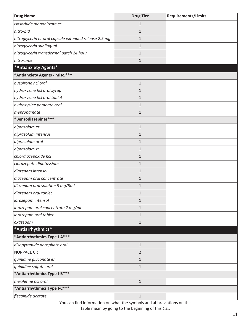<span id="page-14-0"></span>

| <b>Drug Name</b>                                      | <b>Drug Tier</b> | <b>Requirements/Limits</b> |
|-------------------------------------------------------|------------------|----------------------------|
| isosorbide mononitrate er                             | $\mathbf{1}$     |                            |
| nitro-bid                                             | $\mathbf{1}$     |                            |
| nitroglycerin er oral capsule extended release 2.5 mg | $\mathbf{1}$     |                            |
| nitroglycerin sublingual                              | $\mathbf{1}$     |                            |
| nitroglycerin transdermal patch 24 hour               | $\mathbf{1}$     |                            |
| nitro-time                                            | $\mathbf 1$      |                            |
| *Antianxiety Agents*                                  |                  |                            |
| *Antianxiety Agents - Misc.***                        |                  |                            |
| buspirone hcl oral                                    | $\mathbf{1}$     |                            |
| hydroxyzine hcl oral syrup                            | $\mathbf{1}$     |                            |
| hydroxyzine hcl oral tablet                           | $\mathbf{1}$     |                            |
| hydroxyzine pamoate oral                              | $\mathbf{1}$     |                            |
| meprobamate                                           | $\mathbf{1}$     |                            |
| *Benzodiazepines***                                   |                  |                            |
| alprazolam er                                         | $\mathbf{1}$     |                            |
| alprazolam intensol                                   | $\mathbf{1}$     |                            |
| alprazolam oral                                       | $\mathbf{1}$     |                            |
| alprazolam xr                                         | $\mathbf{1}$     |                            |
| chlordiazepoxide hcl                                  | $\mathbf{1}$     |                            |
| clorazepate dipotassium                               | $\mathbf{1}$     |                            |
| diazepam intensol                                     | $\mathbf{1}$     |                            |
| diazepam oral concentrate                             | $\mathbf{1}$     |                            |
| diazepam oral solution 5 mg/5ml                       | $\mathbf{1}$     |                            |
| diazepam oral tablet                                  | $\mathbf 1$      |                            |
| lorazepam intensol                                    | $\mathbf{1}$     |                            |
| lorazepam oral concentrate 2 mg/ml                    | $\mathbf{1}$     |                            |
| lorazepam oral tablet                                 | $\mathbf{1}$     |                            |
| oxazepam                                              | $\mathbf{1}$     |                            |
| *Antiarrhythmics*                                     |                  |                            |
| *Antiarrhythmics Type I-A***                          |                  |                            |
| disopyramide phosphate oral                           | $\mathbf{1}$     |                            |
| <b>NORPACE CR</b>                                     | $\overline{2}$   |                            |
| quinidine gluconate er                                | $\mathbf{1}$     |                            |
| quinidine sulfate oral                                | $\mathbf{1}$     |                            |
| *Antiarrhythmics Type I-B***                          |                  |                            |
| mexiletine hcl oral                                   | $\mathbf 1$      |                            |
| *Antiarrhythmics Type I-C***                          |                  |                            |
| flecainide acetate                                    | $\mathbf 1$      |                            |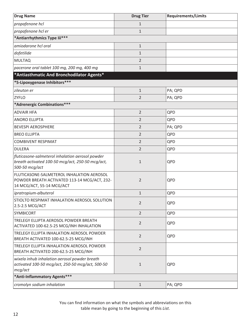<span id="page-15-0"></span>

| <b>Drug Name</b>                                                                                                       | <b>Drug Tier</b> | <b>Requirements/Limits</b> |
|------------------------------------------------------------------------------------------------------------------------|------------------|----------------------------|
| propafenone hcl                                                                                                        | $\mathbf{1}$     |                            |
| propafenone hcl er                                                                                                     | $\mathbf{1}$     |                            |
| *Antiarrhythmics Type lii***                                                                                           |                  |                            |
| amiodarone hcl oral                                                                                                    | $1\,$            |                            |
| dofetilide                                                                                                             | $\mathbf{1}$     |                            |
| <b>MULTAQ</b>                                                                                                          | $\overline{2}$   |                            |
| pacerone oral tablet 100 mg, 200 mg, 400 mg                                                                            | $\mathbf{1}$     |                            |
| *Antiasthmatic And Bronchodilator Agents*                                                                              |                  |                            |
| *5-Lipoxygenase Inhibitors***                                                                                          |                  |                            |
| zileuton er                                                                                                            | $1\,$            | PA; QPD                    |
| <b>ZYFLO</b>                                                                                                           | $\overline{2}$   | PA; QPD                    |
| *Adrenergic Combinations***                                                                                            |                  |                            |
| <b>ADVAIR HFA</b>                                                                                                      | $\overline{2}$   | QPD                        |
| <b>ANORO ELLIPTA</b>                                                                                                   | $\overline{2}$   | QPD                        |
| <b>BEVESPI AEROSPHERE</b>                                                                                              | $\overline{2}$   | PA; QPD                    |
| <b>BREO ELLIPTA</b>                                                                                                    | $\overline{2}$   | QPD                        |
| <b>COMBIVENT RESPIMAT</b>                                                                                              | $\overline{2}$   | QPD                        |
| <b>DULERA</b>                                                                                                          | $\overline{2}$   | QPD                        |
| fluticasone-salmeterol inhalation aerosol powder<br>breath activated 100-50 mcg/act, 250-50 mcg/act,<br>500-50 mcg/act | $\mathbf{1}$     | QPD                        |
| FLUTICASONE-SALMETEROL INHALATION AEROSOL<br>POWDER BREATH ACTIVATED 113-14 MCG/ACT, 232-<br>14 MCG/ACT, 55-14 MCG/ACT | $\overline{2}$   | QPD                        |
| ipratropium-albuterol                                                                                                  | $\mathbf{1}$     | QPD                        |
| STIOLTO RESPIMAT INHALATION AEROSOL SOLUTION<br>2.5-2.5 MCG/ACT                                                        | $\overline{2}$   | QPD                        |
| <b>SYMBICORT</b>                                                                                                       | $\overline{2}$   | QPD                        |
| TRELEGY ELLIPTA AEROSOL POWDER BREATH<br>ACTIVATED 100-62.5-25 MCG/INH INHALATION                                      | $\overline{2}$   | QPD                        |
| TRELEGY ELLIPTA INHALATION AEROSOL POWDER<br>BREATH ACTIVATED 100-62.5-25 MCG/INH                                      | $\overline{2}$   | QPD                        |
| TRELEGY ELLIPTA INHALATION AEROSOL POWDER<br>BREATH ACTIVATED 200-62.5-25 MCG/INH                                      | $\overline{2}$   |                            |
| wixela inhub inhalation aerosol powder breath<br>activated 100-50 mcg/act, 250-50 mcg/act, 500-50<br>mcg/act           | $\mathbf{1}$     | QPD                        |
| *Anti-Inflammatory Agents***                                                                                           |                  |                            |
| cromolyn sodium inhalation                                                                                             | $1\,$            | PA; QPD                    |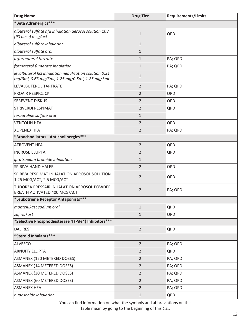| <b>Drug Name</b>                                                                                          | <b>Drug Tier</b> | <b>Requirements/Limits</b> |
|-----------------------------------------------------------------------------------------------------------|------------------|----------------------------|
| *Beta Adrenergics***                                                                                      |                  |                            |
| albuterol sulfate hfa inhalation aerosol solution 108<br>(90 base) mcg/act                                | $1\,$            | QPD                        |
| albuterol sulfate inhalation                                                                              | $\mathbf{1}$     |                            |
| albuterol sulfate oral                                                                                    | $\mathbf{1}$     |                            |
| arformoterol tartrate                                                                                     | $\mathbf{1}$     | PA; QPD                    |
| formoterol fumarate inhalation                                                                            | $\mathbf{1}$     | PA; QPD                    |
| levalbuterol hcl inhalation nebulization solution 0.31<br>mg/3ml, 0.63 mg/3ml, 1.25 mg/0.5ml, 1.25 mg/3ml | $\mathbf{1}$     |                            |
| LEVALBUTEROL TARTRATE                                                                                     | $\overline{2}$   | PA; QPD                    |
| <b>PROAIR RESPICLICK</b>                                                                                  | $\overline{2}$   | QPD                        |
| <b>SEREVENT DISKUS</b>                                                                                    | $\overline{2}$   | QPD                        |
| <b>STRIVERDI RESPIMAT</b>                                                                                 | $\overline{2}$   | QPD                        |
| terbutaline sulfate oral                                                                                  | $\mathbf{1}$     |                            |
| <b>VENTOLIN HFA</b>                                                                                       | $\overline{2}$   | QPD                        |
| <b>XOPENEX HFA</b>                                                                                        | $\overline{2}$   | PA; QPD                    |
| *Bronchodilators - Anticholinergics***                                                                    |                  |                            |
| <b>ATROVENT HFA</b>                                                                                       | $\overline{2}$   | QPD                        |
| <b>INCRUSE ELLIPTA</b>                                                                                    | $\overline{2}$   | QPD                        |
| ipratropium bromide inhalation                                                                            | $\mathbf{1}$     |                            |
| SPIRIVA HANDIHALER                                                                                        | $\overline{2}$   | QPD                        |
| SPIRIVA RESPIMAT INHALATION AEROSOL SOLUTION<br>1.25 MCG/ACT, 2.5 MCG/ACT                                 | $\overline{2}$   | QPD                        |
| TUDORZA PRESSAIR INHALATION AEROSOL POWDER<br>BREATH ACTIVATED 400 MCG/ACT                                | $\overline{2}$   | PA; QPD                    |
| *Leukotriene Receptor Antagonists***                                                                      |                  |                            |
| montelukast sodium oral                                                                                   | $\mathbf{1}$     | QPD                        |
| zafirlukast                                                                                               | $\mathbf{1}$     | QPD                        |
| *Selective Phosphodiesterase 4 (Pde4) Inhibitors ***                                                      |                  |                            |
| <b>DALIRESP</b>                                                                                           | $\overline{2}$   | QPD                        |
| *Steroid Inhalants***                                                                                     |                  |                            |
| <b>ALVESCO</b>                                                                                            | $\overline{2}$   | PA; QPD                    |
| <b>ARNUITY ELLIPTA</b>                                                                                    | $\overline{2}$   | QPD                        |
| ASMANEX (120 METERED DOSES)                                                                               | $\overline{2}$   | PA; QPD                    |
| ASMANEX (14 METERED DOSES)                                                                                | $\overline{2}$   | PA; QPD                    |
| ASMANEX (30 METERED DOSES)                                                                                | $\overline{2}$   | PA; QPD                    |
| ASMANEX (60 METERED DOSES)                                                                                | $\overline{2}$   | PA; QPD                    |
| <b>ASMANEX HFA</b>                                                                                        | $\overline{2}$   | PA; QPD                    |
| budesonide inhalation                                                                                     | $1\,$            | QPD                        |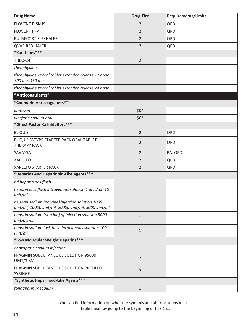<span id="page-17-0"></span>

| <b>Drug Name</b>                                                                                        | <b>Drug Tier</b> | <b>Requirements/Limits</b> |
|---------------------------------------------------------------------------------------------------------|------------------|----------------------------|
| <b>FLOVENT DISKUS</b>                                                                                   | 2                | QPD                        |
| <b>FLOVENT HFA</b>                                                                                      | $\overline{2}$   | QPD                        |
| PULMICORT FLEXHALER                                                                                     | $\overline{2}$   | QPD                        |
| <b>QVAR REDIHALER</b>                                                                                   | 2                | QPD                        |
| *Xanthines***                                                                                           |                  |                            |
| THEO-24                                                                                                 | $\overline{2}$   |                            |
| theophylline                                                                                            | $\mathbf{1}$     |                            |
| theophylline er oral tablet extended release 12 hour<br>300 mg, 450 mg                                  | $\mathbf{1}$     |                            |
| theophylline er oral tablet extended release 24 hour                                                    | $\mathbf{1}$     |                            |
| *Anticoagulants*                                                                                        |                  |                            |
| *Coumarin Anticoagulants***                                                                             |                  |                            |
| jantoven                                                                                                | $$0*$            |                            |
| warfarin sodium oral                                                                                    | $$0*$            |                            |
| *Direct Factor Xa Inhibitors ***                                                                        |                  |                            |
| <b>ELIQUIS</b>                                                                                          | $\overline{2}$   | QPD                        |
| ELIQUIS DVT/PE STARTER PACK ORAL TABLET<br><b>THERAPY PACK</b>                                          | $\overline{2}$   | QPD                        |
| <b>SAVAYSA</b>                                                                                          | $\overline{2}$   | PA; QPD                    |
| <b>XARELTO</b>                                                                                          | $\overline{2}$   | QPD                        |
| <b>XARELTO STARTER PACK</b>                                                                             | $\overline{2}$   | QPD                        |
| *Heparins And Heparinoid-Like Agents***                                                                 |                  |                            |
| bd heparin posiflush                                                                                    | $\mathbf{1}$     |                            |
| heparin lock flush intravenous solution 1 unit/ml, 10<br>unit/ml                                        | $\mathbf{1}$     |                            |
| heparin sodium (porcine) injection solution 1000<br>unit/ml, 10000 unit/ml, 20000 unit/ml, 5000 unit/ml | $\mathbf{1}$     |                            |
| heparin sodium (porcine) pf injection solution 5000<br>unit/0.5ml                                       | $\mathbf{1}$     |                            |
| heparin sodium lock flush intravenous solution 100<br>unit/ml                                           | $\mathbf{1}$     |                            |
| *Low Molecular Weight Heparins***                                                                       |                  |                            |
| enoxaparin sodium injection                                                                             | $\mathbf{1}$     |                            |
| FRAGMIN SUBCUTANEOUS SOLUTION 95000<br>UNIT/3.8ML                                                       | $\overline{2}$   |                            |
| FRAGMIN SUBCUTANEOUS SOLUTION PREFILLED<br>SYRINGE                                                      | $\overline{2}$   |                            |
| *Synthetic Heparinoid-Like Agents***                                                                    |                  |                            |
| fondaparinux sodium                                                                                     | $\mathbf{1}$     |                            |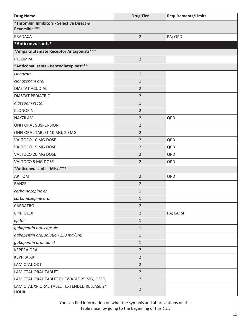<span id="page-18-0"></span>

| <b>Drug Name</b>                                           | <b>Drug Tier</b> | <b>Requirements/Limits</b> |
|------------------------------------------------------------|------------------|----------------------------|
| *Thrombin Inhibitors - Selective Direct &<br>Reversible*** |                  |                            |
| PRADAXA                                                    | $\overline{2}$   | PA; QPD                    |
| *Anticonvulsants*                                          |                  |                            |
| *Ampa Glutamate Receptor Antagonists***                    |                  |                            |
| <b>FYCOMPA</b>                                             | $\overline{2}$   |                            |
| *Anticonvulsants - Benzodiazepines***                      |                  |                            |
| clobazam                                                   | $\mathbf{1}$     |                            |
| clonazepam oral                                            | $\mathbf{1}$     |                            |
| <b>DIASTAT ACUDIAL</b>                                     | $\overline{2}$   |                            |
| <b>DIASTAT PEDIATRIC</b>                                   | $\overline{2}$   |                            |
| diazepam rectal                                            | $\mathbf{1}$     |                            |
| <b>KLONOPIN</b>                                            | $\overline{2}$   |                            |
| NAYZILAM                                                   | $\overline{2}$   | QPD                        |
| <b>ONFI ORAL SUSPENSION</b>                                | $\overline{2}$   |                            |
| ONFI ORAL TABLET 10 MG, 20 MG                              | $\overline{2}$   |                            |
| VALTOCO 10 MG DOSE                                         | $\overline{2}$   | QPD                        |
| VALTOCO 15 MG DOSE                                         | $\overline{2}$   | QPD                        |
| VALTOCO 20 MG DOSE                                         | $\overline{2}$   | QPD                        |
| VALTOCO 5 MG DOSE                                          | $\overline{2}$   | QPD                        |
| *Anticonvulsants - Misc.***                                |                  |                            |
| <b>APTIOM</b>                                              | $\overline{2}$   | QPD                        |
| <b>BANZEL</b>                                              | $\overline{2}$   |                            |
| carbamazepine er                                           | $\mathbf 1$      |                            |
| carbamazepine oral                                         | 1                |                            |
| CARBATROL                                                  | $\overline{2}$   |                            |
| <b>EPIDIOLEX</b>                                           | $\overline{2}$   | PA; LA; SP                 |
| epitol                                                     | $\mathbf{1}$     |                            |
| gabapentin oral capsule                                    | $\mathbf{1}$     |                            |
| gabapentin oral solution 250 mg/5ml                        | $\mathbf 1$      |                            |
| gabapentin oral tablet                                     | $\mathbf{1}$     |                            |
| <b>KEPPRA ORAL</b>                                         | $\overline{2}$   |                            |
| <b>KEPPRA XR</b>                                           | $\overline{2}$   |                            |
| LAMICTAL ODT                                               | $\overline{2}$   |                            |
| LAMICTAL ORAL TABLET                                       | $\overline{2}$   |                            |
| LAMICTAL ORAL TABLET CHEWABLE 25 MG, 5 MG                  | $\overline{2}$   |                            |
| LAMICTAL XR ORAL TABLET EXTENDED RELEASE 24<br><b>HOUR</b> | $\overline{2}$   |                            |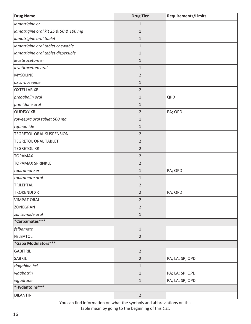| <b>Drug Name</b>                      | <b>Drug Tier</b> | Requirements/Limits |
|---------------------------------------|------------------|---------------------|
| lamotrigine er                        | $\mathbf 1$      |                     |
| lamotrigine oral kit 25 & 50 & 100 mg | $\mathbf{1}$     |                     |
| lamotrigine oral tablet               | $\mathbf 1$      |                     |
| lamotrigine oral tablet chewable      | $\mathbf{1}$     |                     |
| lamotrigine oral tablet dispersible   | $\mathbf{1}$     |                     |
| levetiracetam er                      | $\mathbf{1}$     |                     |
| levetiracetam oral                    | $\mathbf{1}$     |                     |
| <b>MYSOLINE</b>                       | $\overline{2}$   |                     |
| oxcarbazepine                         | $\mathbf{1}$     |                     |
| <b>OXTELLAR XR</b>                    | $\overline{2}$   |                     |
| pregabalin oral                       | $\mathbf{1}$     | QPD                 |
| primidone oral                        | $\mathbf{1}$     |                     |
| <b>QUDEXY XR</b>                      | $\overline{2}$   | PA; QPD             |
| roweepra oral tablet 500 mg           | $\mathbf 1$      |                     |
| rufinamide                            | $\mathbf{1}$     |                     |
| <b>TEGRETOL ORAL SUSPENSION</b>       | $\overline{2}$   |                     |
| <b>TEGRETOL ORAL TABLET</b>           | $\overline{2}$   |                     |
| <b>TEGRETOL-XR</b>                    | $\overline{2}$   |                     |
| <b>TOPAMAX</b>                        | $\overline{2}$   |                     |
| <b>TOPAMAX SPRINKLE</b>               | $\overline{2}$   |                     |
| topiramate er                         | $\mathbf{1}$     | PA; QPD             |
| topiramate oral                       | $\mathbf{1}$     |                     |
| <b>TRILEPTAL</b>                      | $\overline{2}$   |                     |
| <b>TROKENDI XR</b>                    | $\overline{2}$   | PA; QPD             |
| <b>VIMPAT ORAL</b>                    | $\overline{2}$   |                     |
| ZONEGRAN                              | $\overline{2}$   |                     |
| zonisamide oral                       | $\mathbf 1$      |                     |
| *Carbamates***                        |                  |                     |
| felbamate                             | $\mathbf{1}$     |                     |
| <b>FELBATOL</b>                       | $\overline{2}$   |                     |
| *Gaba Modulators***                   |                  |                     |
| <b>GABITRIL</b>                       | $\overline{2}$   |                     |
| SABRIL                                | $\overline{2}$   | PA; LA; SP; QPD     |
| tiagabine hcl                         | $1\,$            |                     |
| vigabatrin                            | $1\,$            | PA; LA; SP; QPD     |
| vigadrone                             | $\mathbf 1$      | PA; LA; SP; QPD     |
| *Hydantoins***                        |                  |                     |
| <b>DILANTIN</b>                       | $\overline{2}$   |                     |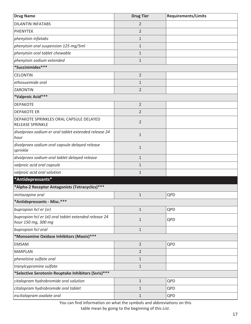<span id="page-20-0"></span>

| <b>Drug Name</b>                                                             | <b>Drug Tier</b> | <b>Requirements/Limits</b> |
|------------------------------------------------------------------------------|------------------|----------------------------|
| <b>DILANTIN INFATABS</b>                                                     | 2                |                            |
| <b>PHENYTEK</b>                                                              | $\overline{2}$   |                            |
| phenytoin infatabs                                                           | $\mathbf{1}$     |                            |
| phenytoin oral suspension 125 mg/5ml                                         | $\mathbf{1}$     |                            |
| phenytoin oral tablet chewable                                               | $\mathbf 1$      |                            |
| phenytoin sodium extended                                                    | $\mathbf 1$      |                            |
| *Succinimides***                                                             |                  |                            |
| <b>CELONTIN</b>                                                              | $\overline{2}$   |                            |
| ethosuximide oral                                                            | $\mathbf{1}$     |                            |
| ZARONTIN                                                                     | $\overline{2}$   |                            |
| *Valproic Acid***                                                            |                  |                            |
| <b>DEPAKOTE</b>                                                              | $\overline{2}$   |                            |
| <b>DEPAKOTE ER</b>                                                           | $\overline{2}$   |                            |
| DEPAKOTE SPRINKLES ORAL CAPSULE DELAYED<br>RELEASE SPRINKLE                  | $\overline{2}$   |                            |
| divalproex sodium er oral tablet extended release 24<br>hour                 | $\mathbf{1}$     |                            |
| divalproex sodium oral capsule delayed release<br>sprinkle                   | $\mathbf{1}$     |                            |
| divalproex sodium oral tablet delayed release                                | $\mathbf{1}$     |                            |
| valproic acid oral capsule                                                   | $\mathbf{1}$     |                            |
| valproic acid oral solution                                                  | $\mathbf{1}$     |                            |
| *Antidepressants*                                                            |                  |                            |
| *Alpha-2 Receptor Antagonists (Tetracyclics)***                              |                  |                            |
| mirtazapine oral                                                             | $\mathbf{1}$     | QPD                        |
| *Antidepressants - Misc.***                                                  |                  |                            |
| bupropion hcl er (sr)                                                        | $1\,$            | QPD                        |
| bupropion hcl er (xl) oral tablet extended release 24<br>hour 150 mg, 300 mg | $\mathbf{1}$     | QPD                        |
| bupropion hcl oral                                                           | $1\,$            |                            |
| *Monoamine Oxidase Inhibitors (Maois) ***                                    |                  |                            |
| <b>EMSAM</b>                                                                 | $\overline{2}$   | QPD                        |
| <b>MARPLAN</b>                                                               | $\overline{2}$   |                            |
| phenelzine sulfate oral                                                      | $\mathbf 1$      |                            |
| tranylcypromine sulfate                                                      | $\mathbf{1}$     |                            |
| *Selective Serotonin Reuptake Inhibitors (Ssris) ***                         |                  |                            |
| citalopram hydrobromide oral solution                                        | $1\,$            | QPD                        |
| citalopram hydrobromide oral tablet                                          | $\mathbf{1}$     | QPD                        |
| escitalopram oxalate oral                                                    | $\mathbf{1}$     | QPD                        |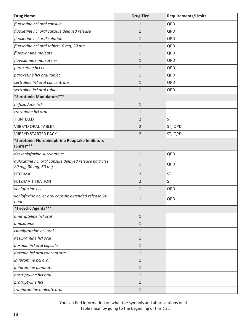| <b>Drug Name</b>                                                             | <b>Drug Tier</b> | <b>Requirements/Limits</b> |
|------------------------------------------------------------------------------|------------------|----------------------------|
| fluoxetine hcl oral capsule                                                  | 1                | QPD                        |
| fluoxetine hcl oral capsule delayed release                                  | 1                | QPD                        |
| fluoxetine hcl oral solution                                                 | $\mathbf{1}$     | QPD                        |
| fluoxetine hcl oral tablet 10 mg, 20 mg                                      | $\mathbf{1}$     | QPD                        |
| fluvoxamine maleate                                                          | $\mathbf{1}$     | QPD                        |
| fluvoxamine maleate er                                                       | $\mathbf{1}$     | QPD                        |
| paroxetine hcl er                                                            | $\mathbf{1}$     | QPD                        |
| paroxetine hcl oral tablet                                                   | $\mathbf{1}$     | QPD                        |
| sertraline hcl oral concentrate                                              | $\mathbf{1}$     | QPD                        |
| sertraline hcl oral tablet                                                   | $\mathbf{1}$     | QPD                        |
| *Serotonin Modulators ***                                                    |                  |                            |
| nefazodone hcl                                                               | $1\,$            |                            |
| trazodone hcl oral                                                           | $\mathbf{1}$     |                            |
| <b>TRINTELLIX</b>                                                            | $\overline{2}$   | <b>ST</b>                  |
| <b>VIIBRYD ORAL TABLET</b>                                                   | $\overline{2}$   | ST; QPD                    |
| <b>VIIBRYD STARTER PACK</b>                                                  | $\overline{2}$   | ST; QPD                    |
| *Serotonin-Norepinephrine Reuptake Inhibitors<br>$(Snris)****$               |                  |                            |
| desvenlafaxine succinate er                                                  | $1\,$            | QPD                        |
| duloxetine hcl oral capsule delayed release particles<br>20 mg, 30 mg, 60 mg | $\mathbf{1}$     | QPD                        |
| FETZIMA                                                                      | $\overline{2}$   | <b>ST</b>                  |
| <b>FETZIMA TITRATION</b>                                                     | $\overline{2}$   | <b>ST</b>                  |
| venlafaxine hcl                                                              | $\mathbf{1}$     | QPD                        |
| venlafaxine hcl er oral capsule extended release 24<br>hour                  | $1\,$            | QPD                        |
| *Tricyclic Agents***                                                         |                  |                            |
| amitriptyline hcl oral                                                       | $\mathbf 1$      |                            |
| amoxapine                                                                    | $\mathbf{1}$     |                            |
| clomipramine hcl oral                                                        | $1\,$            |                            |
| desipramine hcl oral                                                         | $\mathbf{1}$     |                            |
| doxepin hcl oral capsule                                                     | $\mathbf{1}$     |                            |
| doxepin hcl oral concentrate                                                 | $\mathbf{1}$     |                            |
| imipramine hcl oral                                                          | $1\,$            |                            |
| imipramine pamoate                                                           | $\mathbf{1}$     |                            |
| nortriptyline hcl oral                                                       | $\mathbf{1}$     |                            |
| protriptyline hcl                                                            | $\mathbf{1}$     |                            |
| trimipramine maleate oral                                                    | $\mathbf{1}$     |                            |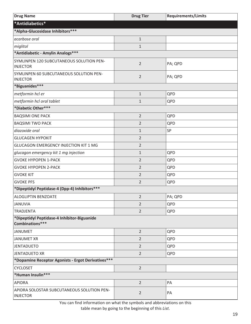<span id="page-22-0"></span>

| <b>Drug Name</b>                                               | <b>Drug Tier</b> | <b>Requirements/Limits</b> |
|----------------------------------------------------------------|------------------|----------------------------|
| *Antidiabetics*                                                |                  |                            |
| *Alpha-Glucosidase Inhibitors ***                              |                  |                            |
| acarbose oral                                                  | $\mathbf{1}$     |                            |
| miglitol                                                       | $\mathbf{1}$     |                            |
| *Antidiabetic - Amylin Analogs***                              |                  |                            |
| SYMLINPEN 120 SUBCUTANEOUS SOLUTION PEN-<br><b>INJECTOR</b>    | $\overline{2}$   | PA; QPD                    |
| SYMLINPEN 60 SUBCUTANEOUS SOLUTION PEN-<br><b>INJECTOR</b>     | $\overline{2}$   | PA; QPD                    |
| *Biguanides***                                                 |                  |                            |
| metformin hcl er                                               | $\mathbf{1}$     | QPD                        |
| metformin hcl oral tablet                                      | $\mathbf{1}$     | QPD                        |
| *Diabetic Other***                                             |                  |                            |
| <b>BAQSIMI ONE PACK</b>                                        | $\overline{2}$   | QPD                        |
| <b>BAQSIMI TWO PACK</b>                                        | 2                | QPD                        |
| diazoxide oral                                                 | $\mathbf{1}$     | SP                         |
| <b>GLUCAGEN HYPOKIT</b>                                        | $\overline{2}$   |                            |
| GLUCAGON EMERGENCY INJECTION KIT 1 MG                          | $\overline{2}$   |                            |
| glucagon emergency kit 1 mg injection                          | $\mathbf{1}$     | QPD                        |
| <b>GVOKE HYPOPEN 1-PACK</b>                                    | $\overline{2}$   | QPD                        |
| <b>GVOKE HYPOPEN 2-PACK</b>                                    | $\overline{2}$   | QPD                        |
| <b>GVOKE KIT</b>                                               | $\overline{2}$   | QPD                        |
| <b>GVOKE PFS</b>                                               | $\overline{2}$   | QPD                        |
| *Dipeptidyl Peptidase-4 (Dpp-4) Inhibitors ***                 |                  |                            |
| ALOGLIPTIN BENZOATE                                            | $\overline{2}$   | PA; QPD                    |
| <b>JANUVIA</b>                                                 | $\overline{2}$   | QPD                        |
| <b>TRADJENTA</b>                                               | $\overline{2}$   | QPD                        |
| *Dipeptidyl Peptidase-4 Inhibitor-Biguanide<br>Combinations*** |                  |                            |
| <b>JANUMET</b>                                                 | $\overline{2}$   | QPD                        |
| <b>JANUMET XR</b>                                              | $\overline{2}$   | QPD                        |
| <b>JENTADUETO</b>                                              | $\overline{2}$   | QPD                        |
| <b>JENTADUETO XR</b>                                           | $\overline{2}$   | QPD                        |
| *Dopamine Receptor Agonists - Ergot Derivatives***             |                  |                            |
| <b>CYCLOSET</b>                                                | $\overline{2}$   |                            |
| *Human Insulin***                                              |                  |                            |
| <b>APIDRA</b>                                                  | $\overline{2}$   | PA                         |
| APIDRA SOLOSTAR SUBCUTANEOUS SOLUTION PEN-<br><b>INJECTOR</b>  | $\overline{2}$   | PA                         |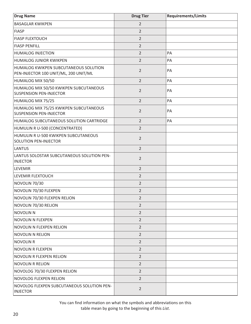| <b>Drug Name</b>                                                               | <b>Drug Tier</b> | <b>Requirements/Limits</b> |
|--------------------------------------------------------------------------------|------------------|----------------------------|
| <b>BASAGLAR KWIKPEN</b>                                                        | $\overline{2}$   |                            |
| <b>FIASP</b>                                                                   | $\overline{2}$   |                            |
| <b>FIASP FLEXTOUCH</b>                                                         | $\overline{2}$   |                            |
| <b>FIASP PENFILL</b>                                                           | $\overline{2}$   |                            |
| <b>HUMALOG INJECTION</b>                                                       | $\overline{2}$   | PA                         |
| <b>HUMALOG JUNIOR KWIKPEN</b>                                                  | $\overline{2}$   | PA                         |
| HUMALOG KWIKPEN SUBCUTANEOUS SOLUTION<br>PEN-INJECTOR 100 UNIT/ML, 200 UNIT/ML | $\overline{2}$   | PA                         |
| HUMALOG MIX 50/50                                                              | $\overline{2}$   | PA                         |
| HUMALOG MIX 50/50 KWIKPEN SUBCUTANEOUS<br><b>SUSPENSION PEN-INJECTOR</b>       | $\overline{2}$   | PA                         |
| HUMALOG MIX 75/25                                                              | $\overline{2}$   | PA                         |
| HUMALOG MIX 75/25 KWIKPEN SUBCUTANEOUS<br><b>SUSPENSION PEN-INJECTOR</b>       | $\overline{2}$   | PA                         |
| HUMALOG SUBCUTANEOUS SOLUTION CARTRIDGE                                        | $\overline{2}$   | PA                         |
| HUMULIN R U-500 (CONCENTRATED)                                                 | $\overline{2}$   |                            |
| HUMULIN R U-500 KWIKPEN SUBCUTANEOUS<br>SOLUTION PEN-INJECTOR                  | $\overline{2}$   |                            |
| <b>LANTUS</b>                                                                  | $\overline{2}$   |                            |
| LANTUS SOLOSTAR SUBCUTANEOUS SOLUTION PEN-<br><b>INJECTOR</b>                  | $\overline{2}$   |                            |
| LEVEMIR                                                                        | $\overline{2}$   |                            |
| LEVEMIR FLEXTOUCH                                                              | $\overline{2}$   |                            |
| NOVOLIN 70/30                                                                  | $\overline{2}$   |                            |
| NOVOLIN 70/30 FLEXPEN                                                          | $\overline{2}$   |                            |
| NOVOLIN 70/30 FLEXPEN RELION                                                   | 2                |                            |
| NOVOLIN 70/30 RELION                                                           | $\overline{2}$   |                            |
| <b>NOVOLIN N</b>                                                               | $\overline{2}$   |                            |
| NOVOLIN N FLEXPEN                                                              | $\overline{2}$   |                            |
| NOVOLIN N FLEXPEN RELION                                                       | $\overline{2}$   |                            |
| <b>NOVOLIN N RELION</b>                                                        | $\overline{2}$   |                            |
| <b>NOVOLIN R</b>                                                               | $\overline{2}$   |                            |
| <b>NOVOLIN R FLEXPEN</b>                                                       | $\overline{2}$   |                            |
| NOVOLIN R FLEXPEN RELION                                                       | $\overline{2}$   |                            |
| <b>NOVOLIN R RELION</b>                                                        | $\overline{2}$   |                            |
| NOVOLOG 70/30 FLEXPEN RELION                                                   | $\overline{2}$   |                            |
| NOVOLOG FLEXPEN RELION                                                         | $\overline{2}$   |                            |
| NOVOLOG FLEXPEN SUBCUTANEOUS SOLUTION PEN-<br><b>INJECTOR</b>                  | $\overline{2}$   |                            |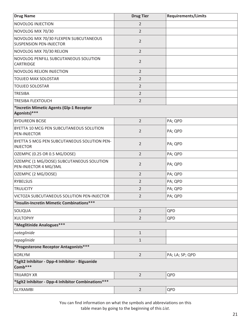| <b>Drug Name</b>                                                         | <b>Drug Tier</b> | <b>Requirements/Limits</b> |
|--------------------------------------------------------------------------|------------------|----------------------------|
| <b>NOVOLOG INJECTION</b>                                                 | $\overline{2}$   |                            |
| NOVOLOG MIX 70/30                                                        | $\overline{2}$   |                            |
| NOVOLOG MIX 70/30 FLEXPEN SUBCUTANEOUS<br><b>SUSPENSION PEN-INJECTOR</b> | $\overline{2}$   |                            |
| NOVOLOG MIX 70/30 RELION                                                 | $\overline{2}$   |                            |
| NOVOLOG PENFILL SUBCUTANEOUS SOLUTION<br>CARTRIDGE                       | $\overline{2}$   |                            |
| <b>NOVOLOG RELION INJECTION</b>                                          | $\overline{2}$   |                            |
| TOUJEO MAX SOLOSTAR                                                      | $\overline{2}$   |                            |
| <b>TOUJEO SOLOSTAR</b>                                                   | $\overline{2}$   |                            |
| <b>TRESIBA</b>                                                           | $\overline{2}$   |                            |
| <b>TRESIBA FLEXTOUCH</b>                                                 | $\overline{2}$   |                            |
| *Incretin Mimetic Agents (Glp-1 Receptor<br>Agonists)***                 |                  |                            |
| <b>BYDUREON BCISE</b>                                                    | $\overline{2}$   | PA; QPD                    |
| BYETTA 10 MCG PEN SUBCUTANEOUS SOLUTION<br><b>PEN-INJECTOR</b>           | $\overline{2}$   | PA; QPD                    |
| BYETTA 5 MCG PEN SUBCUTANEOUS SOLUTION PEN-<br><b>INJECTOR</b>           | $\overline{2}$   | PA; QPD                    |
| OZEMPIC (0.25 OR 0.5 MG/DOSE)                                            | $\overline{2}$   | PA; QPD                    |
| OZEMPIC (1 MG/DOSE) SUBCUTANEOUS SOLUTION<br>PEN-INJECTOR 4 MG/3ML       | $\overline{2}$   | PA; QPD                    |
| OZEMPIC (2 MG/DOSE)                                                      | $\overline{2}$   | PA; QPD                    |
| <b>RYBELSUS</b>                                                          | 2                | PA; QPD                    |
| <b>TRULICITY</b>                                                         | 2                | PA; QPD                    |
| VICTOZA SUBCUTANEOUS SOLUTION PEN-INJECTOR                               | $\overline{2}$   | PA; QPD                    |
| *Insulin-Incretin Mimetic Combinations***                                |                  |                            |
| SOLIQUA                                                                  | $\overline{2}$   | QPD                        |
| <b>XULTOPHY</b>                                                          | $\overline{2}$   | QPD                        |
| *Meglitinide Analogues***                                                |                  |                            |
| nateglinide                                                              | $\mathbf{1}$     |                            |
| repaglinide                                                              | $\mathbf{1}$     |                            |
| *Progesterone Receptor Antagonists ***                                   |                  |                            |
| <b>KORLYM</b>                                                            | $\overline{2}$   | PA; LA; SP; QPD            |
| *Sglt2 Inhibitor - Dpp-4 Inhibitor - Biguanide<br>Comb***                |                  |                            |
| <b>TRIJARDY XR</b>                                                       | $\overline{2}$   | QPD                        |
| *Sglt2 Inhibitor - Dpp-4 Inhibitor Combinations ***                      |                  |                            |
| <b>GLYXAMBI</b>                                                          | $\overline{2}$   | QPD                        |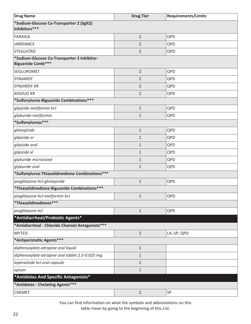<span id="page-25-0"></span>

| <b>Drug Name</b>                                                        | <b>Drug Tier</b> | <b>Requirements/Limits</b> |
|-------------------------------------------------------------------------|------------------|----------------------------|
| *Sodium-Glucose Co-Transporter 2 (Sglt2)<br>Inhibitors***               |                  |                            |
| <b>FARXIGA</b>                                                          | $\overline{2}$   | QPD                        |
| <b>JARDIANCE</b>                                                        | 2                | QPD                        |
| <b>STEGLATRO</b>                                                        | $\overline{2}$   | QPD                        |
| *Sodium-Glucose Co-Transporter 2 Inhibitor-<br><b>Biguanide Comb***</b> |                  |                            |
| SEGLUROMET                                                              | $\overline{2}$   | QPD                        |
| SYNJARDY                                                                | 2                | QPD                        |
| <b>SYNJARDY XR</b>                                                      | 2                | QPD                        |
| <b>XIGDUO XR</b>                                                        | 2                | QPD                        |
| *Sulfonylurea-Biguanide Combinations***                                 |                  |                            |
| glipizide-metformin hcl                                                 | $\mathbf{1}$     | QPD                        |
| glyburide-metformin                                                     | $\mathbf{1}$     | QPD                        |
| *Sulfonylureas***                                                       |                  |                            |
| glimepiride                                                             | $\mathbf{1}$     | QPD                        |
| glipizide er                                                            | 1                | QPD                        |
| glipizide oral                                                          | $\mathbf{1}$     | QPD                        |
| glipizide xl                                                            | 1                | QPD                        |
| glyburide micronized                                                    | $\mathbf{1}$     | QPD                        |
| glyburide oral                                                          | 1                | QPD                        |
| *Sulfonylurea-Thiazolidinedione Combinations***                         |                  |                            |
| pioglitazone hcl-glimepiride                                            | $\mathbf{1}$     | QPD                        |
| *Thiazolidinedione-Biguanide Combinations***                            |                  |                            |
| pioglitazone hcl-metformin hcl                                          | $\mathbf{1}$     | QPD                        |
| *Thiazolidinediones***                                                  |                  |                            |
| pioglitazone hcl                                                        | $\mathbf{1}$     | QPD                        |
| *Antidiarrheal/Probiotic Agents*                                        |                  |                            |
| *Antidiarrheal - Chloride Channel Antagonists***                        |                  |                            |
| <b>MYTESI</b>                                                           | $\overline{2}$   | LA; SP; QPD                |
| *Antiperistaltic Agents***                                              |                  |                            |
| diphenoxylate-atropine oral liquid                                      | $\mathbf{1}$     |                            |
| diphenoxylate-atropine oral tablet 2.5-0.025 mg                         | 1                |                            |
| loperamide hcl oral capsule                                             | 1                |                            |
| opium                                                                   | 1                |                            |
| *Antidotes And Specific Antagonists*                                    |                  |                            |
| *Antidotes - Chelating Agents***                                        |                  |                            |
| <b>CHEMET</b>                                                           | $\overline{2}$   | SP                         |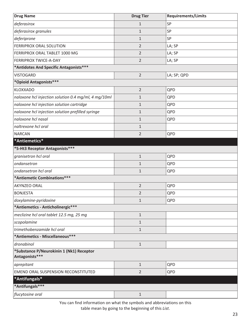<span id="page-26-0"></span>

| <b>Drug Name</b>                                           | <b>Drug Tier</b> | <b>Requirements/Limits</b> |
|------------------------------------------------------------|------------------|----------------------------|
| deferasirox                                                | $\mathbf{1}$     | SP                         |
| deferasirox granules                                       | $\mathbf{1}$     | SP                         |
| deferiprone                                                | $\mathbf{1}$     | SP                         |
| FERRIPROX ORAL SOLUTION                                    | $\overline{2}$   | LA; SP                     |
| FERRIPROX ORAL TABLET 1000 MG                              | $\overline{2}$   | LA; SP                     |
| <b>FERRIPROX TWICE-A-DAY</b>                               | $\overline{2}$   | LA; SP                     |
| *Antidotes And Specific Antagonists***                     |                  |                            |
| <b>VISTOGARD</b>                                           | $\overline{2}$   | LA; SP; QPD                |
| *Opioid Antagonists***                                     |                  |                            |
| <b>KLOXXADO</b>                                            | $\overline{2}$   | QPD                        |
| naloxone hcl injection solution 0.4 mg/ml, 4 mg/10ml       | $\mathbf{1}$     | QPD                        |
| naloxone hcl injection solution cartridge                  | $\mathbf{1}$     | QPD                        |
| naloxone hcl injection solution prefilled syringe          | $\mathbf 1$      | QPD                        |
| naloxone hcl nasal                                         | $\mathbf{1}$     | QPD                        |
| naltrexone hcl oral                                        | $\mathbf{1}$     |                            |
| <b>NARCAN</b>                                              | 2                | QPD                        |
| *Antiemetics*                                              |                  |                            |
| *5-Ht3 Receptor Antagonists***                             |                  |                            |
| granisetron hcl oral                                       | $\mathbf{1}$     | QPD                        |
| ondansetron                                                | $\mathbf{1}$     | QPD                        |
| ondansetron hcl oral                                       | $\mathbf{1}$     | QPD                        |
| *Antiemetic Combinations***                                |                  |                            |
| AKYNZEO ORAL                                               | $\overline{2}$   | QPD                        |
| <b>BONJESTA</b>                                            | $\overline{2}$   | QPD                        |
| doxylamine-pyridoxine                                      | $\mathbf{1}$     | QPD                        |
| *Antiemetics - Anticholinergic***                          |                  |                            |
| meclizine hcl oral tablet 12.5 mg, 25 mg                   | $\mathbf{1}$     |                            |
| scopolamine                                                | $\mathbf{1}$     |                            |
| trimethobenzamide hcl oral                                 | $\mathbf{1}$     |                            |
| *Antiemetics - Miscellaneous***                            |                  |                            |
| dronabinol                                                 | $\mathbf{1}$     |                            |
| *Substance P/Neurokinin 1 (Nk1) Receptor<br>Antagonists*** |                  |                            |
| aprepitant                                                 | $\mathbf{1}$     | QPD                        |
| EMEND ORAL SUSPENSION RECONSTITUTED                        | $\overline{2}$   | QPD                        |
| *Antifungals*                                              |                  |                            |
| *Antifungals***                                            |                  |                            |
| flucytosine oral                                           | $\mathbf{1}$     |                            |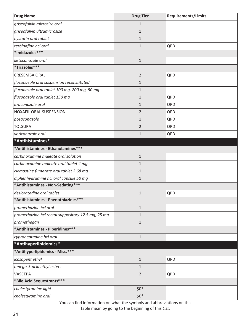<span id="page-27-0"></span>

| <b>Drug Name</b>                                   | <b>Drug Tier</b> | <b>Requirements/Limits</b> |
|----------------------------------------------------|------------------|----------------------------|
| griseofulvin microsize oral                        | $\mathbf{1}$     |                            |
| griseofulvin ultramicrosize                        | 1                |                            |
| nystatin oral tablet                               | $1\,$            |                            |
| terbinafine hcl oral                               | $\mathbf{1}$     | QPD                        |
| *Imidazoles***                                     |                  |                            |
| ketoconazole oral                                  | $1\,$            |                            |
| *Triazoles***                                      |                  |                            |
| <b>CRESEMBA ORAL</b>                               | $\overline{2}$   | QPD                        |
| fluconazole oral suspension reconstituted          | $\mathbf{1}$     |                            |
| fluconazole oral tablet 100 mg, 200 mg, 50 mg      | $\mathbf{1}$     |                            |
| fluconazole oral tablet 150 mg                     | $\mathbf{1}$     | QPD                        |
| itraconazole oral                                  | $\mathbf{1}$     | QPD                        |
| NOXAFIL ORAL SUSPENSION                            | $\overline{2}$   | QPD                        |
| posaconazole                                       | $\mathbf{1}$     | QPD                        |
| <b>TOLSURA</b>                                     | $\overline{2}$   | QPD                        |
| voriconazole oral                                  | $\mathbf{1}$     | QPD                        |
| *Antihistamines*                                   |                  |                            |
| *Antihistamines - Ethanolamines***                 |                  |                            |
| carbinoxamine maleate oral solution                | $1\,$            |                            |
| carbinoxamine maleate oral tablet 4 mg             | $\mathbf{1}$     |                            |
| clemastine fumarate oral tablet 2.68 mg            | $1\,$            |                            |
| diphenhydramine hcl oral capsule 50 mg             | $\mathbf{1}$     |                            |
| *Antihistamines - Non-Sedating***                  |                  |                            |
| desloratadine oral tablet                          | $\mathbf{1}$     | QPD                        |
| *Antihistamines - Phenothiazines***                |                  |                            |
| promethazine hcl oral                              | $1\,$            |                            |
| promethazine hcl rectal suppository 12.5 mg, 25 mg | 1                |                            |
| promethegan                                        | $1\,$            |                            |
| *Antihistamines - Piperidines***                   |                  |                            |
| cyproheptadine hcl oral                            | $1\,$            |                            |
| *Antihyperlipidemics*                              |                  |                            |
| *Antihyperlipidemics - Misc.***                    |                  |                            |
| icosapent ethyl                                    | $\mathbf{1}$     | QPD                        |
| omega-3-acid ethyl esters                          | $1\,$            |                            |
| VASCEPA                                            | $\overline{2}$   | QPD                        |
| *Bile Acid Sequestrants***                         |                  |                            |
| cholestyramine light                               | $$0*$            |                            |
| cholestyramine oral                                | $$0^*$           |                            |

You can find information on what the symbols and abbreviations on this

table mean by going to the beginning of this *List*.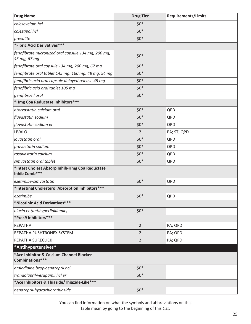<span id="page-28-0"></span>

| <b>Drug Name</b>                                                    | <b>Drug Tier</b> | <b>Requirements/Limits</b> |
|---------------------------------------------------------------------|------------------|----------------------------|
| colesevelam hcl                                                     | $$0*$            |                            |
| colestipol hcl                                                      | $$0*$            |                            |
| prevalite                                                           | $$0^*$           |                            |
| *Fibric Acid Derivatives***                                         |                  |                            |
| fenofibrate micronized oral capsule 134 mg, 200 mg,<br>43 mg, 67 mg | $$0*$            |                            |
| fenofibrate oral capsule 134 mg, 200 mg, 67 mg                      | $$0*$            |                            |
| fenofibrate oral tablet 145 mg, 160 mg, 48 mg, 54 mg                | $$0*$            |                            |
| fenofibric acid oral capsule delayed release 45 mg                  | $$0*$            |                            |
| fenofibric acid oral tablet 105 mg                                  | $$0*$            |                            |
| gemfibrozil oral                                                    | $$0*$            |                            |
| *Hmg Coa Reductase Inhibitors***                                    |                  |                            |
| atorvastatin calcium oral                                           | $$0*$            | QPD                        |
| fluvastatin sodium                                                  | $$0*$            | QPD                        |
| fluvastatin sodium er                                               | $$0*$            | QPD                        |
| <b>LIVALO</b>                                                       | 2                | PA; ST; QPD                |
| lovastatin oral                                                     | $$0*$            | QPD                        |
| pravastatin sodium                                                  | $$0*$            | QPD                        |
| rosuvastatin calcium                                                | $$0*$            | QPD                        |
| simvastatin oral tablet                                             | $$0*$            | QPD                        |
| *Intest Cholest Absorp Inhib-Hmg Coa Reductase<br>Inhib Comb***     |                  |                            |
| ezetimibe-simvastatin                                               | $$0*$            | QPD                        |
| *Intestinal Cholesterol Absorption Inhibitors***                    |                  |                            |
| ezetimibe                                                           | $$0*$            | QPD                        |
| *Nicotinic Acid Derivatives***                                      |                  |                            |
| niacin er (antihyperlipidemic)                                      | $$0*$            |                            |
| *Pcsk9 Inhibitors***                                                |                  |                            |
| <b>REPATHA</b>                                                      | $\overline{2}$   | PA; QPD                    |
| REPATHA PUSHTRONEX SYSTEM                                           | 2                | PA; QPD                    |
| REPATHA SURECLICK                                                   | $\overline{2}$   | PA; QPD                    |
| *Antihypertensives*                                                 |                  |                            |
| *Ace Inhibitor & Calcium Channel Blocker<br>Combinations***         |                  |                            |
| amlodipine besy-benazepril hcl                                      | $$0*$            |                            |
| trandolapril-verapamil hcl er                                       | $$0*$            |                            |
| *Ace Inhibitors & Thiazide/Thiazide-Like***                         |                  |                            |
| benazepril-hydrochlorothiazide                                      | $$0*$            |                            |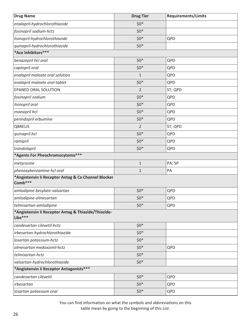| <b>Drug Name</b>                                               | <b>Drug Tier</b> | <b>Requirements/Limits</b> |
|----------------------------------------------------------------|------------------|----------------------------|
| enalapril-hydrochlorothiazide                                  | $$0*$            |                            |
| fosinopril sodium-hctz                                         | $$0*$            |                            |
| lisinopril-hydrochlorothiazide                                 | $$0*$            | QPD                        |
| quinapril-hydrochlorothiazide                                  | $$0*$            |                            |
| *Ace Inhibitors***                                             |                  |                            |
| benazepril hcl oral                                            | $$0*$            | QPD                        |
| captopril oral                                                 | $$0*$            | QPD                        |
| enalapril maleate oral solution                                | $\mathbf{1}$     | QPD                        |
| enalapril maleate oral tablet                                  | $$0*$            | QPD                        |
| EPANED ORAL SOLUTION                                           | $\overline{2}$   | ST; QPD                    |
| fosinopril sodium                                              | $$0^*$           | QPD                        |
| lisinopril oral                                                | $$0*$            | QPD                        |
| moexipril hcl                                                  | $$0*$            | QPD                        |
| perindopril erbumine                                           | $$0^*$           | QPD                        |
| QBRELIS                                                        | $\overline{2}$   | ST; QPD                    |
| quinapril hcl                                                  | $$0*$            | QPD                        |
| ramipril                                                       | $$0*$            | QPD                        |
| trandolapril                                                   | $$0*$            | QPD                        |
| *Agents For Pheochromocytoma***                                |                  |                            |
| metyrosine                                                     | $1\,$            | PA; SP                     |
| phenoxybenzamine hcl oral                                      | $\mathbf{1}$     | PA                         |
| *Angiotensin li Receptor Antag & Ca Channel Blocker<br>Comb*** |                  |                            |
| amlodipine besylate-valsartan                                  | $$0*$            | QPD                        |
| amlodipine-olmesartan                                          | $$0*$            | QPD                        |
| telmisartan-amlodipine                                         | $$0*$            | QPD                        |
| *Angiotensin li Receptor Antag & Thiazide/Thiazide-<br>Like*** |                  |                            |
| candesartan cilexetil-hctz                                     | $$0*$            |                            |
| irbesartan-hydrochlorothiazide                                 | $$0^*$           |                            |
| losartan potassium-hctz                                        | $$0*$            |                            |
| olmesartan medoxomil-hctz                                      | $$0^*$           | QPD                        |
| telmisartan-hctz                                               | $$0*$            |                            |
| valsartan-hydrochlorothiazide                                  | $$0^*$           |                            |
| *Angiotensin li Receptor Antagonists***                        |                  |                            |
| candesartan cilexetil                                          | $$0^*$           | QPD                        |
| irbesartan                                                     | $$0*$            | QPD                        |
| losartan potassium oral                                        | $$0^*$           | QPD                        |

You can find information on what the symbols and abbreviations on this

table mean by going to the beginning of this *List*.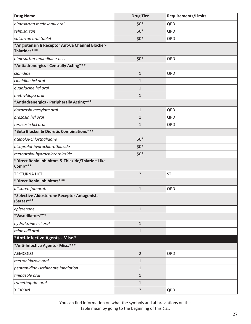<span id="page-30-0"></span>

| <b>Drug Name</b>                                                 | <b>Drug Tier</b> | <b>Requirements/Limits</b> |
|------------------------------------------------------------------|------------------|----------------------------|
| olmesartan medoxomil oral                                        | $$0*$            | QPD                        |
| telmisartan                                                      | $$0*$            | QPD                        |
| valsartan oral tablet                                            | $$0*$            | QPD                        |
| *Angiotensin li Receptor Ant-Ca Channel Blocker-<br>Thiazides*** |                  |                            |
| olmesartan-amlodipine-hctz                                       | $$0*$            | QPD                        |
| *Antiadrenergics - Centrally Acting***                           |                  |                            |
| clonidine                                                        | $\mathbf 1$      | QPD                        |
| clonidine hcl oral                                               | $\mathbf 1$      |                            |
| guanfacine hcl oral                                              | $\mathbf 1$      |                            |
| methyldopa oral                                                  | $\mathbf 1$      |                            |
| *Antiadrenergics - Peripherally Acting***                        |                  |                            |
| doxazosin mesylate oral                                          | $\mathbf 1$      | QPD                        |
| prazosin hcl oral                                                | $\mathbf 1$      | QPD                        |
| terazosin hcl oral                                               | $\mathbf 1$      | QPD                        |
| *Beta Blocker & Diuretic Combinations ***                        |                  |                            |
| atenolol-chlorthalidone                                          | $$0*$            |                            |
| bisoprolol-hydrochlorothiazide                                   | $$0*$            |                            |
| metoprolol-hydrochlorothiazide                                   | $$0*$            |                            |
| *Direct Renin Inhibitors & Thiazide/Thiazide-Like<br>Comb***     |                  |                            |
| <b>TEKTURNA HCT</b>                                              | $\overline{2}$   | <b>ST</b>                  |
| *Direct Renin Inhibitors ***                                     |                  |                            |
| aliskiren fumarate                                               | $\mathbf 1$      | QPD                        |
| *Selective Aldosterone Receptor Antagonists<br>(Saras)***        |                  |                            |
| eplerenone                                                       | $\mathbf{1}$     |                            |
| *Vasodilators***                                                 |                  |                            |
| hydralazine hcl oral                                             | $\mathbf{1}$     |                            |
| minoxidil oral                                                   | $\mathbf{1}$     |                            |
| *Anti-Infective Agents - Misc.*                                  |                  |                            |
| *Anti-Infective Agents - Misc.***                                |                  |                            |
| <b>AEMCOLO</b>                                                   | $\overline{2}$   | QPD                        |
| metronidazole oral                                               | $\mathbf{1}$     |                            |
| pentamidine isethionate inhalation                               | $\mathbf{1}$     |                            |
| tinidazole oral                                                  | $\mathbf{1}$     |                            |
| trimethoprim oral                                                | $\mathbf{1}$     |                            |
| <b>XIFAXAN</b>                                                   | $\overline{2}$   | QPD                        |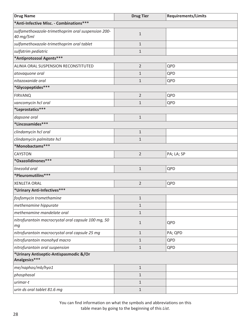| <b>Drug Name</b>                                                | <b>Drug Tier</b> | <b>Requirements/Limits</b> |
|-----------------------------------------------------------------|------------------|----------------------------|
| *Anti-Infective Misc. - Combinations***                         |                  |                            |
| sulfamethoxazole-trimethoprim oral suspension 200-<br>40 mg/5ml | $1\,$            |                            |
| sulfamethoxazole-trimethoprim oral tablet                       | $\mathbf{1}$     |                            |
| sulfatrim pediatric                                             | $1\,$            |                            |
| *Antiprotozoal Agents***                                        |                  |                            |
| ALINIA ORAL SUSPENSION RECONSTITUTED                            | $\overline{2}$   | QPD                        |
| atovaquone oral                                                 | $\mathbf{1}$     | QPD                        |
| nitazoxanide oral                                               | $\mathbf{1}$     | QPD                        |
| *Glycopeptides***                                               |                  |                            |
| <b>FIRVANQ</b>                                                  | $\overline{2}$   | QPD                        |
| vancomycin hcl oral                                             | $\mathbf{1}$     | QPD                        |
| *Leprostatics***                                                |                  |                            |
| dapsone oral                                                    | $\mathbf 1$      |                            |
| *Lincosamides***                                                |                  |                            |
| clindamycin hcl oral                                            | $\mathbf{1}$     |                            |
| clindamycin palmitate hcl                                       | $\mathbf{1}$     |                            |
| *Monobactams***                                                 |                  |                            |
| <b>CAYSTON</b>                                                  | $\overline{2}$   | PA; LA; SP                 |
| *Oxazolidinones***                                              |                  |                            |
| linezolid oral                                                  | $\mathbf{1}$     | QPD                        |
| *Pleuromutilins***                                              |                  |                            |
| <b>XENLETA ORAL</b>                                             | $\overline{2}$   | QPD                        |
| *Urinary Anti-Infectives***                                     |                  |                            |
| fosfomycin tromethamine                                         | 1                |                            |
| methenamine hippurate                                           | $1\,$            |                            |
| methenamine mandelate oral                                      | $1\,$            |                            |
| nitrofurantoin macrocrystal oral capsule 100 mg, 50<br>mg       | $1\,$            | QPD                        |
| nitrofurantoin macrocrystal oral capsule 25 mg                  | $\mathbf{1}$     | PA; QPD                    |
| nitrofurantoin monohyd macro                                    | $\mathbf{1}$     | QPD                        |
| nitrofurantoin oral suspension                                  | $1\,$            | QPD                        |
| *Urinary Antiseptic-Antispasmodic &/Or<br>Analgesics***         |                  |                            |
| me/naphos/mb/hyo1                                               | $1\,$            |                            |
| phosphasal                                                      | $1\,$            |                            |
| urimar-t                                                        | $\mathbf{1}$     |                            |
| urin ds oral tablet 81.6 mg                                     | $1\,$            |                            |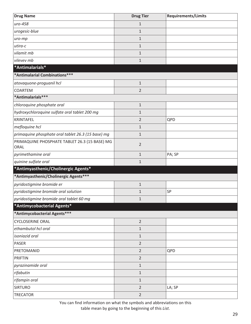<span id="page-32-0"></span>

| <b>Drug Name</b>                                      | <b>Drug Tier</b> | <b>Requirements/Limits</b> |
|-------------------------------------------------------|------------------|----------------------------|
| uro-458                                               | $\mathbf{1}$     |                            |
| urogesic-blue                                         | $\mathbf{1}$     |                            |
| uro-mp                                                | $\mathbf{1}$     |                            |
| utira-c                                               | $\mathbf{1}$     |                            |
| vilamit mb                                            | $\mathbf{1}$     |                            |
| vilevev mb                                            | $\mathbf{1}$     |                            |
| *Antimalarials*                                       |                  |                            |
| *Antimalarial Combinations***                         |                  |                            |
| atovaquone-proguanil hcl                              | $\mathbf 1$      |                            |
| COARTEM                                               | $\overline{2}$   |                            |
| *Antimalarials***                                     |                  |                            |
| chloroquine phosphate oral                            | $\mathbf 1$      |                            |
| hydroxychloroquine sulfate oral tablet 200 mg         | $\mathbf{1}$     |                            |
| <b>KRINTAFEL</b>                                      | $\overline{2}$   | QPD                        |
| mefloquine hcl                                        | $\mathbf{1}$     |                            |
| primaquine phosphate oral tablet 26.3 (15 base) mg    | $\mathbf 1$      |                            |
| PRIMAQUINE PHOSPHATE TABLET 26.3 (15 BASE) MG<br>ORAL | $\overline{2}$   |                            |
| pyrimethamine oral                                    | $\mathbf{1}$     | PA; SP                     |
| quinine sulfate oral                                  | $\mathbf{1}$     |                            |
| *Antimyasthenic/Cholinergic Agents*                   |                  |                            |
| *Antimyasthenic/Cholinergic Agents***                 |                  |                            |
| pyridostigmine bromide er                             | $\mathbf 1$      |                            |
| pyridostigmine bromide oral solution                  | $\mathbf{1}$     | SP                         |
| pyridostigmine bromide oral tablet 60 mg              | $\mathbf{1}$     |                            |
| *Antimycobacterial Agents*                            |                  |                            |
| *Antimycobacterial Agents***                          |                  |                            |
| <b>CYCLOSERINE ORAL</b>                               | $\overline{2}$   |                            |
| ethambutol hcl oral                                   | $\mathbf{1}$     |                            |
| isoniazid oral                                        | $\mathbf{1}$     |                            |
| <b>PASER</b>                                          | $\overline{2}$   |                            |
| PRETOMANID                                            | $\overline{2}$   | QPD                        |
| <b>PRIFTIN</b>                                        | $\overline{2}$   |                            |
| pyrazinamide oral                                     | $\mathbf{1}$     |                            |
| rifabutin                                             | $\mathbf{1}$     |                            |
| rifampin oral                                         | $\mathbf{1}$     |                            |
| <b>SIRTURO</b>                                        | $\overline{2}$   | LA; SP                     |
| <b>TRECATOR</b>                                       | $\overline{2}$   |                            |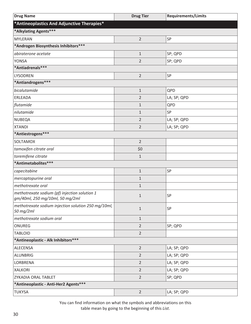<span id="page-33-0"></span>

| <b>Drug Name</b>                                                                 | <b>Drug Tier</b> | <b>Requirements/Limits</b> |
|----------------------------------------------------------------------------------|------------------|----------------------------|
| *Antineoplastics And Adjunctive Therapies*                                       |                  |                            |
| *Alkylating Agents***                                                            |                  |                            |
| <b>MYLERAN</b>                                                                   | $\overline{2}$   | SP                         |
| *Androgen Biosynthesis Inhibitors***                                             |                  |                            |
| abiraterone acetate                                                              | $1\,$            | SP; QPD                    |
| <b>YONSA</b>                                                                     | $\overline{2}$   | SP; QPD                    |
| *Antiadrenals***                                                                 |                  |                            |
| LYSODREN                                                                         | $\overline{2}$   | SP                         |
| *Antiandrogens***                                                                |                  |                            |
| bicalutamide                                                                     | $1\,$            | QPD                        |
| ERLEADA                                                                          | $\overline{2}$   | LA; SP; QPD                |
| flutamide                                                                        | $\mathbf 1$      | QPD                        |
| nilutamide                                                                       | $\mathbf 1$      | SP                         |
| <b>NUBEQA</b>                                                                    | $\overline{2}$   | LA; SP; QPD                |
| <b>XTANDI</b>                                                                    | $\overline{2}$   | LA; SP; QPD                |
| *Antiestrogens***                                                                |                  |                            |
| <b>SOLTAMOX</b>                                                                  | $\overline{2}$   |                            |
| tamoxifen citrate oral                                                           | \$0              |                            |
| toremifene citrate                                                               | $1\,$            |                            |
| *Antimetabolites***                                                              |                  |                            |
| capecitabine                                                                     | $\mathbf 1$      | SP                         |
| mercaptopurine oral                                                              | $\mathbf 1$      |                            |
| methotrexate oral                                                                | $\mathbf 1$      |                            |
| methotrexate sodium (pf) injection solution 1<br>gm/40ml, 250 mg/10ml, 50 mg/2ml | $\mathbf{1}$     | SP                         |
| methotrexate sodium injection solution 250 mg/10ml,<br>50 mg/2ml                 | $1\,$            | SP                         |
| methotrexate sodium oral                                                         | $\mathbf{1}$     |                            |
| ONUREG                                                                           | $\overline{2}$   | SP; QPD                    |
| <b>TABLOID</b>                                                                   | $\overline{2}$   |                            |
| *Antineoplastic - Alk Inhibitors ***                                             |                  |                            |
| ALECENSA                                                                         | $\overline{2}$   | LA; SP; QPD                |
| ALUNBRIG                                                                         | $\overline{2}$   | LA; SP; QPD                |
| LORBRENA                                                                         | $\overline{2}$   | LA; SP; QPD                |
| <b>XALKORI</b>                                                                   | $\overline{2}$   | LA; SP; QPD                |
| ZYKADIA ORAL TABLET                                                              | $\overline{2}$   | SP; QPD                    |
| *Antineoplastic - Anti-Her2 Agents***                                            |                  |                            |
| <b>TUKYSA</b>                                                                    | $\overline{2}$   | LA; SP; QPD                |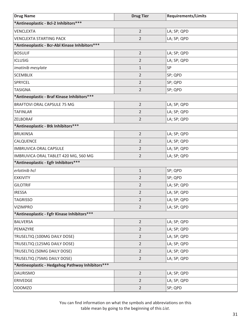| <b>Drug Name</b>                                  | <b>Drug Tier</b> | <b>Requirements/Limits</b> |
|---------------------------------------------------|------------------|----------------------------|
| *Antineoplastic - Bcl-2 Inhibitors ***            |                  |                            |
| <b>VENCLEXTA</b>                                  | $\overline{2}$   | LA; SP; QPD                |
| <b>VENCLEXTA STARTING PACK</b>                    | $\overline{2}$   | LA; SP; QPD                |
| *Antineoplastic - Bcr-Abl Kinase Inhibitors***    |                  |                            |
| <b>BOSULIF</b>                                    | $\overline{2}$   | LA; SP; QPD                |
| <b>ICLUSIG</b>                                    | $\overline{2}$   | LA; SP; QPD                |
| imatinib mesylate                                 | $\mathbf{1}$     | SP                         |
| <b>SCEMBLIX</b>                                   | $\overline{2}$   | SP; QPD                    |
| SPRYCEL                                           | $\overline{2}$   | SP; QPD                    |
| <b>TASIGNA</b>                                    | $\overline{2}$   | SP; QPD                    |
| *Antineoplastic - Braf Kinase Inhibitors ***      |                  |                            |
| <b>BRAFTOVI ORAL CAPSULE 75 MG</b>                | $\overline{2}$   | LA; SP; QPD                |
| <b>TAFINLAR</b>                                   | $\overline{2}$   | LA; SP; QPD                |
| ZELBORAF                                          | $\overline{2}$   | LA; SP; QPD                |
| *Antineoplastic - Btk Inhibitors***               |                  |                            |
| <b>BRUKINSA</b>                                   | $\overline{2}$   | LA; SP; QPD                |
| CALQUENCE                                         | $\overline{2}$   | LA; SP; QPD                |
| <b>IMBRUVICA ORAL CAPSULE</b>                     | $\overline{2}$   | LA; SP; QPD                |
| IMBRUVICA ORAL TABLET 420 MG, 560 MG              | $\overline{2}$   | LA; SP; QPD                |
| *Antineoplastic - Egfr Inhibitors ***             |                  |                            |
| erlotinib hcl                                     | $\mathbf{1}$     | SP; QPD                    |
| <b>EXKIVITY</b>                                   | $\overline{2}$   | SP; QPD                    |
| <b>GILOTRIF</b>                                   | $\overline{2}$   | LA; SP; QPD                |
| <b>IRESSA</b>                                     | $\overline{2}$   | LA; SP; QPD                |
| <b>TAGRISSO</b>                                   | 2                | LA; SP; QPD                |
| <b>VIZIMPRO</b>                                   | $\overline{2}$   | LA; SP; QPD                |
| *Antineoplastic - Fgfr Kinase Inhibitors ***      |                  |                            |
| <b>BALVERSA</b>                                   | $\overline{2}$   | LA; SP; QPD                |
| PEMAZYRE                                          | $\overline{2}$   | LA; SP; QPD                |
| TRUSELTIQ (100MG DAILY DOSE)                      | $\overline{2}$   | LA; SP; QPD                |
| TRUSELTIQ (125MG DAILY DOSE)                      | $\overline{2}$   | LA; SP; QPD                |
| TRUSELTIQ (50MG DAILY DOSE)                       | $\overline{2}$   | LA; SP; QPD                |
| TRUSELTIQ (75MG DAILY DOSE)                       | $\overline{2}$   | LA; SP; QPD                |
| *Antineoplastic - Hedgehog Pathway Inhibitors *** |                  |                            |
| <b>DAURISMO</b>                                   | $\overline{2}$   | LA; SP; QPD                |
| ERIVEDGE                                          | $\overline{2}$   | LA; SP; QPD                |
| <b>ODOMZO</b>                                     | $\overline{2}$   | SP; QPD                    |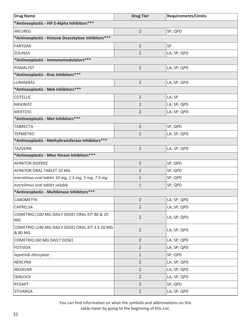| <b>Drug Name</b>                                           | <b>Drug Tier</b> | <b>Requirements/Limits</b> |
|------------------------------------------------------------|------------------|----------------------------|
| *Antineoplastic - Hif-2-Alpha Inhibitors***                |                  |                            |
| WELIREG                                                    | $\overline{2}$   | SP; QPD                    |
| *Antineoplastic - Histone Deacetylase Inhibitors***        |                  |                            |
| <b>FARYDAK</b>                                             | $\overline{2}$   | SP                         |
| <b>ZOLINZA</b>                                             | $\overline{2}$   | LA; SP; QPD                |
| *Antineoplastic - Immunomodulators***                      |                  |                            |
| <b>POMALYST</b>                                            | $\overline{2}$   | LA; SP; QPD                |
| *Antineoplastic - Kras Inhibitors***                       |                  |                            |
| <b>LUMAKRAS</b>                                            | $\overline{2}$   | LA; SP; QPD                |
| *Antineoplastic - Mek Inhibitors ***                       |                  |                            |
| <b>COTELLIC</b>                                            | $\overline{2}$   | LA; SP                     |
| <b>MEKINIST</b>                                            | $\overline{2}$   | LA; SP; QPD                |
| <b>MEKTOVI</b>                                             | $\overline{2}$   | LA; SP; QPD                |
| *Antineoplastic - Met Inhibitors ***                       |                  |                            |
| <b>TABRECTA</b>                                            | $\overline{2}$   | SP; QPD                    |
| <b>TEPMETKO</b>                                            | $\overline{2}$   | LA; SP; QPD                |
| *Antineoplastic - Methyltransferase Inhibitors***          |                  |                            |
| <b>TAZVERIK</b>                                            | $\overline{2}$   | LA; SP; QPD                |
| *Antineoplastic - Mtor Kinase Inhibitors***                |                  |                            |
| <b>AFINITOR DISPERZ</b>                                    | $\overline{2}$   | SP; QPD                    |
| AFINITOR ORAL TABLET 10 MG                                 | $\overline{2}$   | SP; QPD                    |
| everolimus oral tablet 10 mg, 2.5 mg, 5 mg, 7.5 mg         | 1                | SP; QPD                    |
| everolimus oral tablet soluble                             | $\mathbf{1}$     | SP; QPD                    |
| *Antineoplastic - Multikinase Inhibitors ***               |                  |                            |
| <b>CABOMETYX</b>                                           | 2                | LA; SP; QPD                |
| CAPRELSA                                                   | $\overline{2}$   | LA; SP; QPD                |
| COMETRIQ (100 MG DAILY DOSE) ORAL KIT 80 & 20<br>MG        | $\overline{2}$   | LA; SP; QPD                |
| COMETRIQ (140 MG DAILY DOSE) ORAL KIT 3 X 20 MG<br>& 80 MG | $\overline{2}$   | LA; SP; QPD                |
| COMETRIQ (60 MG DAILY DOSE)                                | $\overline{2}$   | LA; SP; QPD                |
| <b>FOTIVDA</b>                                             | $\overline{2}$   | LA; SP; QPD                |
| lapatinib ditosylate                                       | $\mathbf{1}$     | SP; QPD                    |
| NERLYNX                                                    | $\overline{2}$   | LA; SP; QPD                |
| NEXAVAR                                                    | $\overline{2}$   | LA; SP; QPD                |
| <b>QINLOCK</b>                                             | $\overline{2}$   | LA; SP; QPD                |
| <b>RYDAPT</b>                                              | $\overline{2}$   | SP; QPD                    |
| <b>STIVARGA</b>                                            | $\overline{2}$   | LA; SP; QPD                |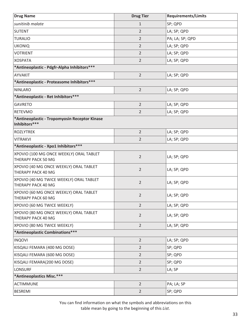| <b>Drug Name</b>                                               | <b>Drug Tier</b> | <b>Requirements/Limits</b> |
|----------------------------------------------------------------|------------------|----------------------------|
| sunitinib malate                                               | $\mathbf{1}$     | SP; QPD                    |
| <b>SUTENT</b>                                                  | 2                | LA; SP; QPD                |
| <b>TURALIO</b>                                                 | $\overline{2}$   | PA; LA; SP; QPD            |
| <b>UKONIQ</b>                                                  | $\overline{2}$   | LA; SP; QPD                |
| <b>VOTRIENT</b>                                                | $\overline{2}$   | LA; SP; QPD                |
| <b>XOSPATA</b>                                                 | $\overline{2}$   | LA; SP; QPD                |
| *Antineoplastic - Pdgfr-Alpha Inhibitors ***                   |                  |                            |
| AYVAKIT                                                        | $\overline{2}$   | LA; SP; QPD                |
| *Antineoplastic - Proteasome Inhibitors ***                    |                  |                            |
| <b>NINLARO</b>                                                 | $\overline{2}$   | LA; SP; QPD                |
| *Antineoplastic - Ret Inhibitors***                            |                  |                            |
| <b>GAVRETO</b>                                                 | $\overline{2}$   | LA; SP; QPD                |
| <b>RETEVMO</b>                                                 | 2                | LA; SP; QPD                |
| *Antineoplastic - Tropomyosin Receptor Kinase<br>Inhibitors*** |                  |                            |
| <b>ROZLYTREK</b>                                               | $\overline{2}$   | LA; SP; QPD                |
| <b>VITRAKVI</b>                                                | $\overline{2}$   | LA; SP; QPD                |
| *Antineoplastic - Xpo1 Inhibitors ***                          |                  |                            |
| XPOVIO (100 MG ONCE WEEKLY) ORAL TABLET<br>THERAPY PACK 50 MG  | $\overline{2}$   | LA; SP; QPD                |
| XPOVIO (40 MG ONCE WEEKLY) ORAL TABLET<br>THERAPY PACK 40 MG   | $\overline{2}$   | LA; SP; QPD                |
| XPOVIO (40 MG TWICE WEEKLY) ORAL TABLET<br>THERAPY PACK 40 MG  | $\overline{2}$   | LA; SP; QPD                |
| XPOVIO (60 MG ONCE WEEKLY) ORAL TABLET<br>THERAPY PACK 60 MG   | 2                | LA; SP; QPD                |
| XPOVIO (60 MG TWICE WEEKLY)                                    | $\overline{2}$   | LA; SP; QPD                |
| XPOVIO (80 MG ONCE WEEKLY) ORAL TABLET<br>THERAPY PACK 40 MG   | 2                | LA; SP; QPD                |
| XPOVIO (80 MG TWICE WEEKLY)                                    | $\overline{2}$   | LA; SP; QPD                |
| *Antineoplastic Combinations***                                |                  |                            |
| <b>INQOVI</b>                                                  | $\overline{2}$   | LA; SP; QPD                |
| KISQALI FEMARA (400 MG DOSE)                                   | $\overline{2}$   | SP; QPD                    |
| KISQALI FEMARA (600 MG DOSE)                                   | $\overline{2}$   | SP; QPD                    |
| KISQALI FEMARA(200 MG DOSE)                                    | $\overline{2}$   | SP; QPD                    |
| <b>LONSURF</b>                                                 | $\overline{2}$   | LA; SP                     |
| *Antineoplastics Misc.***                                      |                  |                            |
| <b>ACTIMMUNE</b>                                               | $\overline{2}$   | PA; LA; SP                 |
| <b>BESREMI</b>                                                 | $\overline{2}$   | SP; QPD                    |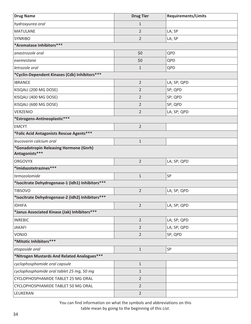| <b>Drug Name</b>                                         | <b>Drug Tier</b> | <b>Requirements/Limits</b> |
|----------------------------------------------------------|------------------|----------------------------|
| hydroxyurea oral                                         | $\mathbf{1}$     |                            |
| <b>MATULANE</b>                                          | $\overline{2}$   | LA; SP                     |
| <b>SYNRIBO</b>                                           | $\overline{2}$   | LA; SP                     |
| *Aromatase Inhibitors***                                 |                  |                            |
| anastrozole oral                                         | \$0              | QPD                        |
| exemestane                                               | \$0              | QPD                        |
| letrozole oral                                           | $\mathbf{1}$     | QPD                        |
| *Cyclin-Dependent Kinases (Cdk) Inhibitors***            |                  |                            |
| <b>IBRANCE</b>                                           | $\overline{2}$   | LA; SP; QPD                |
| KISQALI (200 MG DOSE)                                    | $\overline{2}$   | SP; QPD                    |
| KISQALI (400 MG DOSE)                                    | $\overline{2}$   | SP; QPD                    |
| KISQALI (600 MG DOSE)                                    | $\overline{2}$   | SP; QPD                    |
| <b>VERZENIO</b>                                          | $\overline{2}$   | LA; SP; QPD                |
| *Estrogens-Antineoplastic***                             |                  |                            |
| <b>EMCYT</b>                                             | $\overline{2}$   |                            |
| *Folic Acid Antagonists Rescue Agents***                 |                  |                            |
| leucovorin calcium oral                                  | $\mathbf{1}$     |                            |
| *Gonadotropin Releasing Hormone (Gnrh)<br>Antagonists*** |                  |                            |
| <b>ORGOVYX</b>                                           | $\overline{2}$   | LA; SP; QPD                |
| *Imidazotetrazines***                                    |                  |                            |
| temozolomide                                             | $\mathbf{1}$     | SP                         |
| *Isocitrate Dehydrogenase-1 (Idh1) Inhibitors ***        |                  |                            |
| <b>TIBSOVO</b>                                           | $\overline{2}$   | LA; SP; QPD                |
| *Isocitrate Dehydrogenase-2 (Idh2) Inhibitors ***        |                  |                            |
| <b>IDHIFA</b>                                            | $\overline{2}$   | LA; SP; QPD                |
| *Janus Associated Kinase (Jak) Inhibitors***             |                  |                            |
| <b>INREBIC</b>                                           | $\overline{2}$   | LA; SP; QPD                |
| <b>JAKAFI</b>                                            | $\overline{2}$   | LA; SP; QPD                |
| VONJO                                                    | $\overline{2}$   | SP; QPD                    |
| *Mitotic Inhibitors***                                   |                  |                            |
| etoposide oral                                           | $\mathbf{1}$     | SP                         |
| *Nitrogen Mustards And Related Analogues***              |                  |                            |
| cyclophosphamide oral capsule                            | $\mathbf{1}$     |                            |
| cyclophosphamide oral tablet 25 mg, 50 mg                | $\mathbf{1}$     |                            |
| CYCLOPHOSPHAMIDE TABLET 25 MG ORAL                       | $\overline{2}$   |                            |
| CYCLOPHOSPHAMIDE TABLET 50 MG ORAL                       | $\overline{2}$   |                            |
| LEUKERAN                                                 | $\overline{2}$   |                            |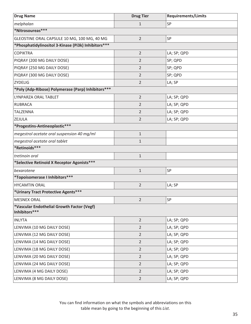| <b>Drug Tier</b> | <b>Requirements/Limits</b> |
|------------------|----------------------------|
| $\mathbf{1}$     | SP                         |
|                  |                            |
| $\overline{2}$   | SP                         |
|                  |                            |
| $\overline{2}$   | LA; SP; QPD                |
| 2                | SP; QPD                    |
| $\overline{2}$   | SP; QPD                    |
| 2                | SP; QPD                    |
| $\overline{2}$   | LA; SP                     |
|                  |                            |
| $\overline{2}$   | LA; SP; QPD                |
| $\overline{2}$   | LA; SP; QPD                |
| $\overline{2}$   | LA; SP; QPD                |
| 2                | LA; SP; QPD                |
|                  |                            |
| $\mathbf{1}$     |                            |
| $\mathbf{1}$     |                            |
|                  |                            |
| $\mathbf{1}$     |                            |
|                  |                            |
| $\mathbf{1}$     | SP                         |
|                  |                            |
| $\overline{2}$   | LA; SP                     |
|                  |                            |
| 2                | SP                         |
|                  |                            |
| $\overline{2}$   | LA; SP; QPD                |
| $\overline{2}$   | LA; SP; QPD                |
| $\overline{2}$   | LA; SP; QPD                |
| $\overline{2}$   | LA; SP; QPD                |
| $\overline{2}$   | LA; SP; QPD                |
| $\overline{2}$   | LA; SP; QPD                |
| $\overline{2}$   | LA; SP; QPD                |
| $\overline{2}$   | LA; SP; QPD                |
| $\overline{2}$   | LA; SP; QPD                |
|                  |                            |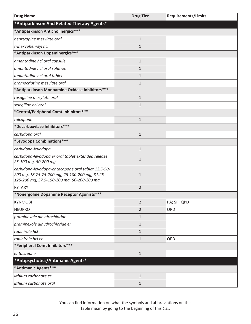| <b>Drug Name</b>                                                                                                                                   | <b>Drug Tier</b> | <b>Requirements/Limits</b> |
|----------------------------------------------------------------------------------------------------------------------------------------------------|------------------|----------------------------|
| *Antiparkinson And Related Therapy Agents*                                                                                                         |                  |                            |
| *Antiparkinson Anticholinergics***                                                                                                                 |                  |                            |
| benztropine mesylate oral                                                                                                                          | $\mathbf{1}$     |                            |
| trihexyphenidyl hcl                                                                                                                                | $\mathbf{1}$     |                            |
| *Antiparkinson Dopaminergics***                                                                                                                    |                  |                            |
| amantadine hcl oral capsule                                                                                                                        | $1\,$            |                            |
| amantadine hcl oral solution                                                                                                                       | 1                |                            |
| amantadine hcl oral tablet                                                                                                                         | $\mathbf{1}$     |                            |
| bromocriptine mesylate oral                                                                                                                        | $\mathbf{1}$     |                            |
| *Antiparkinson Monoamine Oxidase Inhibitors***                                                                                                     |                  |                            |
| rasagiline mesylate oral                                                                                                                           | $1\,$            |                            |
| selegiline hcl oral                                                                                                                                | $\mathbf{1}$     |                            |
| *Central/Peripheral Comt Inhibitors ***                                                                                                            |                  |                            |
| tolcapone                                                                                                                                          | $\mathbf{1}$     |                            |
| *Decarboxylase Inhibitors ***                                                                                                                      |                  |                            |
| carbidopa oral                                                                                                                                     | $1\,$            |                            |
| *Levodopa Combinations***                                                                                                                          |                  |                            |
| carbidopa-levodopa                                                                                                                                 | $\mathbf{1}$     |                            |
| carbidopa-levodopa er oral tablet extended release<br>25-100 mg, 50-200 mg                                                                         | $\mathbf{1}$     |                            |
| carbidopa-levodopa-entacapone oral tablet 12.5-50-<br>200 mg, 18.75-75-200 mg, 25-100-200 mg, 31.25-<br>125-200 mg, 37.5-150-200 mg, 50-200-200 mg | $1\,$            |                            |
| <b>RYTARY</b>                                                                                                                                      | $\overline{2}$   |                            |
| *Nonergoline Dopamine Receptor Agonists***                                                                                                         |                  |                            |
| <b>KYNMOBI</b>                                                                                                                                     | $\overline{2}$   | PA; SP; QPD                |
| <b>NEUPRO</b>                                                                                                                                      | $\overline{2}$   | QPD                        |
| pramipexole dihydrochloride                                                                                                                        | $\mathbf{1}$     |                            |
| pramipexole dihydrochloride er                                                                                                                     | $\mathbf{1}$     |                            |
| ropinirole hcl                                                                                                                                     | $\mathbf{1}$     |                            |
| ropinirole hcl er                                                                                                                                  | $\mathbf{1}$     | QPD                        |
| *Peripheral Comt Inhibitors***                                                                                                                     |                  |                            |
| entacapone                                                                                                                                         | $1\,$            |                            |
| *Antipsychotics/Antimanic Agents*                                                                                                                  |                  |                            |
| *Antimanic Agents***                                                                                                                               |                  |                            |
| lithium carbonate er                                                                                                                               | $\mathbf{1}$     |                            |
| lithium carbonate oral                                                                                                                             | $\mathbf{1}$     |                            |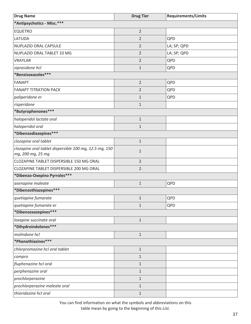| <b>Drug Name</b>                                       | <b>Drug Tier</b> | <b>Requirements/Limits</b> |
|--------------------------------------------------------|------------------|----------------------------|
| *Antipsychotics - Misc.***                             |                  |                            |
| <b>EQUETRO</b>                                         | $\overline{2}$   |                            |
| LATUDA                                                 | $\overline{2}$   | QPD                        |
| NUPLAZID ORAL CAPSULE                                  | $\overline{2}$   | LA; SP; QPD                |
| NUPLAZID ORAL TABLET 10 MG                             | $\overline{2}$   | LA; SP; QPD                |
| <b>VRAYLAR</b>                                         | $\overline{2}$   | QPD                        |
| ziprasidone hcl                                        | $\mathbf{1}$     | QPD                        |
| *Benzisoxazoles***                                     |                  |                            |
| <b>FANAPT</b>                                          | $\overline{2}$   | QPD                        |
| <b>FANAPT TITRATION PACK</b>                           | $\overline{2}$   | QPD                        |
| paliperidone er                                        | $\mathbf{1}$     | QPD                        |
| risperidone                                            | $\mathbf{1}$     |                            |
| *Butyrophenones***                                     |                  |                            |
| haloperidol lactate oral                               | $\mathbf{1}$     |                            |
| haloperidol oral                                       | $\mathbf{1}$     |                            |
| *Dibenzodiazepines***                                  |                  |                            |
| clozapine oral tablet                                  | $\mathbf{1}$     |                            |
| clozapine oral tablet dispersible 100 mg, 12.5 mg, 150 | $\mathbf{1}$     |                            |
| mg, 200 mg, 25 mg                                      |                  |                            |
| CLOZAPINE TABLET DISPERSIBLE 150 MG ORAL               | $\overline{2}$   |                            |
| CLOZAPINE TABLET DISPERSIBLE 200 MG ORAL               | $\overline{2}$   |                            |
| *Dibenzo-Oxepino Pyrroles***                           |                  |                            |
| asenapine maleate                                      | $1\,$            | QPD                        |
| *Dibenzothiazepines***                                 |                  |                            |
| quetiapine fumarate                                    | 1                | QPD                        |
| quetiapine fumarate er                                 | 1                | QPD                        |
| *Dibenzoxazepines***                                   |                  |                            |
| loxapine succinate oral                                | $1\,$            |                            |
| *Dihydroindolones***                                   |                  |                            |
| molindone hcl                                          | $1\,$            |                            |
| *Phenothiazines***                                     |                  |                            |
| chlorpromazine hcl oral tablet                         | $1\,$            |                            |
| compro                                                 | $1\,$            |                            |
| fluphenazine hcl oral                                  | $1\,$            |                            |
| perphenazine oral                                      | $1\,$            |                            |
| prochlorperazine                                       | $\mathbf 1$      |                            |
| prochlorperazine maleate oral                          | $\mathbf{1}$     |                            |
| thioridazine hcl oral                                  | $1\,$            |                            |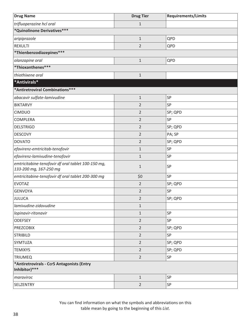| <b>Drug Name</b>                                                             | <b>Drug Tier</b> | <b>Requirements/Limits</b> |
|------------------------------------------------------------------------------|------------------|----------------------------|
| trifluoperazine hcl oral                                                     | $1\,$            |                            |
| *Quinolinone Derivatives***                                                  |                  |                            |
| aripiprazole                                                                 | $1\,$            | QPD                        |
| <b>REXULTI</b>                                                               | $\overline{2}$   | QPD                        |
| *Thienbenzodiazepines***                                                     |                  |                            |
| olanzapine oral                                                              | $\mathbf{1}$     | QPD                        |
| *Thioxanthenes***                                                            |                  |                            |
| thiothixene oral                                                             | $\mathbf 1$      |                            |
| *Antivirals*                                                                 |                  |                            |
| *Antiretroviral Combinations***                                              |                  |                            |
| abacavir sulfate-lamivudine                                                  | $1\,$            | SP                         |
| <b>BIKTARVY</b>                                                              | $\overline{2}$   | SP                         |
| <b>CIMDUO</b>                                                                | $\overline{2}$   | SP; QPD                    |
| <b>COMPLERA</b>                                                              | $\overline{2}$   | SP                         |
| <b>DELSTRIGO</b>                                                             | $\overline{2}$   | SP; QPD                    |
| <b>DESCOVY</b>                                                               | $\overline{2}$   | PA; SP                     |
| <b>DOVATO</b>                                                                | $\overline{2}$   | SP; QPD                    |
| efavirenz-emtricitab-tenofovir                                               | $\mathbf{1}$     | SP                         |
| efavirenz-lamivudine-tenofovir                                               | $\mathbf{1}$     | SP                         |
| emtricitabine-tenofovir df oral tablet 100-150 mg,<br>133-200 mg, 167-250 mg | $\mathbf{1}$     | SP                         |
| emtricitabine-tenofovir df oral tablet 200-300 mg                            | \$0              | SP                         |
| <b>EVOTAZ</b>                                                                | $\overline{2}$   | SP; QPD                    |
| <b>GENVOYA</b>                                                               | $\overline{2}$   | SP                         |
| JULUCA                                                                       | 2                | SP; QPD                    |
| lamivudine-zidovudine                                                        | $1\,$            |                            |
| lopinavir-ritonavir                                                          | $\mathbf{1}$     | SP                         |
| <b>ODEFSEY</b>                                                               | $\overline{2}$   | SP                         |
| <b>PREZCOBIX</b>                                                             | $\overline{2}$   | SP; QPD                    |
| <b>STRIBILD</b>                                                              | $\overline{2}$   | SP                         |
| SYMTUZA                                                                      | $\overline{2}$   | SP; QPD                    |
| <b>TEMIXYS</b>                                                               | $\overline{2}$   | SP; QPD                    |
| <b>TRIUMEQ</b>                                                               | $\overline{2}$   | SP                         |
| *Antiretrovirals - Ccr5 Antagonists (Entry<br>Inhibitor)***                  |                  |                            |
| maraviroc                                                                    | $\mathbf{1}$     | SP                         |
| SELZENTRY                                                                    | $\overline{2}$   | SP                         |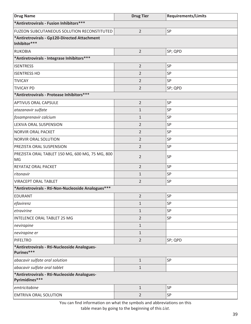| <b>Drug Name</b>                                               | <b>Drug Tier</b> | <b>Requirements/Limits</b> |
|----------------------------------------------------------------|------------------|----------------------------|
| *Antiretrovirals - Fusion Inhibitors ***                       |                  |                            |
| FUZEON SUBCUTANEOUS SOLUTION RECONSTITUTED                     | $\overline{2}$   | SP                         |
| *Antiretrovirals - Gp120-Directed Attachment<br>Inhibitor***   |                  |                            |
| <b>RUKOBIA</b>                                                 | $\overline{2}$   | SP; QPD                    |
| *Antiretrovirals - Integrase Inhibitors***                     |                  |                            |
| <b>ISENTRESS</b>                                               | $\overline{2}$   | SP                         |
| <b>ISENTRESS HD</b>                                            | $\overline{2}$   | SP                         |
| <b>TIVICAY</b>                                                 | $\overline{2}$   | SP                         |
| <b>TIVICAY PD</b>                                              | $\overline{2}$   | SP; QPD                    |
| *Antiretrovirals - Protease Inhibitors ***                     |                  |                            |
| <b>APTIVUS ORAL CAPSULE</b>                                    | $\overline{2}$   | SP                         |
| atazanavir sulfate                                             | $\mathbf{1}$     | SP                         |
| fosamprenavir calcium                                          | $\mathbf{1}$     | SP                         |
| LEXIVA ORAL SUSPENSION                                         | $\overline{2}$   | SP                         |
| NORVIR ORAL PACKET                                             | $\overline{2}$   | SP                         |
| NORVIR ORAL SOLUTION                                           | $\overline{2}$   | SP                         |
| PREZISTA ORAL SUSPENSION                                       | $\overline{2}$   | SP                         |
| PREZISTA ORAL TABLET 150 MG, 600 MG, 75 MG, 800<br>MG          | $\overline{2}$   | SP                         |
| REYATAZ ORAL PACKET                                            | $\overline{2}$   | SP                         |
| ritonavir                                                      | $\mathbf{1}$     | SP                         |
| <b>VIRACEPT ORAL TABLET</b>                                    | $\overline{2}$   | SP                         |
| *Antiretrovirals - Rti-Non-Nucleoside Analogues***             |                  |                            |
| EDURANT                                                        | $\overline{2}$   | SP                         |
| efavirenz                                                      | $\mathbf{1}$     | SP                         |
| etravirine                                                     | $\mathbf{1}$     | SP                         |
| <b>INTELENCE ORAL TABLET 25 MG</b>                             | $\overline{2}$   | SP                         |
| nevirapine                                                     | $\mathbf{1}$     |                            |
| nevirapine er                                                  | $\mathbf{1}$     |                            |
| PIFELTRO                                                       | $\overline{2}$   | SP; QPD                    |
| *Antiretrovirals - Rti-Nucleoside Analogues-<br>Purines***     |                  |                            |
| abacavir sulfate oral solution                                 | $\mathbf{1}$     | SP                         |
| abacavir sulfate oral tablet                                   | $\mathbf{1}$     |                            |
| *Antiretrovirals - Rti-Nucleoside Analogues-<br>Pyrimidines*** |                  |                            |
| emtricitabine                                                  | $1\,$            | SP                         |
| <b>EMTRIVA ORAL SOLUTION</b>                                   | $\overline{2}$   | SP                         |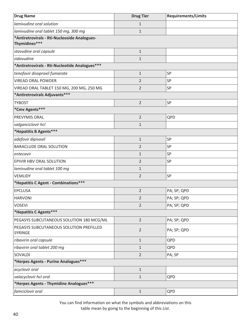| <b>Drug Name</b>                                              | <b>Drug Tier</b> | <b>Requirements/Limits</b> |
|---------------------------------------------------------------|------------------|----------------------------|
| lamivudine oral solution                                      | $\mathbf{1}$     |                            |
| lamivudine oral tablet 150 mg, 300 mg                         | $\mathbf{1}$     |                            |
| *Antiretrovirals - Rti-Nucleoside Analogues-<br>Thymidines*** |                  |                            |
| stavudine oral capsule                                        | $1\,$            |                            |
| zidovudine                                                    | $\mathbf{1}$     |                            |
| *Antiretrovirals - Rti-Nucleotide Analogues***                |                  |                            |
| tenofovir disoproxil fumarate                                 | $\mathbf{1}$     | SP                         |
| <b>VIREAD ORAL POWDER</b>                                     | 2                | SP                         |
| VIREAD ORAL TABLET 150 MG, 200 MG, 250 MG                     | $\overline{2}$   | SP                         |
| *Antiretrovirals Adjuvants***                                 |                  |                            |
| <b>TYBOST</b>                                                 | $\overline{2}$   | SP                         |
| *Cmv Agents***                                                |                  |                            |
| PREVYMIS ORAL                                                 | $\overline{2}$   | QPD                        |
| valganciclovir hcl                                            | $\mathbf 1$      |                            |
| *Hepatitis B Agents***                                        |                  |                            |
| adefovir dipivoxil                                            | $1\,$            | SP                         |
| BARACLUDE ORAL SOLUTION                                       | $\overline{2}$   | SP                         |
| entecavir                                                     | $\mathbf{1}$     | SP                         |
| EPIVIR HBV ORAL SOLUTION                                      | $\overline{2}$   | SP                         |
| lamivudine oral tablet 100 mg                                 | $\mathbf{1}$     |                            |
| <b>VEMLIDY</b>                                                | $\overline{2}$   | SP                         |
| *Hepatitis C Agent - Combinations***                          |                  |                            |
| <b>EPCLUSA</b>                                                | $\overline{2}$   | PA; SP; QPD                |
| <b>HARVONI</b>                                                | 2                | PA; SP; QPD                |
| <b>VOSEVI</b>                                                 | $\overline{2}$   | PA; SP; QPD                |
| *Hepatitis C Agents***                                        |                  |                            |
| PEGASYS SUBCUTANEOUS SOLUTION 180 MCG/ML                      | $\overline{2}$   | PA; SP; QPD                |
| PEGASYS SUBCUTANEOUS SOLUTION PREFILLED<br><b>SYRINGE</b>     | $\overline{2}$   | PA; SP; QPD                |
| ribavirin oral capsule                                        | $1\,$            | QPD                        |
| ribavirin oral tablet 200 mg                                  | 1                | QPD                        |
| SOVALDI                                                       | $\overline{2}$   | PA; SP                     |
| *Herpes Agents - Purine Analogues***                          |                  |                            |
| acyclovir oral                                                | $1\,$            |                            |
| valacyclovir hcl oral                                         | $\mathbf{1}$     | QPD                        |
| *Herpes Agents - Thymidine Analogues***                       |                  |                            |
| famciclovir oral                                              | $1\,$            | QPD                        |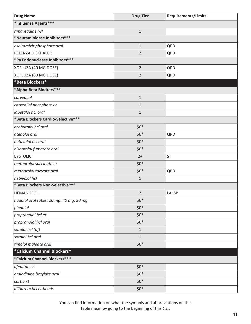| <b>Drug Name</b>                        | <b>Drug Tier</b> | <b>Requirements/Limits</b> |
|-----------------------------------------|------------------|----------------------------|
| *Influenza Agents***                    |                  |                            |
| rimantadine hcl                         | $\mathbf 1$      |                            |
| *Neuraminidase Inhibitors***            |                  |                            |
| oseltamivir phosphate oral              | $\mathbf 1$      | QPD                        |
| RELENZA DISKHALER                       | $\overline{2}$   | QPD                        |
| *Pa Endonuclease Inhibitors***          |                  |                            |
| XOFLUZA (40 MG DOSE)                    | $\overline{2}$   | QPD                        |
| XOFLUZA (80 MG DOSE)                    | $\overline{2}$   | QPD                        |
| *Beta Blockers*                         |                  |                            |
| *Alpha-Beta Blockers***                 |                  |                            |
| carvedilol                              | $\mathbf{1}$     |                            |
| carvedilol phosphate er                 | $\mathbf{1}$     |                            |
| labetalol hcl oral                      | $\mathbf{1}$     |                            |
| *Beta Blockers Cardio-Selective***      |                  |                            |
| acebutolol hcl oral                     | $$0^*$           |                            |
| atenolol oral                           | $$0*$            | QPD                        |
| betaxolol hcl oral                      | $$0*$            |                            |
| bisoprolol fumarate oral                | $$0*$            |                            |
| <b>BYSTOLIC</b>                         | $2+$             | <b>ST</b>                  |
| metoprolol succinate er                 | $$0*$            |                            |
| metoprolol tartrate oral                | $$0*$            | QPD                        |
| nebivolol hcl                           | $\mathbf 1$      |                            |
| *Beta Blockers Non-Selective***         |                  |                            |
| HEMANGEOL                               | $\overline{2}$   | LA; SP                     |
| nadolol oral tablet 20 mg, 40 mg, 80 mg | $$0*$            |                            |
| pindolol                                | $$0*$            |                            |
| propranolol hcl er                      | $$0*$            |                            |
| propranolol hcl oral                    | $$0*$            |                            |
| sotalol hcl (af)                        | $\mathbf{1}$     |                            |
| sotalol hcl oral                        | $\mathbf{1}$     |                            |
| timolol maleate oral                    | $$0*$            |                            |
| *Calcium Channel Blockers*              |                  |                            |
| *Calcium Channel Blockers***            |                  |                            |
| afeditab cr                             | $$0^*$           |                            |
| amlodipine besylate oral                | $$0*$            |                            |
| cartia xt                               | $$0^*$           |                            |
| diltiazem hcl er beads                  | $$0*$            |                            |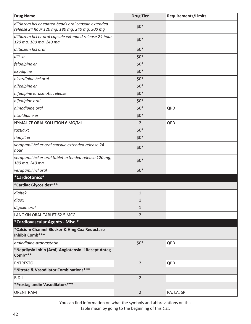| <b>Drug Name</b>                                                                                      | <b>Drug Tier</b> | <b>Requirements/Limits</b> |
|-------------------------------------------------------------------------------------------------------|------------------|----------------------------|
| diltiazem hcl er coated beads oral capsule extended<br>release 24 hour 120 mg, 180 mg, 240 mg, 300 mg | $$0*$            |                            |
| diltiazem hcl er oral capsule extended release 24 hour<br>120 mg, 180 mg, 240 mg                      | $$0*$            |                            |
| diltiazem hcl oral                                                                                    | $$0*$            |                            |
| dilt-xr                                                                                               | $$0*$            |                            |
| felodipine er                                                                                         | $$0*$            |                            |
| isradipine                                                                                            | $$0^*$           |                            |
| nicardipine hcl oral                                                                                  | $$0^*$           |                            |
| nifedipine er                                                                                         | $$0^*$           |                            |
| nifedipine er osmotic release                                                                         | $$0^*$           |                            |
| nifedipine oral                                                                                       | $$0^*$           |                            |
| nimodipine oral                                                                                       | $$0^*$           | QPD                        |
| nisoldipine er                                                                                        | $$0*$            |                            |
| NYMALIZE ORAL SOLUTION 6 MG/ML                                                                        | $\overline{2}$   | QPD                        |
| taztia xt                                                                                             | $$0*$            |                            |
| tiadylt er                                                                                            | $$0*$            |                            |
| verapamil hcl er oral capsule extended release 24<br>hour                                             | $$0*$            |                            |
| verapamil hcl er oral tablet extended release 120 mg,<br>180 mg, 240 mg                               | $$0*$            |                            |
| verapamil hcl oral                                                                                    | $$0^*$           |                            |
| *Cardiotonics*                                                                                        |                  |                            |
| *Cardiac Glycosides***                                                                                |                  |                            |
| digitek                                                                                               | $\mathbf{1}$     |                            |
| digox                                                                                                 | $\mathbf{1}$     |                            |
| digoxin oral                                                                                          | $\mathbf{1}$     |                            |
| LANOXIN ORAL TABLET 62.5 MCG                                                                          | $\overline{2}$   |                            |
| *Cardiovascular Agents - Misc.*                                                                       |                  |                            |
| *Calcium Channel Blocker & Hmg Coa Reductase<br>Inhibit Comb***                                       |                  |                            |
| amlodipine-atorvastatin                                                                               | $$0*$            | QPD                        |
| *Neprilysin Inhib (Arni)-Angiotensin Ii Recept Antag<br>Comb***                                       |                  |                            |
| <b>ENTRESTO</b>                                                                                       | $\overline{2}$   | QPD                        |
| *Nitrate & Vasodilator Combinations***                                                                |                  |                            |
| <b>BIDIL</b>                                                                                          | $\overline{2}$   |                            |
| *Prostaglandin Vasodilators***                                                                        |                  |                            |
| ORENITRAM                                                                                             | $\overline{2}$   | PA; LA; SP                 |

You can find information on what the symbols and abbreviations on this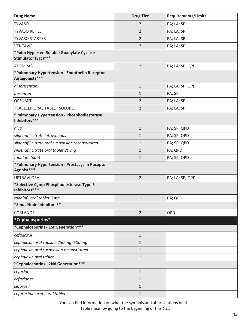| <b>Drug Name</b>                                                | <b>Drug Tier</b> | <b>Requirements/Limits</b> |
|-----------------------------------------------------------------|------------------|----------------------------|
| <b>TYVASO</b>                                                   | $\overline{2}$   | PA; LA; SP                 |
| <b>TYVASO REFILL</b>                                            | $\overline{2}$   | PA; LA; SP                 |
| <b>TYVASO STARTER</b>                                           | $\overline{2}$   | PA; LA; SP                 |
| <b>VENTAVIS</b>                                                 | $\overline{2}$   | PA; LA; SP                 |
| *Pulm Hyperten-Soluble Guanylate Cyclase<br>Stimulator (Sgc)*** |                  |                            |
| <b>ADEMPAS</b>                                                  | $\overline{2}$   | PA; LA; SP; QPD            |
| *Pulmonary Hypertension - Endothelin Receptor<br>Antagonists*** |                  |                            |
| ambrisentan                                                     | $\mathbf 1$      | PA; LA; SP; QPD            |
| bosentan                                                        | $\mathbf{1}$     | PA; SP                     |
| <b>OPSUMIT</b>                                                  | 2                | PA; LA; SP                 |
| TRACLEER ORAL TABLET SOLUBLE                                    | 2                | PA; LA; SP                 |
| *Pulmonary Hypertension - Phosphodiesterase<br>Inhibitors***    |                  |                            |
| alyq                                                            | $\mathbf{1}$     | PA; SP; QPD                |
| sildenafil citrate intravenous                                  | $\mathbf{1}$     | PA; SP; QPD                |
| sildenafil citrate oral suspension reconstituted                | $\mathbf{1}$     | PA; SP; QPD                |
| sildenafil citrate oral tablet 20 mg                            | $\mathbf{1}$     | PA; QPD                    |
| tadalafil (pah)                                                 | $\mathbf{1}$     | PA; SP; QPD                |
| *Pulmonary Hypertension - Prostacyclin Receptor<br>Agonist***   |                  |                            |
| <b>UPTRAVI ORAL</b>                                             | $\overline{2}$   | PA; LA; SP; QPD            |
| *Selective Cgmp Phosphodiesterase Type 5<br>Inhibitors***       |                  |                            |
| tadalafil oral tablet 5 mg                                      | 1                | PA; QPD                    |
| *Sinus Node Inhibitors**                                        |                  |                            |
| <b>CORLANOR</b>                                                 | $\overline{2}$   | QPD                        |
| *Cephalosporins*                                                |                  |                            |
| *Cephalosporins - 1St Generation***                             |                  |                            |
| cefadroxil                                                      | $\mathbf{1}$     |                            |
| cephalexin oral capsule 250 mg, 500 mg                          | $\mathbf{1}$     |                            |
| cephalexin oral suspension reconstituted                        | $\mathbf{1}$     |                            |
| cephalexin oral tablet                                          | $\mathbf{1}$     |                            |
| *Cephalosporins - 2Nd Generation***                             |                  |                            |
| cefaclor                                                        | $\mathbf{1}$     |                            |
| cefaclor er                                                     | 1                |                            |
| cefprozil                                                       | $\mathbf{1}$     |                            |
| cefuroxime axetil oral tablet                                   | $\mathbf{1}$     |                            |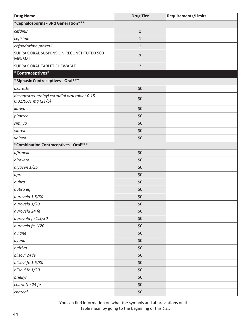| <b>Drug Name</b>                                                         | <b>Drug Tier</b> | <b>Requirements/Limits</b> |
|--------------------------------------------------------------------------|------------------|----------------------------|
| *Cephalosporins - 3Rd Generation***                                      |                  |                            |
| cefdinir                                                                 | $\mathbf 1$      |                            |
| cefixime                                                                 | $\mathbf{1}$     |                            |
| cefpodoxime proxetil                                                     | $\mathbf 1$      |                            |
| SUPRAX ORAL SUSPENSION RECONSTITUTED 500<br>MG/5ML                       | $\overline{2}$   |                            |
| <b>SUPRAX ORAL TABLET CHEWABLE</b>                                       | $\overline{2}$   |                            |
| *Contraceptives*                                                         |                  |                            |
| *Biphasic Contraceptives - Oral ***                                      |                  |                            |
| azurette                                                                 | \$0              |                            |
| desogestrel-ethinyl estradiol oral tablet 0.15-<br>$0.02/0.01$ mg (21/5) | \$0              |                            |
| kariva                                                                   | \$0              |                            |
| pimtrea                                                                  | \$0              |                            |
| simliya                                                                  | \$0              |                            |
| viorele                                                                  | \$0              |                            |
| volnea                                                                   | \$0              |                            |
| *Combination Contraceptives - Oral***                                    |                  |                            |
| afirmelle                                                                | \$0              |                            |
| altavera                                                                 | \$0              |                            |
| alyacen 1/35                                                             | \$0              |                            |
| apri                                                                     | \$0              |                            |
| aubra                                                                    | \$0              |                            |
| aubra eq                                                                 | \$0              |                            |
| aurovela 1.5/30                                                          | $$0$$            |                            |
| aurovela 1/20                                                            | \$0              |                            |
| aurovela 24 fe                                                           | \$0              |                            |
| aurovela fe 1.5/30                                                       | \$0              |                            |
| aurovela fe 1/20                                                         | \$0              |                            |
| aviane                                                                   | \$0              |                            |
| ayuna                                                                    | \$0              |                            |
| balziva                                                                  | \$0              |                            |
| blisovi 24 fe                                                            | \$0              |                            |
| blisovi fe 1.5/30                                                        | \$0              |                            |
| blisovi fe 1/20                                                          | \$0              |                            |
| briellyn                                                                 | \$0              |                            |
| charlotte 24 fe                                                          | \$0              |                            |
| chateal                                                                  | \$0              |                            |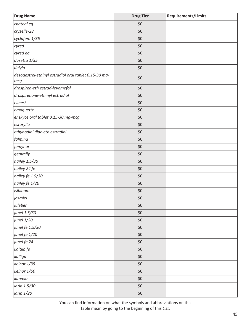| <b>Drug Name</b>                                             | <b>Drug Tier</b> | Requirements/Limits |
|--------------------------------------------------------------|------------------|---------------------|
| chateal eq                                                   | \$0              |                     |
| cryselle-28                                                  | \$0              |                     |
| cyclafem 1/35                                                | \$0              |                     |
| cyred                                                        | \$0              |                     |
| cyred eq                                                     | \$0              |                     |
| dasetta 1/35                                                 | \$0              |                     |
| delyla                                                       | \$0              |                     |
| desogestrel-ethinyl estradiol oral tablet 0.15-30 mg-<br>mcg | \$0              |                     |
| drospiren-eth estrad-levomefol                               | \$0              |                     |
| drospirenone-ethinyl estradiol                               | \$0              |                     |
| elinest                                                      | \$0              |                     |
| emoquette                                                    | \$0              |                     |
| enskyce oral tablet 0.15-30 mg-mcg                           | \$0              |                     |
| estarylla                                                    | \$0              |                     |
| ethynodiol diac-eth estradiol                                | \$0              |                     |
| falmina                                                      | \$0              |                     |
| femynor                                                      | \$0              |                     |
| gemmily                                                      | \$0              |                     |
| hailey 1.5/30                                                | \$0              |                     |
| hailey 24 fe                                                 | \$0              |                     |
| hailey fe 1.5/30                                             | \$0              |                     |
| hailey fe 1/20                                               | \$0              |                     |
| isibloom                                                     | $$0$$            |                     |
| jasmiel                                                      | \$0              |                     |
| juleber                                                      | \$0              |                     |
| junel 1.5/30                                                 | \$0              |                     |
| junel 1/20                                                   | \$0              |                     |
| junel fe 1.5/30                                              | \$0              |                     |
| junel fe 1/20                                                | \$0              |                     |
| junel fe 24                                                  | \$0              |                     |
| kaitlib fe                                                   | \$0              |                     |
| kalliga                                                      | \$0              |                     |
| kelnor 1/35                                                  | \$0              |                     |
| kelnor 1/50                                                  | \$0              |                     |
| kurvelo                                                      | \$0              |                     |
| larin 1.5/30                                                 | \$0              |                     |
| larin 1/20                                                   | $$0$$            |                     |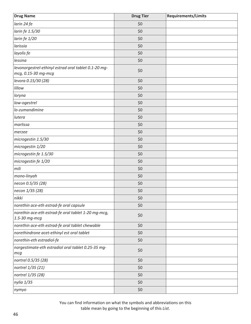| <b>Drug Name</b>                                                            | <b>Drug Tier</b> | <b>Requirements/Limits</b> |
|-----------------------------------------------------------------------------|------------------|----------------------------|
| larin 24 fe                                                                 | \$0              |                            |
| larin fe 1.5/30                                                             | \$0              |                            |
| larin fe 1/20                                                               | \$0              |                            |
| larissia                                                                    | \$0              |                            |
| layolis fe                                                                  | \$0              |                            |
| lessina                                                                     | \$0              |                            |
| levonorgestrel-ethinyl estrad oral tablet 0.1-20 mg-<br>mcg, 0.15-30 mg-mcg | \$0              |                            |
| levora 0.15/30 (28)                                                         | \$0              |                            |
| lillow                                                                      | \$0              |                            |
| loryna                                                                      | \$0              |                            |
| low-ogestrel                                                                | \$0              |                            |
| lo-zumandimine                                                              | \$0              |                            |
| lutera                                                                      | \$0              |                            |
| marlissa                                                                    | \$0              |                            |
| merzee                                                                      | \$0              |                            |
| microgestin 1.5/30                                                          | \$0              |                            |
| microgestin 1/20                                                            | \$0              |                            |
| microgestin fe 1.5/30                                                       | \$0              |                            |
| microgestin fe 1/20                                                         | \$0              |                            |
| mili                                                                        | \$0              |                            |
| mono-linyah                                                                 | \$0              |                            |
| necon 0.5/35 (28)                                                           | \$0              |                            |
| necon 1/35 (28)                                                             | \$0              |                            |
| nikki                                                                       | \$0\$            |                            |
| norethin ace-eth estrad-fe oral capsule                                     | \$0              |                            |
| norethin ace-eth estrad-fe oral tablet 1-20 mg-mcg,<br>1.5-30 mg-mcg        | \$0              |                            |
| norethin ace-eth estrad-fe oral tablet chewable                             | \$0              |                            |
| norethindrone acet-ethinyl est oral tablet                                  | \$0              |                            |
| norethin-eth estradiol-fe                                                   | \$0              |                            |
| norgestimate-eth estradiol oral tablet 0.25-35 mg-<br>mcg                   | \$0              |                            |
| nortrel 0.5/35 (28)                                                         | \$0              |                            |
| nortrel 1/35 (21)                                                           | \$0              |                            |
| nortrel 1/35 (28)                                                           | \$0              |                            |
| nylia 1/35                                                                  | \$0              |                            |
| nymyo                                                                       | \$0              |                            |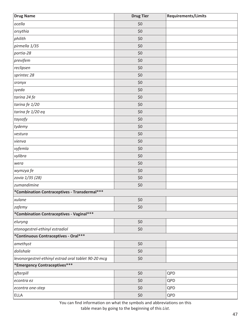| <b>Drug Name</b>                                    | <b>Drug Tier</b> | Requirements/Limits |
|-----------------------------------------------------|------------------|---------------------|
| ocella                                              | \$0              |                     |
| orsythia                                            | \$0              |                     |
| philith                                             | \$0              |                     |
| pirmella 1/35                                       | \$0              |                     |
| portia-28                                           | \$0              |                     |
| previfem                                            | \$0              |                     |
| reclipsen                                           | \$0              |                     |
| sprintec 28                                         | \$0              |                     |
| sronyx                                              | \$0              |                     |
| syeda                                               | \$0              |                     |
| tarina 24 fe                                        | \$0              |                     |
| tarina fe 1/20                                      | \$0              |                     |
| tarina fe 1/20 eq                                   | \$0              |                     |
| taysofy                                             | \$0              |                     |
| tydemy                                              | \$0              |                     |
| vestura                                             | \$0              |                     |
| vienva                                              | \$0              |                     |
| vyfemla                                             | \$0              |                     |
| vylibra                                             | \$0              |                     |
| wera                                                | \$0              |                     |
| wymzya fe                                           | \$0              |                     |
| zovia 1/35 (28)                                     | \$0              |                     |
| zumandimine                                         | \$0              |                     |
| *Combination Contraceptives - Transdermal***        |                  |                     |
| xulane                                              | \$0              |                     |
| zafemy                                              | \$0              |                     |
| *Combination Contraceptives - Vaginal***            |                  |                     |
| eluryng                                             | \$0              |                     |
| etonogestrel-ethinyl estradiol                      | \$0              |                     |
| *Continuous Contraceptives - Oral***                |                  |                     |
| amethyst                                            | \$0              |                     |
| dolishale                                           | \$0              |                     |
| levonorgestrel-ethinyl estrad oral tablet 90-20 mcg | \$0              |                     |
| *Emergency Contraceptives***                        |                  |                     |
| afterpill                                           | \$0              | QPD                 |
| econtra ez                                          | \$0              | QPD                 |
| econtra one-step                                    | \$0              | QPD                 |
| <b>ELLA</b>                                         | \$0              | QPD                 |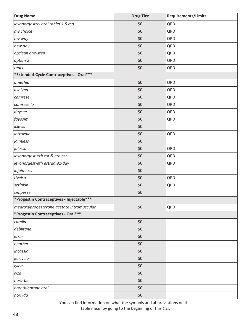| <b>Drug Name</b>                          | <b>Drug Tier</b> | <b>Requirements/Limits</b> |
|-------------------------------------------|------------------|----------------------------|
| levonorgestrel oral tablet 1.5 mg         | \$0              | QPD                        |
| my choice                                 | \$0              | QPD                        |
| my way                                    | \$0              | QPD                        |
| new day                                   | \$0              | QPD                        |
| opcicon one-step                          | \$0              | QPD                        |
| option 2                                  | \$0              | QPD                        |
| react                                     | \$0              | QPD                        |
| *Extended-Cycle Contraceptives - Oral***  |                  |                            |
| amethia                                   | \$0              | QPD                        |
| ashlyna                                   | \$0              | QPD                        |
| camrese                                   | \$0              | QPD                        |
| camrese lo                                | \$0              | QPD                        |
| daysee                                    | \$0              | QPD                        |
| fayosim                                   | \$0              | QPD                        |
| iclevia                                   | \$0              |                            |
| introvale                                 | \$0              | QPD                        |
| jaimiess                                  | \$0              |                            |
| jolessa                                   | \$0              | QPD                        |
| levonorgest-eth est & eth est             | \$0              | QPD                        |
| levonorgest-eth estrad 91-day             | \$0              | QPD                        |
| lojaimiess                                | \$0              |                            |
| rivelsa                                   | \$0              | QPD                        |
| setlakin                                  | \$0              | QPD                        |
| simpesse                                  | \$0              |                            |
| *Progestin Contraceptives - Injectable*** |                  |                            |
| medroxyprogesterone acetate intramuscular | \$0              | QPD                        |
| *Progestin Contraceptives - Oral***       |                  |                            |
| camila                                    | \$0              |                            |
| deblitane                                 | \$0              |                            |
| errin                                     | \$0              |                            |
| heather                                   | \$0              |                            |
| incassia                                  | \$0              |                            |
| jencycla                                  | \$0              |                            |
| lyleq                                     | \$0              |                            |
| lyza                                      | \$0              |                            |
| nora-be                                   | \$0              |                            |
| norethindrone oral                        | \$0              |                            |
| norlyda                                   | \$0              |                            |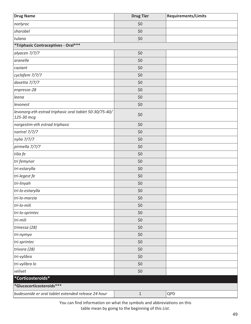| <b>Drug Name</b>                                                     | <b>Drug Tier</b> | <b>Requirements/Limits</b> |
|----------------------------------------------------------------------|------------------|----------------------------|
| norlyroc                                                             | \$0              |                            |
| sharobel                                                             | \$0              |                            |
| tulana                                                               | \$0              |                            |
| *Triphasic Contraceptives - Oral***                                  |                  |                            |
| alyacen 7/7/7                                                        | \$0              |                            |
| aranelle                                                             | \$0              |                            |
| caziant                                                              | \$0              |                            |
| cyclafem 7/7/7                                                       | \$0              |                            |
| dasetta 7/7/7                                                        | \$0              |                            |
| enpresse-28                                                          | \$0              |                            |
| leena                                                                | \$0              |                            |
| levonest                                                             | \$0              |                            |
| levonorg-eth estrad triphasic oral tablet 50-30/75-40/<br>125-30 mcg | \$0              |                            |
| norgestim-eth estrad triphasic                                       | \$0              |                            |
| nortrel 7/7/7                                                        | \$0              |                            |
| nylia 7/7/7                                                          | \$0              |                            |
| pirmella 7/7/7                                                       | \$0              |                            |
| tilia fe                                                             | \$0              |                            |
| tri femynor                                                          | \$0              |                            |
| tri-estarylla                                                        | \$0              |                            |
| tri-legest fe                                                        | \$0              |                            |
| tri-linyah                                                           | \$0              |                            |
| tri-lo-estarylla                                                     | \$0              |                            |
| tri-lo-marzia                                                        | \$0              |                            |
| tri-lo-mili                                                          | \$0              |                            |
| tri-lo-sprintec                                                      | \$0              |                            |
| tri-mili                                                             | \$0              |                            |
| trinessa (28)                                                        | \$0              |                            |
| tri-nymyo                                                            | \$0              |                            |
| tri-sprintec                                                         | \$0              |                            |
| trivora (28)                                                         | \$0              |                            |
| tri-vylibra                                                          | \$0              |                            |
| tri-vylibra lo                                                       | \$0              |                            |
| velivet                                                              | \$0              |                            |
| *Corticosteroids*                                                    |                  |                            |
| *Glucocorticosteroids***                                             |                  |                            |
| budesonide er oral tablet extended release 24 hour                   | $\mathbf 1$      | QPD                        |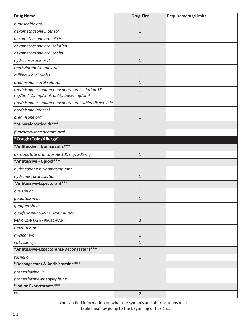| <b>Drug Name</b>                                                                         | <b>Drug Tier</b> | <b>Requirements/Limits</b> |
|------------------------------------------------------------------------------------------|------------------|----------------------------|
| budesonide oral                                                                          | $\mathbf{1}$     |                            |
| dexamethasone intensol                                                                   | $\mathbf{1}$     |                            |
| dexamethasone oral elixir                                                                | $\mathbf{1}$     |                            |
| dexamethasone oral solution                                                              | $\mathbf{1}$     |                            |
| dexamethasone oral tablet                                                                | $\mathbf{1}$     |                            |
| hydrocortisone oral                                                                      | $\mathbf{1}$     |                            |
| methylprednisolone oral                                                                  | $\mathbf{1}$     |                            |
| millipred oral tablet                                                                    | 1                |                            |
| prednisolone oral solution                                                               | $\mathbf{1}$     |                            |
| prednisolone sodium phosphate oral solution 15<br>mg/5ml, 25 mg/5ml, 6.7 (5 base) mg/5ml | $\mathbf{1}$     |                            |
| prednisolone sodium phosphate oral tablet dispersible                                    | $\mathbf{1}$     |                            |
| prednisone intensol                                                                      | 1                |                            |
| prednisone oral                                                                          | $\mathbf{1}$     |                            |
| *Mineralocorticoids***                                                                   |                  |                            |
| fludrocortisone acetate oral                                                             | $\mathbf{1}$     |                            |
| *Cough/Cold/Allergy*                                                                     |                  |                            |
| *Antitussive - Nonnarcotic***                                                            |                  |                            |
| benzonatate oral capsule 100 mg, 200 mg                                                  | $\mathbf{1}$     |                            |
| *Antitussive - Opioid***                                                                 |                  |                            |
| hydrocodone bit-homatrop mbr                                                             | $\mathbf{1}$     |                            |
| hydromet oral solution                                                                   | $\mathbf{1}$     |                            |
| *Antitussive-Expectorant***                                                              |                  |                            |
| g tussin ac                                                                              | $\mathbf{1}$     |                            |
| guaiatussin ac                                                                           | 1                |                            |
| guaifenesin ac                                                                           | 1                |                            |
| guaifenesin-codeine oral solution                                                        | $\mathbf{1}$     |                            |
| MAR-COF CG EXPECTORANT                                                                   | $\overline{2}$   |                            |
| maxi-tuss ac                                                                             | $\mathbf{1}$     |                            |
| m-clear wc                                                                               | $\mathbf{1}$     |                            |
| virtussin a/c                                                                            | $\mathbf{1}$     |                            |
| *Antitussive-Expectorants-Decongestant***                                                |                  |                            |
| tusnel c                                                                                 | $1\,$            |                            |
| *Decongestant & Antihistamine***                                                         |                  |                            |
| promethazine vc                                                                          | $1\,$            |                            |
| promethazine-phenylephrine                                                               | $\mathbf{1}$     |                            |
| *Iodine Expectorants***                                                                  |                  |                            |
| <b>SSKI</b>                                                                              | $\overline{2}$   |                            |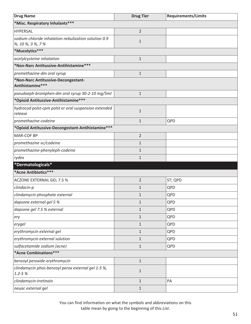| <b>Drug Name</b>                                                          | <b>Drug Tier</b> | <b>Requirements/Limits</b> |  |
|---------------------------------------------------------------------------|------------------|----------------------------|--|
| *Misc. Respiratory Inhalants***                                           |                  |                            |  |
| <b>HYPERSAL</b>                                                           | $\overline{2}$   |                            |  |
| sodium chloride inhalation nebulization solution 0.9<br>%, 10 %, 3 %, 7 % | $\mathbf{1}$     |                            |  |
| *Mucolytics***                                                            |                  |                            |  |
| acetylcysteine inhalation                                                 | $\mathbf{1}$     |                            |  |
| *Non-Narc Antitussive-Antihistamine***                                    |                  |                            |  |
| promethazine-dm oral syrup                                                | $\mathbf{1}$     |                            |  |
| *Non-Narc Antitussive-Decongestant-<br>Antihistamine***                   |                  |                            |  |
| pseudoeph-bromphen-dm oral syrup 30-2-10 mg/5ml                           | $\mathbf{1}$     |                            |  |
| *Opioid Antitussive-Antihistamine***                                      |                  |                            |  |
| hydrocod polst-cpm polst er oral suspension extended<br>release           | $\mathbf{1}$     |                            |  |
| promethazine-codeine                                                      | $\mathbf{1}$     | QPD                        |  |
| *Opioid Antitussive-Decongestant-Antihistamine***                         |                  |                            |  |
| <b>MAR-COF BP</b>                                                         | $\overline{2}$   |                            |  |
| promethazine vc/codeine                                                   | $\mathbf{1}$     |                            |  |
| promethazine-phenyleph-codeine                                            | $\mathbf{1}$     |                            |  |
| rydex                                                                     | $\mathbf{1}$     |                            |  |
| *Dermatologicals*                                                         |                  |                            |  |
| *Acne Antibiotics***                                                      |                  |                            |  |
| <b>ACZONE EXTERNAL GEL 7.5 %</b>                                          | $\overline{2}$   | ST; QPD                    |  |
| clindacin-p                                                               | $\mathbf{1}$     | QPD                        |  |
| clindamycin phosphate external                                            | $\mathbf 1$      | QPD                        |  |
| dapsone external gel 5 %                                                  | $\mathbf 1$      | QPD                        |  |
| dapsone gel 7.5 % external                                                | $\mathbf{1}$     | QPD                        |  |
| ery                                                                       | $\mathbf{1}$     | QPD                        |  |
| erygel                                                                    | $\mathbf{1}$     | QPD                        |  |
| erythromycin external gel                                                 | $\mathbf 1$      | QPD                        |  |
| erythromycin external solution                                            | $\mathbf{1}$     | QPD                        |  |
| sulfacetamide sodium (acne)                                               | $\mathbf{1}$     | QPD                        |  |
| *Acne Combinations***                                                     |                  |                            |  |
| benzoyl peroxide-erythromycin                                             | $1\,$            |                            |  |
| clindamycin phos-benzoyl perox external gel 1-5 %,<br>$1.2 - 5%$          | $\mathbf 1$      |                            |  |
| clindamycin-tretinoin                                                     | $\mathbf{1}$     | PA                         |  |
| neuac external gel                                                        | $\mathbf{1}$     |                            |  |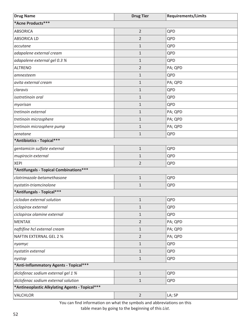| <b>Drug Name</b>                               | <b>Drug Tier</b> | <b>Requirements/Limits</b> |
|------------------------------------------------|------------------|----------------------------|
| *Acne Products***                              |                  |                            |
| <b>ABSORICA</b>                                | $\overline{2}$   | QPD                        |
| <b>ABSORICA LD</b>                             | $\overline{2}$   | QPD                        |
| accutane                                       | $\mathbf{1}$     | QPD                        |
| adapalene external cream                       | $\mathbf{1}$     | QPD                        |
| adapalene external gel 0.3 %                   | $\mathbf{1}$     | QPD                        |
| <b>ALTRENO</b>                                 | $\overline{2}$   | PA; QPD                    |
| amnesteem                                      | $\mathbf 1$      | QPD                        |
| avita external cream                           | $\mathbf{1}$     | PA; QPD                    |
| claravis                                       | $\mathbf{1}$     | QPD                        |
| isotretinoin oral                              | $\mathbf{1}$     | QPD                        |
| myorisan                                       | 1                | QPD                        |
| tretinoin external                             | $\mathbf{1}$     | PA; QPD                    |
| tretinoin microsphere                          | 1                | PA; QPD                    |
| tretinoin microsphere pump                     | $\mathbf{1}$     | PA; QPD                    |
| zenatane                                       | 1                | QPD                        |
| *Antibiotics - Topical***                      |                  |                            |
| gentamicin sulfate external                    | $\mathbf{1}$     | QPD                        |
| mupirocin external                             | $\mathbf{1}$     | QPD                        |
| <b>XEPI</b>                                    | $\overline{2}$   | QPD                        |
| *Antifungals - Topical Combinations***         |                  |                            |
| clotrimazole-betamethasone                     | $\mathbf{1}$     | QPD                        |
| nystatin-triamcinolone                         | $\mathbf{1}$     | QPD                        |
| *Antifungals - Topical***                      |                  |                            |
| ciclodan external solution                     | $\mathbf{1}$     | QPD                        |
| ciclopirox external                            | $\mathbf{1}$     | QPD                        |
| ciclopirox olamine external                    | $\mathbf{1}$     | QPD                        |
| <b>MENTAX</b>                                  | $\overline{2}$   | PA; QPD                    |
| naftifine hcl external cream                   | $\mathbf{1}$     | PA; QPD                    |
| <b>NAFTIN EXTERNAL GEL 2 %</b>                 | $\overline{2}$   | PA; QPD                    |
| nyamyc                                         | $\mathbf{1}$     | QPD                        |
| nystatin external                              | $\mathbf{1}$     | QPD                        |
| nystop                                         | $\mathbf{1}$     | QPD                        |
| *Anti-Inflammatory Agents - Topical***         |                  |                            |
| diclofenac sodium external gel 1 %             | $\mathbf 1$      | QPD                        |
| diclofenac sodium external solution            | $\mathbf{1}$     | QPD                        |
| *Antineoplastic Alkylating Agents - Topical*** |                  |                            |
| VALCHLOR                                       | $\overline{2}$   | LA; SP                     |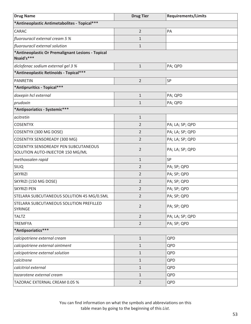| <b>Drug Name</b>                                                                | <b>Drug Tier</b> | <b>Requirements/Limits</b> |
|---------------------------------------------------------------------------------|------------------|----------------------------|
| *Antineoplastic Antimetabolites - Topical***                                    |                  |                            |
| CARAC                                                                           | $\overline{2}$   | PA                         |
| fluorouracil external cream 5 %                                                 | $\mathbf{1}$     |                            |
| fluorouracil external solution                                                  | $\mathbf 1$      |                            |
| *Antineoplastic Or Premalignant Lesions - Topical<br>Nsaid's***                 |                  |                            |
| diclofenac sodium external gel 3 %                                              | $\mathbf{1}$     | PA; QPD                    |
| *Antineoplastic Retinoids - Topical***                                          |                  |                            |
| <b>PANRETIN</b>                                                                 | $\overline{2}$   | SP                         |
| *Antipruritics - Topical***                                                     |                  |                            |
| doxepin hcl external                                                            | $\mathbf{1}$     | PA; QPD                    |
| prudoxin                                                                        | $\mathbf{1}$     | PA; QPD                    |
| *Antipsoriatics - Systemic***                                                   |                  |                            |
| acitretin                                                                       | $\mathbf{1}$     |                            |
| <b>COSENTYX</b>                                                                 | $\overline{2}$   | PA; LA; SP; QPD            |
| COSENTYX (300 MG DOSE)                                                          | $\overline{2}$   | PA; LA; SP; QPD            |
| <b>COSENTYX SENSOREADY (300 MG)</b>                                             | $\overline{2}$   | PA; LA; SP; QPD            |
| <b>COSENTYX SENSOREADY PEN SUBCUTANEOUS</b><br>SOLUTION AUTO-INJECTOR 150 MG/ML | $\overline{2}$   | PA; LA; SP; QPD            |
| methoxsalen rapid                                                               | $\mathbf{1}$     | SP                         |
| <b>SILIQ</b>                                                                    | $\overline{2}$   | PA; SP; QPD                |
| <b>SKYRIZI</b>                                                                  | $\overline{2}$   | PA; SP; QPD                |
| SKYRIZI (150 MG DOSE)                                                           | $\overline{2}$   | PA; SP; QPD                |
| <b>SKYRIZI PEN</b>                                                              | $\overline{2}$   | PA; SP; QPD                |
| STELARA SUBCUTANEOUS SOLUTION 45 MG/0.5ML                                       | 2                | PA; SP; QPD                |
| STELARA SUBCUTANEOUS SOLUTION PREFILLED<br>SYRINGE                              | $\overline{2}$   | PA; SP; QPD                |
| <b>TALTZ</b>                                                                    | $\overline{2}$   | PA; LA; SP; QPD            |
| <b>TREMFYA</b>                                                                  | $\overline{2}$   | PA; SP; QPD                |
| *Antipsoriatics***                                                              |                  |                            |
| calcipotriene external cream                                                    | $\mathbf{1}$     | QPD                        |
| calcipotriene external ointment                                                 | $\mathbf{1}$     | QPD                        |
| calcipotriene external solution                                                 | $\mathbf{1}$     | QPD                        |
| calcitrene                                                                      | $\mathbf{1}$     | QPD                        |
| calcitriol external                                                             | $\mathbf{1}$     | QPD                        |
| tazarotene external cream                                                       | $\mathbf{1}$     | QPD                        |
| TAZORAC EXTERNAL CREAM 0.05 %                                                   | $\overline{2}$   | QPD                        |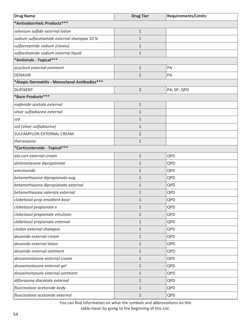| <b>Drug Name</b>                              | <b>Drug Tier</b> | <b>Requirements/Limits</b> |
|-----------------------------------------------|------------------|----------------------------|
| *Antiseborrheic Products***                   |                  |                            |
| selenium sulfide external lotion              | $\mathbf{1}$     |                            |
| sodium sulfacetamide external shampoo 10 %    | $\mathbf{1}$     |                            |
| sulfacetamide sodium (cleans)                 | $\mathbf{1}$     |                            |
| sulfacetamide sodium external liquid          | $\mathbf{1}$     |                            |
| *Antivirals - Topical***                      |                  |                            |
| acyclovir external ointment                   | $\mathbf{1}$     | PA                         |
| <b>DENAVIR</b>                                | $\overline{2}$   | PA                         |
| *Atopic Dermatitis - Monoclonal Antibodies*** |                  |                            |
| <b>DUPIXENT</b>                               | $\overline{2}$   | PA; SP; QPD                |
| *Burn Products***                             |                  |                            |
| mafenide acetate external                     | $\mathbf{1}$     |                            |
| silver sulfadiazine external                  | $\mathbf{1}$     |                            |
| ssd                                           | $\mathbf{1}$     |                            |
| ssd (silver sulfadiazine)                     | $\mathbf{1}$     |                            |
| SULFAMYLON EXTERNAL CREAM                     | $\overline{2}$   |                            |
| thermazene                                    | $\mathbf{1}$     |                            |
| *Corticosteroids - Topical***                 |                  |                            |
| ala-cort external cream                       | $1\,$            | QPD                        |
| alclometasone dipropionate                    | $\mathbf{1}$     | QPD                        |
| amcinonide                                    | $\mathbf{1}$     | QPD                        |
| betamethasone dipropionate aug                | $\mathbf{1}$     | QPD                        |
| betamethasone dipropionate external           | $\mathbf{1}$     | QPD                        |
| betamethasone valerate external               | $\mathbf{1}$     | QPD                        |
| clobetasol prop emollient base                | $\mathbf{1}$     | QPD                        |
| clobetasol propionate e                       | $1\,$            | QPD                        |
| clobetasol propionate emulsion                | $\mathbf{1}$     | QPD                        |
| clobetasol propionate external                | $1\,$            | QPD                        |
| clodan external shampoo                       | $1\,$            | QPD                        |
| desonide external cream                       | $1\,$            | QPD                        |
| desonide external lotion                      | $1\,$            | QPD                        |
| desonide external ointment                    | $1\,$            | QPD                        |
| desoximetasone external cream                 | $\mathbf{1}$     | QPD                        |
| desoximetasone external gel                   | $1\,$            | QPD                        |
| desoximetasone external ointment              | $\mathbf{1}$     | QPD                        |
| diflorasone diacetate external                | $1\,$            | QPD                        |
| fluocinolone acetonide body                   | $\mathbf{1}$     | QPD                        |
| fluocinolone acetonide external               | $1\,$            | QPD                        |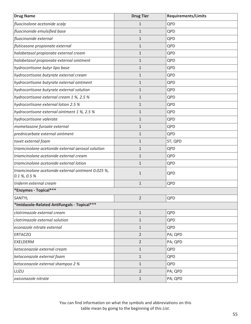| <b>Drug Name</b>                                                      | <b>Drug Tier</b> | <b>Requirements/Limits</b> |
|-----------------------------------------------------------------------|------------------|----------------------------|
| fluocinolone acetonide scalp                                          | $\mathbf 1$      | QPD                        |
| fluocinonide emulsified base                                          | $\mathbf{1}$     | QPD                        |
| fluocinonide external                                                 | $\mathbf{1}$     | QPD                        |
| fluticasone propionate external                                       | $\mathbf{1}$     | QPD                        |
| halobetasol propionate external cream                                 | $\mathbf{1}$     | QPD                        |
| halobetasol propionate external ointment                              | $\mathbf{1}$     | QPD                        |
| hydrocortisone butyr lipo base                                        | $\mathbf{1}$     | QPD                        |
| hydrocortisone butyrate external cream                                | $\mathbf{1}$     | QPD                        |
| hydrocortisone butyrate external ointment                             | $\mathbf{1}$     | QPD                        |
| hydrocortisone butyrate external solution                             | $\mathbf{1}$     | QPD                        |
| hydrocortisone external cream 1 %, 2.5 %                              | $\mathbf{1}$     | QPD                        |
| hydrocortisone external lotion 2.5 %                                  | $\mathbf{1}$     | QPD                        |
| hydrocortisone external ointment 1 %, 2.5 %                           | $\mathbf{1}$     | QPD                        |
| hydrocortisone valerate                                               | $\mathbf{1}$     | QPD                        |
| mometasone furoate external                                           | $\mathbf{1}$     | QPD                        |
| prednicarbate external ointment                                       | $\mathbf{1}$     | QPD                        |
| tovet external foam                                                   | $\mathbf{1}$     | ST; QPD                    |
| triamcinolone acetonide external aerosol solution                     | $\mathbf{1}$     | QPD                        |
| triamcinolone acetonide external cream                                | $\mathbf{1}$     | QPD                        |
| triamcinolone acetonide external lotion                               | $\mathbf{1}$     | QPD                        |
| triamcinolone acetonide external ointment 0.025 %,<br>$0.1\%$ , 0.5 % | $\mathbf{1}$     | QPD                        |
| triderm external cream                                                | $1\,$            | QPD                        |
| *Enzymes - Topical***                                                 |                  |                            |
| SANTYL                                                                | $\overline{2}$   | QPD                        |
| *Imidazole-Related Antifungals - Topical***                           |                  |                            |
| clotrimazole external cream                                           | $1\,$            | QPD                        |
| clotrimazole external solution                                        | $\mathbf{1}$     | QPD                        |
| econazole nitrate external                                            | $\mathbf{1}$     | QPD                        |
| <b>ERTACZO</b>                                                        | $\overline{2}$   | PA; QPD                    |
| EXELDERM                                                              | $\overline{2}$   | PA; QPD                    |
| ketoconazole external cream                                           | $\mathbf{1}$     | QPD                        |
| ketoconazole external foam                                            | $\mathbf{1}$     | QPD                        |
| ketoconazole external shampoo 2 %                                     | $\mathbf{1}$     | QPD                        |
| LUZU                                                                  | $\overline{2}$   | PA; QPD                    |
| oxiconazole nitrate                                                   | $1\,$            | PA; QPD                    |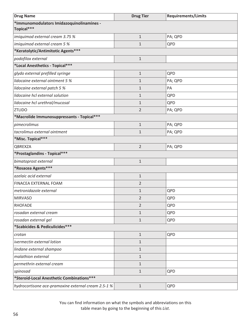| <b>Drug Name</b>                                        | <b>Drug Tier</b> | <b>Requirements/Limits</b> |
|---------------------------------------------------------|------------------|----------------------------|
| *Immunomodulators Imidazoquinolinamines -<br>Topical*** |                  |                            |
| imiquimod external cream 3.75 %                         | $\mathbf{1}$     | PA; QPD                    |
| imiquimod external cream 5 %                            | $\mathbf{1}$     | QPD                        |
| *Keratolytic/Antimitotic Agents***                      |                  |                            |
| podofilox external                                      | $\mathbf 1$      |                            |
| *Local Anesthetics - Topical***                         |                  |                            |
| glydo external prefilled syringe                        | $\mathbf 1$      | QPD                        |
| lidocaine external ointment 5 %                         | 1                | PA; QPD                    |
| lidocaine external patch 5 %                            | $\mathbf 1$      | PA                         |
| lidocaine hcl external solution                         | $\mathbf 1$      | QPD                        |
| lidocaine hcl urethral/mucosal                          | $\mathbf 1$      | QPD                        |
| <b>ZTLIDO</b>                                           | $\overline{2}$   | PA; QPD                    |
| *Macrolide Immunosuppressants - Topical***              |                  |                            |
| pimecrolimus                                            | $\mathbf{1}$     | PA; QPD                    |
| tacrolimus external ointment                            | $\mathbf{1}$     | PA; QPD                    |
| *Misc. Topical***                                       |                  |                            |
| QBREXZA                                                 | $\overline{2}$   | PA; QPD                    |
| *Prostaglandins - Topical***                            |                  |                            |
| bimatoprost external                                    | $\mathbf{1}$     |                            |
| *Rosacea Agents***                                      |                  |                            |
| azelaic acid external                                   | $\mathbf{1}$     |                            |
| FINACEA EXTERNAL FOAM                                   | $\overline{2}$   |                            |
| metronidazole external                                  | $\mathbf{1}$     | QPD                        |
| <b>MIRVASO</b>                                          | 2                | QPD                        |
| <b>RHOFADE</b>                                          | $\overline{2}$   | QPD                        |
| rosadan external cream                                  | $\mathbf{1}$     | QPD                        |
| rosadan external gel                                    | $\mathbf{1}$     | QPD                        |
| *Scabicides & Pediculicides***                          |                  |                            |
| crotan                                                  | $\mathbf{1}$     | QPD                        |
| ivermectin external lotion                              | $\mathbf{1}$     |                            |
| lindane external shampoo                                | $\mathbf{1}$     |                            |
| malathion external                                      | $\mathbf{1}$     |                            |
| permethrin external cream                               | $\mathbf{1}$     |                            |
| spinosad                                                | $\mathbf{1}$     | QPD                        |
| *Steroid-Local Anesthetic Combinations***               |                  |                            |
| hydrocortisone ace-pramoxine external cream 2.5-1 %     | $\mathbf 1$      | QPD                        |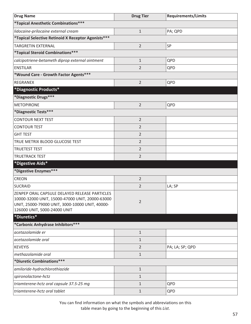| <b>Drug Name</b>                                                                                                                                    | <b>Drug Tier</b> | <b>Requirements/Limits</b> |
|-----------------------------------------------------------------------------------------------------------------------------------------------------|------------------|----------------------------|
| *Topical Anesthetic Combinations***                                                                                                                 |                  |                            |
| lidocaine-prilocaine external cream                                                                                                                 | $\mathbf{1}$     | PA; QPD                    |
| *Topical Selective Retinoid X Receptor Agonists***                                                                                                  |                  |                            |
| <b>TARGRETIN EXTERNAL</b>                                                                                                                           | $\overline{2}$   | SP                         |
| *Topical Steroid Combinations***                                                                                                                    |                  |                            |
| calcipotriene-betameth diprop external ointment                                                                                                     | $\mathbf{1}$     | QPD                        |
| <b>ENSTILAR</b>                                                                                                                                     | $\overline{2}$   | QPD                        |
| *Wound Care - Growth Factor Agents***                                                                                                               |                  |                            |
| <b>REGRANEX</b>                                                                                                                                     | $\overline{2}$   | QPD                        |
| *Diagnostic Products*                                                                                                                               |                  |                            |
| *Diagnostic Drugs***                                                                                                                                |                  |                            |
| <b>METOPIRONE</b>                                                                                                                                   | $\overline{2}$   | QPD                        |
| *Diagnostic Tests***                                                                                                                                |                  |                            |
| <b>CONTOUR NEXT TEST</b>                                                                                                                            | $\overline{2}$   |                            |
| <b>CONTOUR TEST</b>                                                                                                                                 | $\overline{2}$   |                            |
| <b>GHT TEST</b>                                                                                                                                     | $\overline{2}$   |                            |
| TRUE METRIX BLOOD GLUCOSE TEST                                                                                                                      | $\overline{2}$   |                            |
| <b>TRUETEST TEST</b>                                                                                                                                | $\overline{2}$   |                            |
| <b>TRUETRACK TEST</b>                                                                                                                               | $\overline{2}$   |                            |
| *Digestive Aids*                                                                                                                                    |                  |                            |
| *Digestive Enzymes***                                                                                                                               |                  |                            |
| <b>CREON</b>                                                                                                                                        | $\overline{2}$   |                            |
| <b>SUCRAID</b>                                                                                                                                      | $\overline{2}$   | LA; SP                     |
| ZENPEP ORAL CAPSULE DELAYED RELEASE PARTICLES<br>10000-32000 UNIT, 15000-47000 UNIT, 20000-63000<br>UNIT, 25000-79000 UNIT, 3000-10000 UNIT, 40000- | $\overline{2}$   |                            |
| 126000 UNIT, 5000-24000 UNIT                                                                                                                        |                  |                            |
| *Diuretics*                                                                                                                                         |                  |                            |
| *Carbonic Anhydrase Inhibitors ***                                                                                                                  |                  |                            |
| acetazolamide er                                                                                                                                    | $1\,$            |                            |
| acetazolamide oral                                                                                                                                  | 1                |                            |
| <b>KEVEYIS</b>                                                                                                                                      | $\overline{2}$   | PA; LA; SP; QPD            |
| methazolamide oral                                                                                                                                  | $\mathbf{1}$     |                            |
| *Diuretic Combinations***                                                                                                                           |                  |                            |
| amiloride-hydrochlorothiazide                                                                                                                       | $1\,$            |                            |
| spironolactone-hctz                                                                                                                                 | $\mathbf{1}$     |                            |
| triamterene-hctz oral capsule 37.5-25 mg                                                                                                            | $1\,$            | QPD                        |
| triamterene-hctz oral tablet                                                                                                                        | $1\,$            | QPD                        |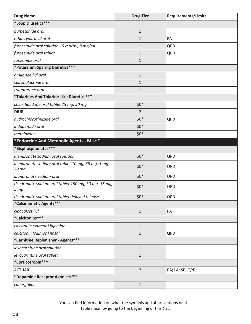| <b>Drug Name</b>                                                        | <b>Drug Tier</b> | <b>Requirements/Limits</b> |
|-------------------------------------------------------------------------|------------------|----------------------------|
| *Loop Diuretics***                                                      |                  |                            |
| bumetanide oral                                                         | $\mathbf 1$      |                            |
| ethacrynic acid oral                                                    | $\mathbf{1}$     | PA                         |
| furosemide oral solution 10 mg/ml, 8 mg/ml                              | $\mathbf{1}$     | QPD                        |
| furosemide oral tablet                                                  | $\mathbf 1$      | QPD                        |
| torsemide oral                                                          | $\mathbf 1$      |                            |
| *Potassium Sparing Diuretics***                                         |                  |                            |
| amiloride hcl oral                                                      | $\mathbf 1$      |                            |
| spironolactone oral                                                     | $\mathbf 1$      |                            |
| triamterene oral                                                        | $\mathbf 1$      |                            |
| *Thiazides And Thiazide-Like Diuretics***                               |                  |                            |
| chlorthalidone oral tablet 25 mg, 50 mg                                 | $$0*$            |                            |
| <b>DIURIL</b>                                                           | 2                |                            |
| hydrochlorothiazide oral                                                | $$0*$            | QPD                        |
| indapamide oral                                                         | $$0*$            |                            |
| metolazone                                                              | $$0*$            |                            |
| *Endocrine And Metabolic Agents - Misc.*                                |                  |                            |
| *Bisphosphonates***                                                     |                  |                            |
| alendronate sodium oral solution                                        | $$0*$            | QPD                        |
| alendronate sodium oral tablet 10 mg, 35 mg, 5 mg,<br>70 mg             | $$0*$            | QPD                        |
| ibandronate sodium oral                                                 | $$0*$            | QPD                        |
| risedronate sodium oral tablet 150 mg, 30 mg, 35 mg,<br>5 <sub>mg</sub> | $$0*$            | QPD                        |
| risedronate sodium oral tablet delayed release                          | $$0*$            | QPD                        |
| *Calcimimetic Agents***                                                 |                  |                            |
| cinacalcet hcl                                                          | $\mathbf{1}$     | PA                         |
| *Calcitonins***                                                         |                  |                            |
| calcitonin (salmon) injection                                           | $\mathbf{1}$     |                            |
| calcitonin (salmon) nasal                                               | $\mathbf{1}$     | QPD                        |
| *Carnitine Replenisher - Agents***                                      |                  |                            |
| levocarnitine oral solution                                             | $\mathbf{1}$     |                            |
| levocarnitine oral tablet                                               | $\mathbf{1}$     |                            |
| *Corticotropin***                                                       |                  |                            |
| <b>ACTHAR</b>                                                           | $\overline{2}$   | PA; LA; SP; QPD            |
| *Dopamine Receptor Agonists***                                          |                  |                            |
| cabergoline                                                             | $1\,$            |                            |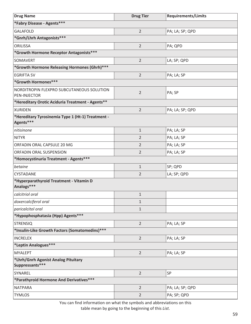| <b>Drug Name</b>                                               | <b>Drug Tier</b> | <b>Requirements/Limits</b> |  |
|----------------------------------------------------------------|------------------|----------------------------|--|
| *Fabry Disease - Agents***                                     |                  |                            |  |
| <b>GALAFOLD</b>                                                | $\overline{2}$   | PA; LA; SP; QPD            |  |
| *Gnrh/Lhrh Antagonists***                                      |                  |                            |  |
| ORILISSA                                                       | $\overline{2}$   | PA; QPD                    |  |
| *Growth Hormone Receptor Antagonists***                        |                  |                            |  |
| SOMAVERT                                                       | $\overline{2}$   | LA; SP; QPD                |  |
| *Growth Hormone Releasing Hormones (Ghrh) ***                  |                  |                            |  |
| <b>EGRIFTA SV</b>                                              | $\overline{2}$   | PA; LA; SP                 |  |
| *Growth Hormones***                                            |                  |                            |  |
| NORDITROPIN FLEXPRO SUBCUTANEOUS SOLUTION<br>PEN-INJECTOR      | $\overline{2}$   | PA; SP                     |  |
| *Hereditary Orotic Aciduria Treatment - Agents**               |                  |                            |  |
| <b>XURIDEN</b>                                                 | $\overline{2}$   | PA; LA; SP; QPD            |  |
| *Hereditary Tyrosinemia Type 1 (Ht-1) Treatment -<br>Agents*** |                  |                            |  |
| nitisinone                                                     | $\mathbf{1}$     | PA; LA; SP                 |  |
| <b>NITYR</b>                                                   | $\overline{2}$   | PA; LA; SP                 |  |
| ORFADIN ORAL CAPSULE 20 MG                                     | $\overline{2}$   | PA; LA; SP                 |  |
| ORFADIN ORAL SUSPENSION                                        | $\overline{2}$   | PA; LA; SP                 |  |
| *Homocystinuria Treatment - Agents***                          |                  |                            |  |
| betaine                                                        | $\mathbf{1}$     | SP; QPD                    |  |
| CYSTADANE                                                      | $\overline{2}$   | LA; SP; QPD                |  |
| *Hyperparathyroid Treatment - Vitamin D<br>Analogs***          |                  |                            |  |
| calcitriol oral                                                | $\mathbf{1}$     |                            |  |
| doxercalciferol oral                                           | $\mathbf{1}$     |                            |  |
| paricalcitol oral                                              | $\mathbf{1}$     |                            |  |
| *Hypophosphatasia (Hpp) Agents***                              |                  |                            |  |
| <b>STRENSIQ</b>                                                | $\overline{2}$   | PA; LA; SP                 |  |
| *Insulin-Like Growth Factors (Somatomedins)***                 |                  |                            |  |
| <b>INCRELEX</b>                                                | $\overline{2}$   | PA; LA; SP                 |  |
| *Leptin Analogues***                                           |                  |                            |  |
| <b>MYALEPT</b>                                                 | $\overline{2}$   | PA; LA; SP                 |  |
| *Lhrh/Gnrh Agonist Analog Pituitary<br>Suppressants***         |                  |                            |  |
| SYNAREL                                                        | $\overline{2}$   | SP                         |  |
| *Parathyroid Hormone And Derivatives***                        |                  |                            |  |
| <b>NATPARA</b>                                                 | $\overline{2}$   | PA; LA; SP; QPD            |  |
| <b>TYMLOS</b>                                                  | $\overline{2}$   | PA; SP; QPD                |  |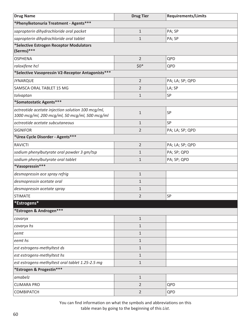| <b>Drug Name</b>                                                                                    | <b>Drug Tier</b> | <b>Requirements/Limits</b> |
|-----------------------------------------------------------------------------------------------------|------------------|----------------------------|
| *Phenylketonuria Treatment - Agents***                                                              |                  |                            |
| sapropterin dihydrochloride oral packet                                                             | $1\,$            | PA; SP                     |
| sapropterin dihydrochloride oral tablet                                                             | $\mathbf{1}$     | PA; SP                     |
| *Selective Estrogen Receptor Modulators                                                             |                  |                            |
| (Serms)***                                                                                          |                  |                            |
| <b>OSPHENA</b>                                                                                      | $\overline{2}$   | QPD                        |
| raloxifene hcl                                                                                      | $$0*$            | QPD                        |
| *Selective Vasopressin V2-Receptor Antagonists***                                                   |                  |                            |
| <b>JYNARQUE</b>                                                                                     | $\overline{2}$   | PA; LA; SP; QPD            |
| SAMSCA ORAL TABLET 15 MG                                                                            | $\overline{2}$   | LA; SP                     |
| tolvaptan                                                                                           | $1\,$            | SP                         |
| *Somatostatic Agents***                                                                             |                  |                            |
| octreotide acetate injection solution 100 mcg/ml,<br>1000 mcg/ml, 200 mcg/ml, 50 mcg/ml, 500 mcg/ml | $1\,$            | SP                         |
| octreotide acetate subcutaneous                                                                     | $1\,$            | SP                         |
| <b>SIGNIFOR</b>                                                                                     | $\overline{2}$   | PA; LA; SP; QPD            |
| *Urea Cycle Disorder - Agents***                                                                    |                  |                            |
| <b>RAVICTI</b>                                                                                      | $\overline{2}$   | PA; LA; SP; QPD            |
| sodium phenylbutyrate oral powder 3 gm/tsp                                                          | 1                | PA; SP; QPD                |
| sodium phenylbutyrate oral tablet                                                                   | $1\,$            | PA; SP; QPD                |
| *Vasopressin***                                                                                     |                  |                            |
| desmopressin ace spray refrig                                                                       | $1\,$            |                            |
| desmopressin acetate oral                                                                           | $\mathbf{1}$     |                            |
| desmopressin acetate spray                                                                          | $1\,$            |                            |
| <b>STIMATE</b>                                                                                      | $\overline{2}$   | ${\sf SP}$                 |
| *Estrogens*                                                                                         |                  |                            |
| *Estrogen & Androgen***                                                                             |                  |                            |
| covaryx                                                                                             | $1\,$            |                            |
| covaryx hs                                                                                          | $1\,$            |                            |
| eemt                                                                                                | $\mathbf{1}$     |                            |
| eemt hs                                                                                             | $1\,$            |                            |
| est estrogens-methyltest ds                                                                         | $\mathbf{1}$     |                            |
| est estrogens-methyltest hs                                                                         | $1\,$            |                            |
| est estrogens-methyltest oral tablet 1.25-2.5 mg                                                    | $1\,$            |                            |
| *Estrogen & Progestin***                                                                            |                  |                            |
| amabelz                                                                                             | $1\,$            |                            |
| <b>CLIMARA PRO</b>                                                                                  | 2                | QPD                        |
| COMBIPATCH                                                                                          | $\overline{2}$   | QPD                        |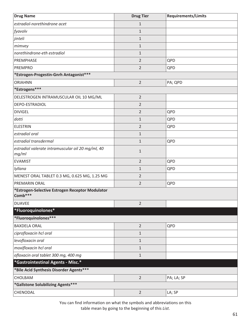| <b>Drug Name</b>                                           | <b>Drug Tier</b> | <b>Requirements/Limits</b> |
|------------------------------------------------------------|------------------|----------------------------|
| estradiol-norethindrone acet                               | $\mathbf{1}$     |                            |
| fyavolv                                                    | $\mathbf{1}$     |                            |
| jinteli                                                    | $\mathbf{1}$     |                            |
| mimvey                                                     | $\mathbf{1}$     |                            |
| norethindrone-eth estradiol                                | $\mathbf{1}$     |                            |
| PREMPHASE                                                  | $\overline{2}$   | QPD                        |
| <b>PREMPRO</b>                                             | $\overline{2}$   | QPD                        |
| *Estrogen-Progestin-Gnrh Antagonist***                     |                  |                            |
| <b>ORIAHNN</b>                                             | $\overline{2}$   | PA; QPD                    |
| *Estrogens***                                              |                  |                            |
| DELESTROGEN INTRAMUSCULAR OIL 10 MG/ML                     | $\overline{2}$   |                            |
| DEPO-ESTRADIOL                                             | $\overline{2}$   |                            |
| <b>DIVIGEL</b>                                             | $\overline{2}$   | QPD                        |
| dotti                                                      | $\mathbf{1}$     | QPD                        |
| <b>ELESTRIN</b>                                            | $\overline{2}$   | QPD                        |
| estradiol oral                                             | $\mathbf{1}$     |                            |
| estradiol transdermal                                      | $\mathbf{1}$     | QPD                        |
| estradiol valerate intramuscular oil 20 mg/ml, 40<br>mg/ml | $\mathbf 1$      |                            |
| <b>EVAMIST</b>                                             | $\overline{2}$   | QPD                        |
| lyllana                                                    | $\mathbf{1}$     | QPD                        |
| MENEST ORAL TABLET 0.3 MG, 0.625 MG, 1.25 MG               | $\overline{2}$   |                            |
| <b>PREMARIN ORAL</b>                                       | $\overline{2}$   | QPD                        |
| *Estrogen-Selective Estrogen Receptor Modulator<br>Comb*** |                  |                            |
| <b>DUAVEE</b>                                              | $\overline{2}$   |                            |
| *Fluoroquinolones*                                         |                  |                            |
| *Fluoroquinolones***                                       |                  |                            |
| <b>BAXDELA ORAL</b>                                        | $\overline{2}$   | QPD                        |
| ciprofloxacin hcl oral                                     | $\mathbf{1}$     |                            |
| levofloxacin oral                                          | $\mathbf{1}$     |                            |
| moxifloxacin hcl oral                                      | $\mathbf{1}$     |                            |
| ofloxacin oral tablet 300 mg, 400 mg                       | $\mathbf{1}$     |                            |
| *Gastrointestinal Agents - Misc.*                          |                  |                            |
| *Bile Acid Synthesis Disorder Agents***                    |                  |                            |
| CHOLBAM                                                    | $\overline{2}$   | PA; LA; SP                 |
| *Gallstone Solubilizing Agents***                          |                  |                            |
| CHENODAL                                                   | $\overline{2}$   | LA; SP                     |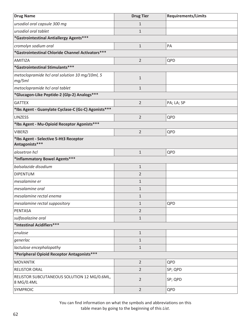| <b>Drug Name</b>                                          | <b>Drug Tier</b> | <b>Requirements/Limits</b> |
|-----------------------------------------------------------|------------------|----------------------------|
| ursodiol oral capsule 300 mg                              | $\mathbf{1}$     |                            |
| ursodiol oral tablet                                      | $\mathbf{1}$     |                            |
| *Gastrointestinal Antiallergy Agents***                   |                  |                            |
| cromolyn sodium oral                                      | $1\,$            | PA                         |
| *Gastrointestinal Chloride Channel Activators***          |                  |                            |
| AMITIZA                                                   | $\overline{2}$   | QPD                        |
| *Gastrointestinal Stimulants***                           |                  |                            |
| metoclopramide hcl oral solution 10 mg/10ml, 5<br>mg/5ml  | $1\,$            |                            |
| metoclopramide hcl oral tablet                            | $\mathbf{1}$     |                            |
| *Glucagon-Like Peptide-2 (Glp-2) Analogs***               |                  |                            |
| <b>GATTEX</b>                                             | $\overline{2}$   | PA; LA; SP                 |
| *Ibs Agent - Guanylate Cyclase-C (Gc-C) Agonists***       |                  |                            |
| <b>LINZESS</b>                                            | $\overline{2}$   | QPD                        |
| *Ibs Agent - Mu-Opioid Receptor Agonists***               |                  |                            |
| <b>VIBERZI</b>                                            | $\overline{2}$   | QPD                        |
| *Ibs Agent - Selective 5-Ht3 Receptor<br>Antagonists***   |                  |                            |
| alosetron hcl                                             | $\mathbf{1}$     | QPD                        |
| *Inflammatory Bowel Agents***                             |                  |                            |
| balsalazide disodium                                      | $1\,$            |                            |
| <b>DIPENTUM</b>                                           | $\overline{2}$   |                            |
| mesalamine er                                             | $\mathbf{1}$     |                            |
| mesalamine oral                                           | $1\,$            |                            |
| mesalamine rectal enema                                   | $\mathbf{1}$     |                            |
| mesalamine rectal suppository                             | $\mathbf{1}$     | QPD                        |
| PENTASA                                                   | $\overline{2}$   |                            |
| sulfasalazine oral                                        | $1\,$            |                            |
| *Intestinal Acidifiers***                                 |                  |                            |
| enulose                                                   | $1\,$            |                            |
| generlac                                                  | $\mathbf{1}$     |                            |
| lactulose encephalopathy                                  | $\mathbf{1}$     |                            |
| *Peripheral Opioid Receptor Antagonists***                |                  |                            |
| <b>MOVANTIK</b>                                           | $\overline{2}$   | QPD                        |
| <b>RELISTOR ORAL</b>                                      | $\overline{2}$   | SP; QPD                    |
| RELISTOR SUBCUTANEOUS SOLUTION 12 MG/0.6ML,<br>8 MG/0.4ML | $\overline{2}$   | SP; QPD                    |
| SYMPROIC                                                  | $\overline{2}$   | QPD                        |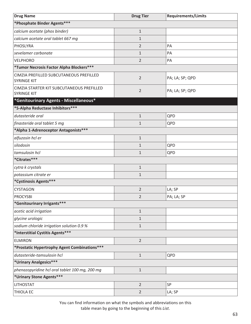| <b>Drug Name</b>                                                | <b>Drug Tier</b> | <b>Requirements/Limits</b> |  |
|-----------------------------------------------------------------|------------------|----------------------------|--|
| *Phosphate Binder Agents***                                     |                  |                            |  |
| calcium acetate (phos binder)                                   | $\mathbf{1}$     |                            |  |
| calcium acetate oral tablet 667 mg                              | $\mathbf{1}$     |                            |  |
| PHOSLYRA                                                        | $\overline{2}$   | PA                         |  |
| sevelamer carbonate                                             | $\mathbf{1}$     | PA                         |  |
| <b>VELPHORO</b>                                                 | $\overline{2}$   | PA                         |  |
| *Tumor Necrosis Factor Alpha Blockers***                        |                  |                            |  |
| CIMZIA PREFILLED SUBCUTANEOUS PREFILLED<br><b>SYRINGE KIT</b>   | $\overline{2}$   | PA; LA; SP; QPD            |  |
| CIMZIA STARTER KIT SUBCUTANEOUS PREFILLED<br><b>SYRINGE KIT</b> | $\overline{2}$   | PA; LA; SP; QPD            |  |
| *Genitourinary Agents - Miscellaneous*                          |                  |                            |  |
| *5-Alpha Reductase Inhibitors ***                               |                  |                            |  |
| dutasteride oral                                                | $\mathbf{1}$     | QPD                        |  |
| finasteride oral tablet 5 mg                                    | $\mathbf 1$      | QPD                        |  |
| *Alpha 1-Adrenoceptor Antagonists***                            |                  |                            |  |
| alfuzosin hcl er                                                | $\mathbf{1}$     |                            |  |
| silodosin                                                       | $\mathbf 1$      | QPD                        |  |
| tamsulosin hcl                                                  | $\mathbf{1}$     | QPD                        |  |
| *Citrates***                                                    |                  |                            |  |
| cytra k crystals                                                | $\mathbf{1}$     |                            |  |
| potassium citrate er                                            | $\mathbf{1}$     |                            |  |
| *Cystinosis Agents***                                           |                  |                            |  |
| <b>CYSTAGON</b>                                                 | $\overline{2}$   | LA; SP                     |  |
| <b>PROCYSBI</b>                                                 | $\overline{2}$   | PA; LA; SP                 |  |
| *Genitourinary Irrigants***                                     |                  |                            |  |
| acetic acid irrigation                                          | $1\,$            |                            |  |
| glycine urologic                                                | 1                |                            |  |
| sodium chloride irrigation solution 0.9 %                       | $\mathbf{1}$     |                            |  |
| *Interstitial Cystitis Agents***                                |                  |                            |  |
| <b>ELMIRON</b>                                                  | $\overline{2}$   |                            |  |
| *Prostatic Hypertrophy Agent Combinations***                    |                  |                            |  |
| dutasteride-tamsulosin hcl                                      | $1\,$            | QPD                        |  |
| *Urinary Analgesics***                                          |                  |                            |  |
| phenazopyridine hcl oral tablet 100 mg, 200 mg                  | $\mathbf 1$      |                            |  |
| *Urinary Stone Agents***                                        |                  |                            |  |
| <b>LITHOSTAT</b>                                                | $\overline{2}$   | SP                         |  |
| THIOLA EC                                                       | $\overline{2}$   | LA; SP                     |  |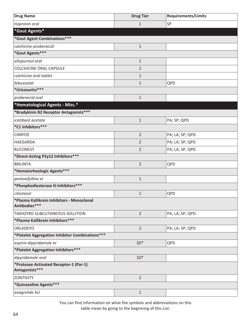| <b>Drug Name</b>                                            | <b>Drug Tier</b> | <b>Requirements/Limits</b> |
|-------------------------------------------------------------|------------------|----------------------------|
| tiopronin oral                                              | $\mathbf{1}$     | SP                         |
| *Gout Agents*                                               |                  |                            |
| *Gout Agent Combinations***                                 |                  |                            |
| colchicine-probenecid                                       | $1\,$            |                            |
| *Gout Agents***                                             |                  |                            |
| allopurinol oral                                            | $\mathbf{1}$     |                            |
| <b>COLCHICINE ORAL CAPSULE</b>                              | $\overline{2}$   |                            |
| colchicine oral tablet                                      | $\mathbf{1}$     |                            |
| febuxostat                                                  | $\mathbf{1}$     | QPD                        |
| *Uricosurics***                                             |                  |                            |
| probenecid oral                                             | $\mathbf{1}$     |                            |
| *Hematological Agents - Misc.*                              |                  |                            |
| *Bradykinin B2 Receptor Antagonists***                      |                  |                            |
| icatibant acetate                                           | $\mathbf{1}$     | PA; SP; QPD                |
| *C1 Inhibitors***                                           |                  |                            |
| <b>CINRYZE</b>                                              | $\overline{2}$   | PA; LA; SP; QPD            |
| <b>HAEGARDA</b>                                             | $\overline{2}$   | PA; LA; SP; QPD            |
| <b>RUCONEST</b>                                             | $\overline{2}$   | PA; LA; SP; QPD            |
| *Direct-Acting P2y12 Inhibitors ***                         |                  |                            |
| <b>BRILINTA</b>                                             | $\overline{2}$   | QPD                        |
| *Hematorheologic Agents***                                  |                  |                            |
| pentoxifylline er                                           | $\mathbf{1}$     |                            |
| *Phosphodiesterase lii Inhibitors ***                       |                  |                            |
| cilostazol                                                  | $\mathbf{1}$     | QPD                        |
| *Plasma Kallikrein Inhibitors - Monoclonal<br>Antibodies*** |                  |                            |
| TAKHZYRO SUBCUTANEOUS SOLUTION                              | $\overline{2}$   | PA; LA; SP; QPD            |
| *Plasma Kallikrein Inhibitors***                            |                  |                            |
| ORLADEYO                                                    | $\overline{2}$   | PA; LA; SP; QPD            |
| *Platelet Aggregation Inhibitor Combinations***             |                  |                            |
| aspirin-dipyridamole er                                     | $$0*$            | QPD                        |
| *Platelet Aggregation Inhibitors ***                        |                  |                            |
| dipyridamole oral                                           | $$0*$            |                            |
| *Protease-Activated Receptor-1 (Par-1)<br>Antagonists***    |                  |                            |
| ZONTIVITY                                                   | $\overline{2}$   |                            |
| *Quinazoline Agents***                                      |                  |                            |
| anagrelide hcl                                              | $\mathbf{1}$     |                            |

You can find information on what the symbols and abbreviations on this

table mean by going to the beginning of this *List*.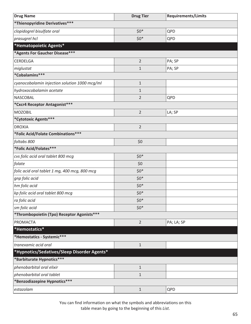| <b>Drug Name</b>                              | <b>Drug Tier</b> | <b>Requirements/Limits</b> |
|-----------------------------------------------|------------------|----------------------------|
| *Thienopyridine Derivatives***                |                  |                            |
| clopidogrel bisulfate oral                    | $$0*$            | QPD                        |
| prasugrel hcl                                 | $$0*$            | QPD                        |
| *Hematopoietic Agents*                        |                  |                            |
| *Agents For Gaucher Disease***                |                  |                            |
| CERDELGA                                      | $\overline{2}$   | PA; SP                     |
| miglustat                                     | $\mathbf{1}$     | PA; SP                     |
| *Cobalamins***                                |                  |                            |
| cyanocobalamin injection solution 1000 mcg/ml | $\mathbf{1}$     |                            |
| hydroxocobalamin acetate                      | $\mathbf{1}$     |                            |
| <b>NASCOBAL</b>                               | $\overline{2}$   | QPD                        |
| *Cxcr4 Receptor Antagonist***                 |                  |                            |
| <b>MOZOBIL</b>                                | $\overline{2}$   | LA; SP                     |
| *Cytotoxic Agents***                          |                  |                            |
| <b>DROXIA</b>                                 | $\overline{2}$   |                            |
| *Folic Acid/Folate Combinations***            |                  |                            |
| foltabs 800                                   | \$0              |                            |
| *Folic Acid/Folates***                        |                  |                            |
| cvs folic acid oral tablet 800 mcg            | $$0*$            |                            |
| folate                                        | \$0              |                            |
| folic acid oral tablet 1 mg, 400 mcg, 800 mcg | $$0*$            |                            |
| gnp folic acid                                | $$0*$            |                            |
| hm folic acid                                 | $$0*$            |                            |
| kp folic acid oral tablet 800 mcg             | $$0*$            |                            |
| ra folic acid                                 | $$0*$            |                            |
| sm folic acid                                 | $$0^*$           |                            |
| *Thrombopoietin (Tpo) Receptor Agonists***    |                  |                            |
| PROMACTA                                      | $\overline{2}$   | PA; LA; SP                 |
| *Hemostatics*                                 |                  |                            |
| *Hemostatics - Systemic***                    |                  |                            |
| tranexamic acid oral                          | $\mathbf 1$      |                            |
| *Hypnotics/Sedatives/Sleep Disorder Agents*   |                  |                            |
| *Barbiturate Hypnotics***                     |                  |                            |
| phenobarbital oral elixir                     | $\mathbf{1}$     |                            |
| phenobarbital oral tablet                     | $\mathbf{1}$     |                            |
| *Benzodiazepine Hypnotics***                  |                  |                            |
| estazolam                                     | $1\,$            | QPD                        |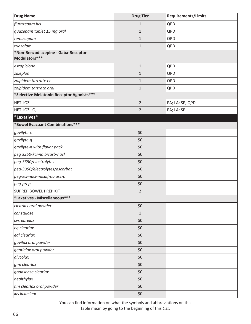| <b>Drug Name</b>                                     | <b>Drug Tier</b> | <b>Requirements/Limits</b> |
|------------------------------------------------------|------------------|----------------------------|
| flurazepam hcl                                       | $\mathbf{1}$     | QPD                        |
| quazepam tablet 15 mg oral                           | $\mathbf 1$      | QPD                        |
| temazepam                                            | $\mathbf{1}$     | QPD                        |
| triazolam                                            | $\mathbf{1}$     | QPD                        |
| *Non-Benzodiazepine - Gaba-Receptor<br>Modulators*** |                  |                            |
| eszopiclone                                          | $\mathbf{1}$     | QPD                        |
| zaleplon                                             | $\mathbf{1}$     | QPD                        |
| zolpidem tartrate er                                 | $\mathbf{1}$     | QPD                        |
| zolpidem tartrate oral                               | $\mathbf{1}$     | QPD                        |
| *Selective Melatonin Receptor Agonists***            |                  |                            |
| <b>HETLIOZ</b>                                       | $\overline{2}$   | PA; LA; SP; QPD            |
| <b>HETLIOZ LQ</b>                                    | $\overline{2}$   | PA; LA; SP                 |
| *Laxatives*                                          |                  |                            |
| *Bowel Evacuant Combinations***                      |                  |                            |
| gavilyte-c                                           | \$0              |                            |
| gavilyte-g                                           | \$0              |                            |
| gavilyte-n with flavor pack                          | \$0              |                            |
| peg 3350-kcl-na bicarb-nacl                          | \$0              |                            |
| peg-3350/electrolytes                                | \$0              |                            |
| peg-3350/electrolytes/ascorbat                       | \$0              |                            |
| peg-kcl-nacl-nasulf-na asc-c                         | \$0              |                            |
| peg-prep                                             | \$0              |                            |
| <b>SUPREP BOWEL PREP KIT</b>                         | $\overline{2}$   |                            |
| *Laxatives - Miscellaneous***                        |                  |                            |
| clearlax oral powder                                 | \$0              |                            |
| constulose                                           | $\mathbf{1}$     |                            |
| cvs purelax                                          | \$0              |                            |
| eg clearlax                                          | \$0              |                            |
| egl clearlax                                         | \$0              |                            |
| gavilax oral powder                                  | \$0              |                            |
| gentlelax oral powder                                | \$0              |                            |
| glycolax                                             | \$0              |                            |
| gnp clearlax                                         | \$0              |                            |
| goodsense clearlax                                   | \$0              |                            |
| healthylax                                           | \$0              |                            |
| hm clearlax oral powder                              | \$0              |                            |
| kls laxaclear                                        | \$0              |                            |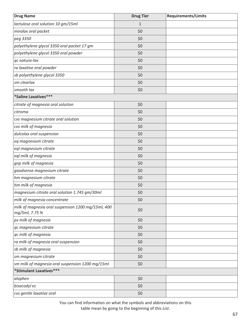| <b>Drug Name</b>                                                     | <b>Drug Tier</b> | <b>Requirements/Limits</b> |
|----------------------------------------------------------------------|------------------|----------------------------|
| lactulose oral solution 10 gm/15ml                                   | $\mathbf{1}$     |                            |
| miralax oral packet                                                  | \$0              |                            |
| peg 3350                                                             | \$0              |                            |
| polyethylene glycol 3350 oral packet 17 gm                           | \$0              |                            |
| polyethylene glycol 3350 oral powder                                 | \$0              |                            |
| qc natura-lax                                                        | \$0              |                            |
| ra laxative oral powder                                              | \$0              |                            |
| sb polyethylene glycol 3350                                          | \$0              |                            |
| sm clearlax                                                          | \$0              |                            |
| smooth lax                                                           | \$0              |                            |
| *Saline Laxatives ***                                                |                  |                            |
| citrate of magnesia oral solution                                    | \$0              |                            |
| citroma                                                              | \$0              |                            |
| cvs magnesium citrate oral solution                                  | \$0              |                            |
| cvs milk of magnesia                                                 | \$0              |                            |
| dulcolax oral suspension                                             | \$0              |                            |
| eq magnesium citrate                                                 | \$0              |                            |
| eql magnesium citrate                                                | \$0              |                            |
| eql milk of magnesia                                                 | \$0              |                            |
| gnp milk of magnesia                                                 | \$0              |                            |
| goodsense magnesium citrate                                          | \$0              |                            |
| hm magnesium citrate                                                 | \$0              |                            |
| hm milk of magnesia                                                  | \$0              |                            |
| magnesium citrate oral solution 1.745 gm/30ml                        | \$0              |                            |
| milk of magnesia concentrate                                         | \$0              |                            |
| milk of magnesia oral suspension 1200 mg/15ml, 400<br>mg/5ml, 7.75 % | \$0              |                            |
| px milk of magnesia                                                  | \$0              |                            |
| qc magnesium citrate                                                 | \$0              |                            |
| qc milk of magnesia                                                  | \$0              |                            |
| ra milk of magnesia oral suspension                                  | \$0              |                            |
| sb milk of magnesia                                                  | \$0              |                            |
| sm magnesium citrate                                                 | \$0              |                            |
| sm milk of magnesia oral suspension 1200 mg/15ml                     | \$0              |                            |
| *Stimulant Laxatives***                                              |                  |                            |
| alophen                                                              | \$0              |                            |
| bisacodyl ec                                                         | \$0              |                            |
| cvs gentle laxative oral                                             | \$0              |                            |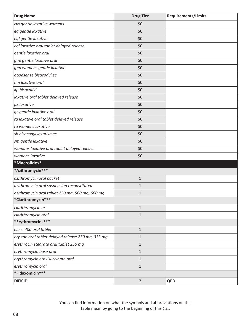| <b>Drug Name</b>                                   | <b>Drug Tier</b> | <b>Requirements/Limits</b> |
|----------------------------------------------------|------------------|----------------------------|
| cvs gentle laxative womens                         | \$0              |                            |
| eq gentle laxative                                 | \$0              |                            |
| eql gentle laxative                                | \$0              |                            |
| eql laxative oral tablet delayed release           | \$0              |                            |
| gentle laxative oral                               | \$0              |                            |
| gnp gentle laxative oral                           | \$0              |                            |
| gnp womens gentle laxative                         | \$0              |                            |
| goodsense bisacodyl ec                             | \$0              |                            |
| hm laxative oral                                   | \$0              |                            |
| kp bisacodyl                                       | \$0              |                            |
| laxative oral tablet delayed release               | \$0              |                            |
| px laxative                                        | \$0              |                            |
| qc gentle laxative oral                            | \$0              |                            |
| ra laxative oral tablet delayed release            | \$0              |                            |
| ra womens laxative                                 | \$0              |                            |
| sb bisacodyl laxative ec                           | \$0              |                            |
| sm gentle laxative                                 | \$0              |                            |
| womans laxative oral tablet delayed release        | \$0              |                            |
| womens laxative                                    | \$0              |                            |
| *Macrolides*                                       |                  |                            |
| *Azithromycin***                                   |                  |                            |
| azithromycin oral packet                           | $\mathbf 1$      |                            |
| azithromycin oral suspension reconstituted         | $\mathbf{1}$     |                            |
| azithromycin oral tablet 250 mg, 500 mg, 600 mg    | $\mathbf{1}$     |                            |
| *Clarithromycin***                                 |                  |                            |
| clarithromycin er                                  | $\mathbf{1}$     |                            |
| clarithromycin oral                                | $\mathbf 1$      |                            |
| *Erythromycins***                                  |                  |                            |
| e.e.s. 400 oral tablet                             | $\mathbf 1$      |                            |
| ery-tab oral tablet delayed release 250 mg, 333 mg | $\mathbf 1$      |                            |
| erythrocin stearate oral tablet 250 mg             | $\mathbf{1}$     |                            |
| erythromycin base oral                             | $\mathbf 1$      |                            |
| erythromycin ethylsuccinate oral                   | $\mathbf{1}$     |                            |
| erythromycin oral                                  | $\mathbf{1}$     |                            |
| *Fidaxomicin***                                    |                  |                            |
| <b>DIFICID</b>                                     | $\overline{2}$   | QPD                        |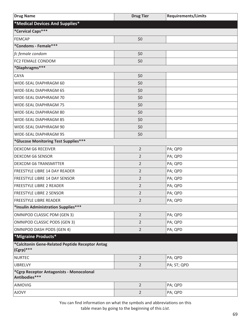| <b>Drug Name</b>                                                | <b>Drug Tier</b> | <b>Requirements/Limits</b> |
|-----------------------------------------------------------------|------------------|----------------------------|
| *Medical Devices And Supplies*                                  |                  |                            |
| *Cervical Caps***                                               |                  |                            |
| <b>FEMCAP</b>                                                   | \$0              |                            |
| *Condoms - Female***                                            |                  |                            |
| fc female condom                                                | \$0              |                            |
| FC2 FEMALE CONDOM                                               | \$0              |                            |
| *Diaphragms***                                                  |                  |                            |
| <b>CAYA</b>                                                     | \$0              |                            |
| WIDE-SEAL DIAPHRAGM 60                                          | \$0              |                            |
| WIDE-SEAL DIAPHRAGM 65                                          | \$0              |                            |
| WIDE-SEAL DIAPHRAGM 70                                          | \$0              |                            |
| WIDE-SEAL DIAPHRAGM 75                                          | \$0              |                            |
| WIDE-SEAL DIAPHRAGM 80                                          | \$0              |                            |
| WIDE-SEAL DIAPHRAGM 85                                          | \$0              |                            |
| WIDE-SEAL DIAPHRAGM 90                                          | \$0              |                            |
| WIDE-SEAL DIAPHRAGM 95                                          | \$0              |                            |
| *Glucose Monitoring Test Supplies***                            |                  |                            |
| <b>DEXCOM G6 RECEIVER</b>                                       | $\overline{2}$   | PA; QPD                    |
| <b>DEXCOM G6 SENSOR</b>                                         | 2                | PA; QPD                    |
| <b>DEXCOM G6 TRANSMITTER</b>                                    | $\overline{2}$   | PA; QPD                    |
| FREESTYLE LIBRE 14 DAY READER                                   | $\overline{2}$   | PA; QPD                    |
| <b>FREESTYLE LIBRE 14 DAY SENSOR</b>                            | $\overline{2}$   | PA; QPD                    |
| <b>FREESTYLE LIBRE 2 READER</b>                                 | $\overline{2}$   | PA; QPD                    |
| <b>FREESTYLE LIBRE 2 SENSOR</b>                                 | $\overline{2}$   | PA; QPD                    |
| <b>FREESTYLE LIBRE READER</b>                                   | 2                | PA; QPD                    |
| *Insulin Administration Supplies***                             |                  |                            |
| <b>OMNIPOD CLASSIC PDM (GEN 3)</b>                              | $\overline{2}$   | PA; QPD                    |
| <b>OMNIPOD CLASSIC PODS (GEN 3)</b>                             | $\overline{2}$   | PA; QPD                    |
| <b>OMNIPOD DASH PODS (GEN 4)</b>                                | $\overline{2}$   | PA; QPD                    |
| *Migraine Products*                                             |                  |                            |
| *Calcitonin Gene-Related Peptide Receptor Antag<br>$(Cgrp)$ *** |                  |                            |
| <b>NURTEC</b>                                                   | $\overline{2}$   | PA; QPD                    |
| <b>UBRELVY</b>                                                  | $\overline{2}$   | PA; ST; QPD                |
| *Cgrp Receptor Antagonists - Monocolonal<br>Antibodies***       |                  |                            |
| <b>AIMOVIG</b>                                                  | $\overline{2}$   | PA; QPD                    |
| <b>AJOVY</b>                                                    | $\overline{2}$   | PA; QPD                    |
|                                                                 |                  |                            |

You can find information on what the symbols and abbreviations on this

table mean by going to the beginning of this *List*.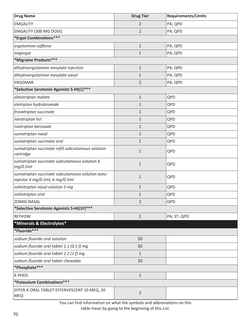| <b>Drug Name</b>                                                                     | <b>Drug Tier</b> | <b>Requirements/Limits</b> |
|--------------------------------------------------------------------------------------|------------------|----------------------------|
| <b>EMGALITY</b>                                                                      | 2                | PA; QPD                    |
| EMGALITY (300 MG DOSE)                                                               | $\overline{2}$   | PA; QPD                    |
| *Ergot Combinations***                                                               |                  |                            |
| ergotamine-caffeine                                                                  | $\mathbf{1}$     | PA; QPD                    |
| migergot                                                                             | $\mathbf{1}$     | PA; QPD                    |
| *Migraine Products***                                                                |                  |                            |
| dihydroergotamine mesylate injection                                                 | $1\,$            | PA; QPD                    |
| dihydroergotamine mesylate nasal                                                     | $\mathbf{1}$     | PA; QPD                    |
| <b>ERGOMAR</b>                                                                       | $\overline{2}$   | PA; QPD                    |
| *Selective Serotonin Agonists 5-Ht(1) ***                                            |                  |                            |
| almotriptan malate                                                                   | $\mathbf 1$      | QPD                        |
| eletriptan hydrobromide                                                              | 1                | QPD                        |
| frovatriptan succinate                                                               | $\mathbf{1}$     | QPD                        |
| naratriptan hcl                                                                      | $\mathbf{1}$     | QPD                        |
| rizatriptan benzoate                                                                 | $\mathbf{1}$     | QPD                        |
| sumatriptan nasal                                                                    | $\mathbf{1}$     | QPD                        |
| sumatriptan succinate oral                                                           | $\mathbf{1}$     | QPD                        |
| sumatriptan succinate refill subcutaneous solution<br>cartridge                      | $\mathbf{1}$     | QPD                        |
| sumatriptan succinate subcutaneous solution 6<br>mg/0.5ml                            | $\mathbf{1}$     | QPD                        |
| sumatriptan succinate subcutaneous solution auto-<br>injector 4 mg/0.5ml, 6 mg/0.5ml | $\mathbf{1}$     | QPD                        |
| zolmitriptan nasal solution 5 mg                                                     | $\mathbf{1}$     | QPD                        |
| zolmitriptan oral                                                                    | $\mathbf{1}$     | QPD                        |
| <b>ZOMIG NASAL</b>                                                                   | $\overline{2}$   | QPD                        |
| *Selective Serotonin Agonists 5-Ht(1F)***                                            |                  |                            |
| <b>REYVOW</b>                                                                        | $\overline{2}$   | PA; ST; QPD                |
| *Minerals & Electrolytes*                                                            |                  |                            |
| *Fluoride***                                                                         |                  |                            |
| sodium fluoride oral solution                                                        | \$0              |                            |
| sodium fluoride oral tablet 1.1 (0.5 f) mg                                           | \$0              |                            |
| sodium fluoride oral tablet 2.2 (1 f) mg                                             | $\mathbf{1}$     |                            |
| sodium fluoride oral tablet chewable                                                 | \$0              |                            |
| *Phosphate***                                                                        |                  |                            |
| K-PHOS                                                                               | $\overline{2}$   |                            |
| *Potassium Combinations***                                                           |                  |                            |
| EFFER-K ORAL TABLET EFFERVESCENT 10 MEQ, 20<br><b>MEQ</b>                            | $\overline{2}$   |                            |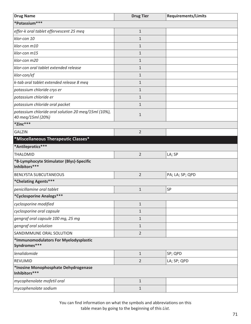| <b>Drug Name</b>                                                         | <b>Drug Tier</b> | <b>Requirements/Limits</b> |
|--------------------------------------------------------------------------|------------------|----------------------------|
| *Potassium***                                                            |                  |                            |
| effer-k oral tablet effervescent 25 meq                                  | $\mathbf{1}$     |                            |
| klor-con 10                                                              | $\mathbf{1}$     |                            |
| klor-con m10                                                             | 1                |                            |
| klor-con m15                                                             | $\mathbf{1}$     |                            |
| klor-con m20                                                             | 1                |                            |
| klor-con oral tablet extended release                                    | $\mathbf{1}$     |                            |
| klor-con/ef                                                              | $\mathbf{1}$     |                            |
| k-tab oral tablet extended release 8 meg                                 | $\mathbf{1}$     |                            |
| potassium chloride crys er                                               | $\mathbf{1}$     |                            |
| potassium chloride er                                                    | $\mathbf{1}$     |                            |
| potassium chloride oral packet                                           | $\mathbf 1$      |                            |
| potassium chloride oral solution 20 meq/15ml (10%),<br>40 meg/15ml (20%) | $\mathbf{1}$     |                            |
| *Zinc***                                                                 |                  |                            |
| <b>GALZIN</b>                                                            | $\overline{2}$   |                            |
| *Miscellaneous Therapeutic Classes*                                      |                  |                            |
| *Antileprotics***                                                        |                  |                            |
| <b>THALOMID</b>                                                          | $\overline{2}$   | LA; SP                     |
| *B-Lymphocyte Stimulator (Blys)-Specific<br>Inhibitors***                |                  |                            |
| <b>BENLYSTA SUBCUTANEOUS</b>                                             | $\overline{2}$   | PA; LA; SP; QPD            |
| *Chelating Agents***                                                     |                  |                            |
| penicillamine oral tablet                                                | $\mathbf{1}$     | SP                         |
| *Cyclosporine Analogs***                                                 |                  |                            |
| cyclosporine modified                                                    | $\mathbf 1$      |                            |
| cyclosporine oral capsule                                                | $\mathbf{1}$     |                            |
| gengraf oral capsule 100 mg, 25 mg                                       | $\mathbf 1$      |                            |
| gengraf oral solution                                                    | $\mathbf{1}$     |                            |
| SANDIMMUNE ORAL SOLUTION                                                 | $\overline{2}$   |                            |
| *Immunomodulators For Myelodysplastic<br>Syndromes***                    |                  |                            |
| lenalidomide                                                             | $\mathbf 1$      | SP; QPD                    |
| REVLIMID                                                                 | $\overline{2}$   | LA; SP; QPD                |
| *Inosine Monophosphate Dehydrogenase<br>Inhibitors***                    |                  |                            |
| mycophenolate mofetil oral                                               | $\mathbf 1$      |                            |
| mycophenolate sodium                                                     | $1\,$            |                            |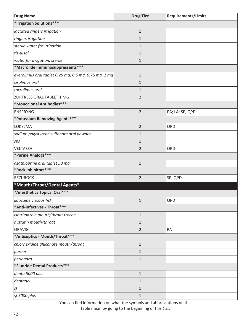| <b>Drug Name</b>                                      | <b>Drug Tier</b> | <b>Requirements/Limits</b> |
|-------------------------------------------------------|------------------|----------------------------|
| *Irrigation Solutions***                              |                  |                            |
| lactated ringers irrigation                           | $1\,$            |                            |
| ringers irrigation                                    | $\mathbf{1}$     |                            |
| sterile water for irrigation                          | $\mathbf{1}$     |                            |
| tis-u-sol                                             | $\mathbf{1}$     |                            |
| water for irrigation, sterile                         | $1\,$            |                            |
| *Macrolide Immunosuppressants***                      |                  |                            |
| everolimus oral tablet 0.25 mg, 0.5 mg, 0.75 mg, 1 mg | $1\,$            |                            |
| sirolimus oral                                        | $\mathbf{1}$     |                            |
| tacrolimus oral                                       | $\mathbf{1}$     |                            |
| ZORTRESS ORAL TABLET 1 MG                             | $\overline{2}$   |                            |
| *Monoclonal Antibodies***                             |                  |                            |
| <b>ENSPRYNG</b>                                       | $\overline{2}$   | PA; LA; SP; QPD            |
| *Potassium Removing Agents***                         |                  |                            |
| LOKELMA                                               | $\overline{2}$   | QPD                        |
| sodium polystyrene sulfonate oral powder              | $\mathbf{1}$     |                            |
| sps                                                   | $\mathbf{1}$     |                            |
| VELTASSA                                              | $\overline{2}$   | QPD                        |
| *Purine Analogs***                                    |                  |                            |
| azathioprine oral tablet 50 mg                        | $1\,$            |                            |
| *Rock Inhibitors***                                   |                  |                            |
| <b>REZUROCK</b>                                       | $\overline{2}$   | SP; QPD                    |
| *Mouth/Throat/Dental Agents*                          |                  |                            |
| *Anesthetics Topical Oral***                          |                  |                            |
| lidocaine viscous hcl                                 | $\mathbf{1}$     | QPD                        |
| *Anti-Infectives - Throat***                          |                  |                            |
| clotrimazole mouth/throat troche                      | $1\,$            |                            |
| nystatin mouth/throat                                 | $\mathbf{1}$     |                            |
| <b>ORAVIG</b>                                         | $\overline{2}$   | PA                         |
| *Antiseptics - Mouth/Throat***                        |                  |                            |
| chlorhexidine gluconate mouth/throat                  | $1\,$            |                            |
| paroex                                                | $\mathbf{1}$     |                            |
| periogard                                             | $1\,$            |                            |
| *Fluoride Dental Products***                          |                  |                            |
| denta 5000 plus                                       | $1\,$            |                            |
| dentagel                                              | $1\,$            |                            |
| $\ensuremath{\mathit{sf}}$                            | $\mathbf{1}$     |                            |
| sf 5000 plus                                          | $1\,$            |                            |

You can find information on what the symbols and abbreviations on this

table mean by going to the beginning of this *List*.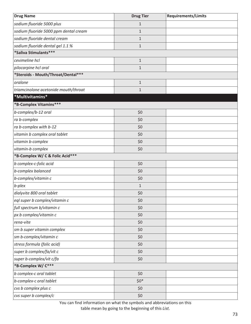| <b>Drug Name</b>                      | <b>Drug Tier</b> | <b>Requirements/Limits</b> |
|---------------------------------------|------------------|----------------------------|
| sodium fluoride 5000 plus             | $\mathbf{1}$     |                            |
| sodium fluoride 5000 ppm dental cream | $\mathbf{1}$     |                            |
| sodium fluoride dental cream          | $\mathbf{1}$     |                            |
| sodium fluoride dental gel 1.1 %      | $\mathbf{1}$     |                            |
| *Saliva Stimulants***                 |                  |                            |
| cevimeline hcl                        | $\mathbf{1}$     |                            |
| pilocarpine hcl oral                  | $\mathbf{1}$     |                            |
| *Steroids - Mouth/Throat/Dental***    |                  |                            |
| oralone                               | $\mathbf 1$      |                            |
| triamcinolone acetonide mouth/throat  | $\mathbf{1}$     |                            |
| *Multivitamins*                       |                  |                            |
| *B-Complex Vitamins***                |                  |                            |
| b-complex/b-12 oral                   | \$0              |                            |
| ra b-complex                          | \$0              |                            |
| ra b-complex with b-12                | \$0              |                            |
| vitamin b complex oral tablet         | \$0              |                            |
| vitamin b-complex                     | \$0              |                            |
| vitamin-b complex                     | \$0              |                            |
| *B-Complex W/ C & Folic Acid***       |                  |                            |
| b complex-c-folic acid                | \$0              |                            |
| b-complex balanced                    | \$0              |                            |
| b-complex/vitamin c                   | \$0              |                            |
| b-plex                                | $\mathbf 1$      |                            |
| dialyvite 800 oral tablet             | \$0              |                            |
| eql super b complex/vitamin c         | \$0              |                            |
| full spectrum b/vitamin c             | \$0              |                            |
| px b complex/vitamin c                | \$0              |                            |
| rena-vite                             | \$0              |                            |
| sm b super vitamin complex            | \$0              |                            |
| sm b-complex/vitamin c                | \$0              |                            |
| stress formula (folic acid)           | \$0              |                            |
| super b complex/fa/vit c              | \$0              |                            |
| super b-complex/vit c/fa              | \$0              |                            |
| *B-Complex W/ C***                    |                  |                            |
| b complex-c oral tablet               | \$0              |                            |
| b-complex-c oral tablet               | $$0*$            |                            |
| cvs b complex plus c                  | \$0              |                            |
| cvs super b complex/c                 | \$0              |                            |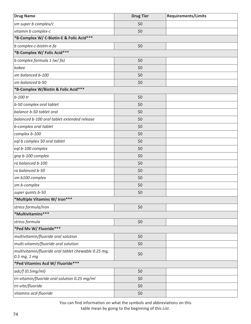| <b>Drug Name</b>                                                    | <b>Drug Tier</b> | <b>Requirements/Limits</b> |
|---------------------------------------------------------------------|------------------|----------------------------|
| sm super b complex/c                                                | \$0              |                            |
| vitamin b complex-c                                                 | \$0              |                            |
| *B-Complex W/ C-Biotin-E & Folic Acid***                            |                  |                            |
| b complex-c-biotin-e-fa                                             | \$0              |                            |
| *B-Complex W/ Folic Acid***                                         |                  |                            |
| b complex formula 1 (w/fa)                                          | \$0              |                            |
| kobee                                                               | \$0              |                            |
| sm balanced b-100                                                   | \$0              |                            |
| sm balanced b-50                                                    | \$0              |                            |
| *B-Complex W/Biotin & Folic Acid***                                 |                  |                            |
| $b-100$ tr                                                          | \$0              |                            |
| b-50 complex oral tablet                                            | \$0              |                            |
| balance b-50 tablet oral                                            | \$0              |                            |
| balanced b-100 oral tablet extended release                         | \$0              |                            |
| b-complex oral tablet                                               | \$0              |                            |
| complex b-100                                                       | \$0              |                            |
| eql b complex 50 oral tablet                                        | \$0              |                            |
| eql b-100 complex                                                   | \$0              |                            |
| gnp b-100 complex                                                   | \$0              |                            |
| ra balanced b-100                                                   | \$0              |                            |
| ra balanced b-50                                                    | \$0              |                            |
| sm b100 complex                                                     | \$0              |                            |
| sm b-complex                                                        | \$0              |                            |
| super quints b-50                                                   | \$0              |                            |
| *Multiple Vitamins W/ Iron***                                       |                  |                            |
| stress formula/iron                                                 | \$0              |                            |
| *Multivitamins***                                                   |                  |                            |
| stress formula                                                      | \$0              |                            |
| *Ped Mv W/ Fluoride***                                              |                  |                            |
| multivitamin/fluoride oral solution                                 | \$0              |                            |
| multi-vitamin/fluoride oral solution                                | \$0              |                            |
| multivitamin/fluoride oral tablet chewable 0.25 mg,<br>0.5 mg, 1 mg | \$0              |                            |
| *Ped Vitamins Acd W/ Fluoride***                                    |                  |                            |
| adc/f(0.5mg/ml)                                                     | \$0              |                            |
| tri-vitamin/fluoride oral solution 0.25 mg/ml                       | \$0              |                            |
| tri-vite/fluoride                                                   | \$0              |                            |
| vitamins acd-fluoride                                               | \$0              |                            |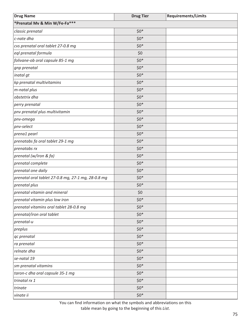| <b>Drug Name</b>                                   | <b>Drug Tier</b> | <b>Requirements/Limits</b> |
|----------------------------------------------------|------------------|----------------------------|
| *Prenatal Mv & Min W/Fe-Fa***                      |                  |                            |
| classic prenatal                                   | $$0*$            |                            |
| c-nate dha                                         | $$0*$            |                            |
| cvs prenatal oral tablet 27-0.8 mg                 | $$0*$            |                            |
| eql prenatal formula                               | \$0              |                            |
| folivane-ob oral capsule 85-1 mg                   | $$0*$            |                            |
| gnp prenatal                                       | $$0*$            |                            |
| inatal gt                                          | $$0*$            |                            |
| kp prenatal multivitamins                          | $$0*$            |                            |
| m-natal plus                                       | $$0*$            |                            |
| obstetrix dha                                      | $$0*$            |                            |
| perry prenatal                                     | $$0*$            |                            |
| pnv prenatal plus multivitamin                     | $$0*$            |                            |
| pnv-omega                                          | $$0*$            |                            |
| pnv-select                                         | $$0*$            |                            |
| prena1 pearl                                       | $$0*$            |                            |
| prenatabs fa oral tablet 29-1 mg                   | $$0*$            |                            |
| prenatabs rx                                       | $$0*$            |                            |
| prenatal (w/iron & fa)                             | $$0*$            |                            |
| prenatal complete                                  | $$0*$            |                            |
| prenatal one daily                                 | $$0*$            |                            |
| prenatal oral tablet 27-0.8 mg, 27-1 mg, 28-0.8 mg | $$0*$            |                            |
| prenatal plus                                      | $$0*$            |                            |
| prenatal vitamin and mineral                       | \$0              |                            |
| prenatal vitamin plus low iron                     | $$0*$            |                            |
| prenatal vitamins oral tablet 28-0.8 mg            | $$0*$            |                            |
| prenatal/iron oral tablet                          | $$0*$            |                            |
| prenatal-u                                         | $$0*$            |                            |
| preplus                                            | $$0*$            |                            |
| qc prenatal                                        | $$0*$            |                            |
| ra prenatal                                        | $$0*$            |                            |
| relnate dha                                        | $$0*$            |                            |
| se-natal 19                                        | $$0*$            |                            |
| sm prenatal vitamins                               | $$0*$            |                            |
| taron-c dha oral capsule 35-1 mg                   | $$0*$            |                            |
| trinatal rx 1                                      | $$0*$            |                            |
| trinate                                            | $$0*$            |                            |
| vinate ii                                          | $$0*$            |                            |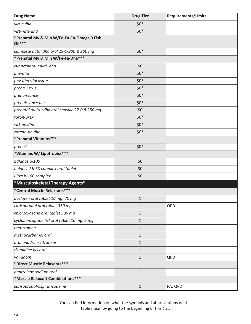| <b>Drug Name</b>                                       | <b>Drug Tier</b> | <b>Requirements/Limits</b> |
|--------------------------------------------------------|------------------|----------------------------|
| virt-c dha                                             | $$0*$            |                            |
| virt-nate dha                                          | $$0*$            |                            |
| *Prenatal Mv & Min W/Fe-Fa-Ca-Omega 3 Fish<br>$Oil***$ |                  |                            |
| complete natal dha oral 29-1-200 & 200 mg              | $$0*$            |                            |
| *Prenatal Mv & Min W/Fe-Fa-Dha***                      |                  |                            |
| cvs prenatal multi+dha                                 | \$0              |                            |
| pnv-dha                                                | $$0*$            |                            |
| pnv-dha+docusate                                       | $$0*$            |                            |
| prena 1 true                                           | $$0*$            |                            |
| prenaissance                                           | $$0*$            |                            |
| prenaissance plus                                      | $$0*$            |                            |
| prenatal multi +dha oral capsule 27-0.8-250 mg         | \$0              |                            |
| taron-prex                                             | $$0*$            |                            |
| virt-pn dha                                            | $$0*$            |                            |
| zatean-pn dha                                          | $$0*$            |                            |
| *Prenatal Vitamins***                                  |                  |                            |
| prena1                                                 | $$0^*$           |                            |
| *Vitamins W/ Lipotropics***                            |                  |                            |
| balance b-100                                          | \$0              |                            |
| balanced b-50 complex oral tablet                      | \$0              |                            |
| ultra b-100 complex                                    | \$0              |                            |
| *Musculoskeletal Therapy Agents*                       |                  |                            |
| *Central Muscle Relaxants***                           |                  |                            |
| baclofen oral tablet 10 mg, 20 mg                      | $\mathbf{1}$     |                            |
| carisoprodol oral tablet 350 mg                        | $\mathbf{1}$     | QPD                        |
| chlorzoxazone oral tablet 500 mg                       | $\mathbf{1}$     |                            |
| cyclobenzaprine hcl oral tablet 10 mg, 5 mg            | $\mathbf{1}$     |                            |
| metaxalone                                             | $\mathbf{1}$     |                            |
| methocarbamol oral                                     | $\mathbf{1}$     |                            |
| orphenadrine citrate er                                | 1                |                            |
| tizanidine hcl oral                                    | 1                |                            |
| vanadom                                                | $\mathbf{1}$     | QPD                        |
| *Direct Muscle Relaxants***                            |                  |                            |
| dantrolene sodium oral                                 | $\mathbf{1}$     |                            |
| *Muscle Relaxant Combinations***                       |                  |                            |
| carisoprodol-aspirin-codeine                           | $\mathbf{1}$     | PA; QPD                    |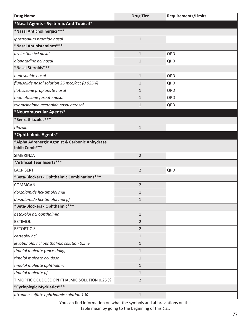| <b>Drug Name</b>                               | <b>Drug Tier</b> | <b>Requirements/Limits</b> |
|------------------------------------------------|------------------|----------------------------|
| *Nasal Agents - Systemic And Topical*          |                  |                            |
| *Nasal Anticholinergics***                     |                  |                            |
| ipratropium bromide nasal                      | $\mathbf{1}$     |                            |
| *Nasal Antihistamines***                       |                  |                            |
| azelastine hcl nasal                           | $\mathbf{1}$     | QPD                        |
| olopatadine hcl nasal                          | $\mathbf{1}$     | QPD                        |
| *Nasal Steroids***                             |                  |                            |
| budesonide nasal                               | $\mathbf{1}$     | QPD                        |
| flunisolide nasal solution 25 mcg/act (0.025%) | $\mathbf{1}$     | QPD                        |
| fluticasone propionate nasal                   | $\mathbf{1}$     | QPD                        |
| mometasone furoate nasal                       | $\mathbf{1}$     | QPD                        |
| triamcinolone acetonide nasal aerosol          | $\mathbf{1}$     | QPD                        |
| *Neuromuscular Agents*                         |                  |                            |
| *Benzathiazoles***                             |                  |                            |
| riluzole                                       | $\mathbf{1}$     |                            |
| *Ophthalmic Agents*                            |                  |                            |
| *Alpha Adrenergic Agonist & Carbonic Anhydrase |                  |                            |
| Inhib Comb***                                  |                  |                            |
| SIMBRINZA                                      | $\overline{2}$   |                            |
| *Artificial Tear Inserts***                    |                  |                            |
| LACRISERT                                      | $\overline{2}$   | QPD                        |
| *Beta-Blockers - Ophthalmic Combinations***    |                  |                            |
| <b>COMBIGAN</b>                                | $\overline{2}$   |                            |
| dorzolamide hcl-timolol mal                    | $\mathbf{1}$     |                            |
| dorzolamide hcl-timolol mal pf                 | 1                |                            |
| *Beta-Blockers - Ophthalmic***                 |                  |                            |
| betaxolol hcl ophthalmic                       | $\mathbf{1}$     |                            |
| <b>BETIMOL</b>                                 | $\overline{2}$   |                            |
| <b>BETOPTIC-S</b>                              | $\overline{2}$   |                            |
| carteolol hcl                                  | $\mathbf{1}$     |                            |
| levobunolol hcl ophthalmic solution 0.5 %      | 1                |                            |
| timolol maleate (once-daily)                   | $\mathbf{1}$     |                            |
| timolol maleate ocudose                        | $\mathbf{1}$     |                            |
| timolol maleate ophthalmic                     | $\mathbf{1}$     |                            |
| timolol maleate pf                             | $\mathbf{1}$     |                            |
| TIMOPTIC OCUDOSE OPHTHALMIC SOLUTION 0.25 %    | $\overline{2}$   |                            |
| *Cycloplegic Mydriatics***                     |                  |                            |
| atropine sulfate ophthalmic solution 1 %       | $\mathbf{1}$     |                            |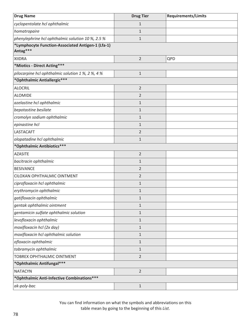| <b>Drug Name</b>                                              | <b>Drug Tier</b> | <b>Requirements/Limits</b> |
|---------------------------------------------------------------|------------------|----------------------------|
| cyclopentolate hcl ophthalmic                                 | $\mathbf{1}$     |                            |
| homatropaire                                                  | $\mathbf{1}$     |                            |
| phenylephrine hcl ophthalmic solution 10 %, 2.5 %             | $\mathbf{1}$     |                            |
| *Lymphocyte Function-Associated Antigen-1 (Lfa-1)<br>Antag*** |                  |                            |
| <b>XIIDRA</b>                                                 | $\overline{2}$   | QPD                        |
| *Miotics - Direct Acting***                                   |                  |                            |
| pilocarpine hcl ophthalmic solution 1 %, 2 %, 4 %             | $\mathbf{1}$     |                            |
| *Ophthalmic Antiallergic***                                   |                  |                            |
| <b>ALOCRIL</b>                                                | $\overline{2}$   |                            |
| <b>ALOMIDE</b>                                                | $\overline{2}$   |                            |
| azelastine hcl ophthalmic                                     | $\mathbf{1}$     |                            |
| bepotastine besilate                                          | $\mathbf{1}$     |                            |
| cromolyn sodium ophthalmic                                    | $\mathbf{1}$     |                            |
| epinastine hcl                                                | $\mathbf{1}$     |                            |
| <b>LASTACAFT</b>                                              | $\overline{2}$   |                            |
| olopatadine hcl ophthalmic                                    | $\mathbf{1}$     |                            |
| *Ophthalmic Antibiotics***                                    |                  |                            |
| <b>AZASITE</b>                                                | $\overline{2}$   |                            |
| bacitracin ophthalmic                                         | $\mathbf{1}$     |                            |
| <b>BESIVANCE</b>                                              | $\overline{2}$   |                            |
| CILOXAN OPHTHALMIC OINTMENT                                   | $\overline{2}$   |                            |
| ciprofloxacin hcl ophthalmic                                  | $\mathbf{1}$     |                            |
| erythromycin ophthalmic                                       | $\mathbf{1}$     |                            |
| gatifloxacin ophthalmic                                       | 1                |                            |
| gentak ophthalmic ointment                                    | $\mathbf 1$      |                            |
| gentamicin sulfate ophthalmic solution                        | $\mathbf 1$      |                            |
| levofloxacin ophthalmic                                       | $\mathbf{1}$     |                            |
| moxifloxacin hcl (2x day)                                     | $\mathbf 1$      |                            |
| moxifloxacin hcl ophthalmic solution                          | $\mathbf{1}$     |                            |
| ofloxacin ophthalmic                                          | $\mathbf 1$      |                            |
| tobramycin ophthalmic                                         | $\mathbf{1}$     |                            |
| TOBREX OPHTHALMIC OINTMENT                                    | $\overline{2}$   |                            |
| *Ophthalmic Antifungal***                                     |                  |                            |
| <b>NATACYN</b>                                                | $\overline{2}$   |                            |
| *Ophthalmic Anti-Infective Combinations***                    |                  |                            |
| ak-poly-bac                                                   | $1\,$            |                            |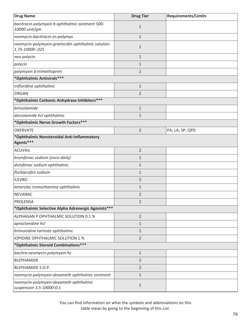| <b>Drug Name</b>                                                     | <b>Drug Tier</b> | <b>Requirements/Limits</b> |
|----------------------------------------------------------------------|------------------|----------------------------|
| bacitracin-polymyxin b ophthalmic ointment 500-<br>10000 unit/gm     | $1\,$            |                            |
| neomycin-bacitracin zn-polymyx                                       | $\mathbf{1}$     |                            |
| neomycin-polymyxin-gramicidin ophthalmic solution<br>1.75-10000-.025 | $\mathbf{1}$     |                            |
| neo-polycin                                                          | $\mathbf{1}$     |                            |
| polycin                                                              | 1                |                            |
| polymyxin b-trimethoprim                                             | $\mathbf{1}$     |                            |
| *Ophthalmic Antivirals***                                            |                  |                            |
| trifluridine ophthalmic                                              | $\mathbf{1}$     |                            |
| ZIRGAN                                                               | $\overline{2}$   |                            |
| *Ophthalmic Carbonic Anhydrase Inhibitors ***                        |                  |                            |
| brinzolamide                                                         | $\mathbf{1}$     |                            |
| dorzolamide hcl ophthalmic                                           | $\mathbf{1}$     |                            |
| *Ophthalmic Nerve Growth Factors***                                  |                  |                            |
| <b>OXERVATE</b>                                                      | $\overline{2}$   | PA; LA; SP; QPD            |
| *Ophthalmic Nonsteroidal Anti-Inflammatory<br>Agents***              |                  |                            |
| <b>ACUVAIL</b>                                                       | $\overline{2}$   |                            |
| bromfenac sodium (once-daily)                                        | $\mathbf{1}$     |                            |
| diclofenac sodium ophthalmic                                         | $\mathbf{1}$     |                            |
| flurbiprofen sodium                                                  | $\mathbf{1}$     |                            |
| <b>ILEVRO</b>                                                        | $\overline{2}$   |                            |
| ketorolac tromethamine ophthalmic                                    | $\mathbf{1}$     |                            |
| <b>NEVANAC</b>                                                       | $\overline{2}$   |                            |
| PROLENSA                                                             | $\overline{2}$   |                            |
| *Ophthalmic Selective Alpha Adrenergic Agonists***                   |                  |                            |
| ALPHAGAN P OPHTHALMIC SOLUTION 0.1 %                                 | $\overline{2}$   |                            |
| apraclonidine hcl                                                    | $\mathbf{1}$     |                            |
| brimonidine tartrate ophthalmic                                      | $\mathbf{1}$     |                            |
| <b>IOPIDINE OPHTHALMIC SOLUTION 1 %</b>                              | $\overline{2}$   |                            |
| *Ophthalmic Steroid Combinations***                                  |                  |                            |
| bacitra-neomycin-polymyxin-hc                                        | $1\,$            |                            |
| <b>BLEPHAMIDE</b>                                                    | $\overline{2}$   |                            |
| BLEPHAMIDE S.O.P.                                                    | $\overline{2}$   |                            |
| neomycin-polymyxin-dexameth ophthalmic ointment                      | $\mathbf{1}$     |                            |
| neomycin-polymyxin-dexameth ophthalmic<br>suspension 3.5-10000-0.1   | $\mathbf{1}$     |                            |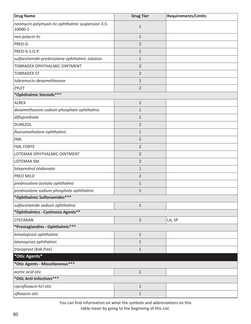| <b>Drug Name</b>                                            | <b>Drug Tier</b> | <b>Requirements/Limits</b> |
|-------------------------------------------------------------|------------------|----------------------------|
| neomycin-polymyxin-hc ophthalmic suspension 3.5-<br>10000-1 | $\mathbf{1}$     |                            |
| neo-polycin hc                                              | $\mathbf{1}$     |                            |
| PRED-G                                                      | 2                |                            |
| PRED-G S.O.P.                                               | $\overline{2}$   |                            |
| sulfacetamide-prednisolone ophthalmic solution              | $\mathbf{1}$     |                            |
| TOBRADEX OPHTHALMIC OINTMENT                                | 2                |                            |
| <b>TOBRADEX ST</b>                                          | 2                |                            |
| tobramycin-dexamethasone                                    | $\mathbf{1}$     |                            |
| <b>ZYLET</b>                                                | $\overline{2}$   |                            |
| *Ophthalmic Steroids***                                     |                  |                            |
| <b>ALREX</b>                                                | $\overline{2}$   |                            |
| dexamethasone sodium phosphate ophthalmic                   | $\mathbf{1}$     |                            |
| difluprednate                                               | $\mathbf{1}$     |                            |
| <b>DUREZOL</b>                                              | $\overline{2}$   |                            |
| fluorometholone ophthalmic                                  | $\mathbf{1}$     |                            |
| <b>FML</b>                                                  | $\overline{2}$   |                            |
| <b>FML FORTE</b>                                            | $\overline{2}$   |                            |
| LOTEMAX OPHTHALMIC OINTMENT                                 | $\overline{2}$   |                            |
| <b>LOTEMAX SM</b>                                           | $\overline{2}$   |                            |
| loteprednol etabonate                                       | $\mathbf{1}$     |                            |
| PRED MILD                                                   | $\overline{2}$   |                            |
| prednisolone acetate ophthalmic                             | $\mathbf{1}$     |                            |
| prednisolone sodium phosphate ophthalmic                    | $\mathbf{1}$     |                            |
| *Ophthalmic Sulfonamides***                                 |                  |                            |
| sulfacetamide sodium ophthalmic                             | $\mathbf 1$      |                            |
| *Ophthalmics - Cystinosis Agents**                          |                  |                            |
| <b>CYSTARAN</b>                                             | $\overline{2}$   | LA; SP                     |
| *Prostaglandins - Ophthalmic***                             |                  |                            |
| bimatoprost ophthalmic                                      | $\mathbf 1$      |                            |
| latanoprost ophthalmic                                      | $\mathbf 1$      |                            |
| travoprost (bak free)                                       | $\mathbf 1$      |                            |
| *Otic Agents*                                               |                  |                            |
| *Otic Agents - Miscellaneous***                             |                  |                            |
| acetic acid otic                                            | $\mathbf 1$      |                            |
| *Otic Anti-Infectives***                                    |                  |                            |
| ciprofloxacin hcl otic                                      | $\mathbf 1$      |                            |
| ofloxacin otic                                              | $\mathbf{1}$     |                            |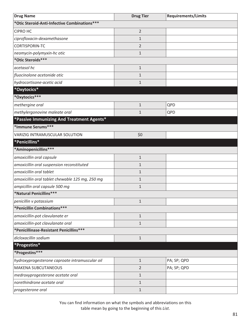| <b>Drug Name</b>                                | <b>Drug Tier</b> | <b>Requirements/Limits</b> |
|-------------------------------------------------|------------------|----------------------------|
| *Otic Steroid-Anti-Infective Combinations***    |                  |                            |
| <b>CIPRO HC</b>                                 | $\overline{2}$   |                            |
| ciprofloxacin-dexamethasone                     | 1                |                            |
| CORTISPORIN-TC                                  | $\overline{2}$   |                            |
| neomycin-polymyxin-hc otic                      | $\mathbf 1$      |                            |
| *Otic Steroids***                               |                  |                            |
| acetasol hc                                     | $\mathbf 1$      |                            |
| fluocinolone acetonide otic                     | 1                |                            |
| hydrocortisone-acetic acid                      | $\mathbf{1}$     |                            |
| *Oxytocics*                                     |                  |                            |
| *Oxytocics***                                   |                  |                            |
| methergine oral                                 | $\mathbf{1}$     | QPD                        |
| methylergonovine maleate oral                   | $\mathbf{1}$     | QPD                        |
| *Passive Immunizing And Treatment Agents*       |                  |                            |
| *Immune Serums***                               |                  |                            |
| <b>VARIZIG INTRAMUSCULAR SOLUTION</b>           | \$0              |                            |
| *Penicillins*                                   |                  |                            |
| *Aminopenicillins***                            |                  |                            |
| amoxicillin oral capsule                        | $\mathbf{1}$     |                            |
| amoxicillin oral suspension reconstituted       | $\mathbf{1}$     |                            |
| amoxicillin oral tablet                         | $\mathbf{1}$     |                            |
| amoxicillin oral tablet chewable 125 mg, 250 mg | $\mathbf{1}$     |                            |
| ampicillin oral capsule 500 mg                  | $\mathbf{1}$     |                            |
| *Natural Penicillins***                         |                  |                            |
| penicillin v potassium                          | $\mathbf{1}$     |                            |
| *Penicillin Combinations***                     |                  |                            |
| amoxicillin-pot clavulanate er                  | $\mathbf{1}$     |                            |
| amoxicillin-pot clavulanate oral                | $\mathbf{1}$     |                            |
| *Penicillinase-Resistant Penicillins***         |                  |                            |
| dicloxacillin sodium                            | $\mathbf{1}$     |                            |
| *Progestins*                                    |                  |                            |
| *Progestins***                                  |                  |                            |
| hydroxyprogesterone caproate intramuscular oil  | $\mathbf{1}$     | PA; SP; QPD                |
| <b>MAKENA SUBCUTANEOUS</b>                      | $\overline{2}$   | PA; SP; QPD                |
| medroxyprogesterone acetate oral                | $\mathbf{1}$     |                            |
| norethindrone acetate oral                      | $\mathbf{1}$     |                            |
| progesterone oral                               | $\mathbf{1}$     |                            |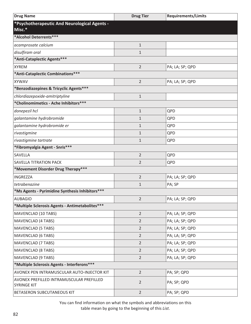| <b>Drug Name</b>                                               | <b>Drug Tier</b> | <b>Requirements/Limits</b> |
|----------------------------------------------------------------|------------------|----------------------------|
| *Psychotherapeutic And Neurological Agents -                   |                  |                            |
| Misc.*                                                         |                  |                            |
| *Alcohol Deterrents***                                         |                  |                            |
| acamprosate calcium                                            | $\mathbf 1$      |                            |
| disulfiram oral                                                | $\mathbf 1$      |                            |
| *Anti-Cataplectic Agents***                                    |                  |                            |
| <b>XYREM</b>                                                   | $\overline{2}$   | PA; LA; SP; QPD            |
| *Anti-Cataplectic Combinations***                              |                  |                            |
| <b>XYWAV</b>                                                   | $\overline{2}$   | PA; LA; SP; QPD            |
| *Benzodiazepines & Tricyclic Agents***                         |                  |                            |
| chlordiazepoxide-amitriptyline                                 | $\mathbf 1$      |                            |
| *Cholinomimetics - Ache Inhibitors***                          |                  |                            |
| donepezil hcl                                                  | $\mathbf 1$      | QPD                        |
| galantamine hydrobromide                                       | $\mathbf{1}$     | QPD                        |
| galantamine hydrobromide er                                    | $\mathbf{1}$     | QPD                        |
| rivastigmine                                                   | $\mathbf{1}$     | QPD                        |
| rivastigmine tartrate                                          | $\mathbf{1}$     | QPD                        |
| *Fibromyalgia Agent - Snris***                                 |                  |                            |
| SAVELLA                                                        | $\overline{2}$   | QPD                        |
| <b>SAVELLA TITRATION PACK</b>                                  | $\overline{2}$   | QPD                        |
| *Movement Disorder Drug Therapy***                             |                  |                            |
| <b>INGREZZA</b>                                                | $\overline{2}$   | PA; LA; SP; QPD            |
| tetrabenazine                                                  | $\mathbf{1}$     | PA; SP                     |
| *Ms Agents - Pyrimidine Synthesis Inhibitors***                |                  |                            |
| <b>AUBAGIO</b>                                                 | $\overline{2}$   | PA; LA; SP; QPD            |
| *Multiple Sclerosis Agents - Antimetabolites***                |                  |                            |
| MAVENCLAD (10 TABS)                                            | $\overline{2}$   | PA; LA; SP; QPD            |
| <b>MAVENCLAD (4 TABS)</b>                                      | $\overline{2}$   | PA; LA; SP; QPD            |
| <b>MAVENCLAD (5 TABS)</b>                                      | $\overline{2}$   | PA; LA; SP; QPD            |
| <b>MAVENCLAD (6 TABS)</b>                                      | $\overline{2}$   | PA; LA; SP; QPD            |
| <b>MAVENCLAD (7 TABS)</b>                                      | $\overline{2}$   | PA; LA; SP; QPD            |
| <b>MAVENCLAD (8 TABS)</b>                                      | $\overline{2}$   | PA; LA; SP; QPD            |
| <b>MAVENCLAD (9 TABS)</b>                                      | $\overline{2}$   | PA; LA; SP; QPD            |
| *Multiple Sclerosis Agents - Interferons***                    |                  |                            |
| AVONEX PEN INTRAMUSCULAR AUTO-INJECTOR KIT                     | $\overline{2}$   | PA; SP; QPD                |
| AVONEX PREFILLED INTRAMUSCULAR PREFILLED<br><b>SYRINGE KIT</b> | $\overline{2}$   | PA; SP; QPD                |
| BETASERON SUBCUTANEOUS KIT                                     | $\overline{2}$   | PA; SP; QPD                |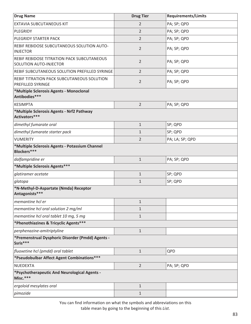| <b>Drug Name</b>                                                     | <b>Drug Tier</b> | <b>Requirements/Limits</b> |
|----------------------------------------------------------------------|------------------|----------------------------|
| EXTAVIA SUBCUTANEOUS KIT                                             | 2                | PA; SP; QPD                |
| PLEGRIDY                                                             | $\overline{2}$   | PA; SP; QPD                |
| PLEGRIDY STARTER PACK                                                | $\overline{2}$   | PA; SP; QPD                |
| REBIF REBIDOSE SUBCUTANEOUS SOLUTION AUTO-<br><b>INJECTOR</b>        | $\overline{2}$   | PA; SP; QPD                |
| REBIF REBIDOSE TITRATION PACK SUBCUTANEOUS<br>SOLUTION AUTO-INJECTOR | 2                | PA; SP; QPD                |
| REBIF SUBCUTANEOUS SOLUTION PREFILLED SYRINGE                        | 2                | PA; SP; QPD                |
| REBIF TITRATION PACK SUBCUTANEOUS SOLUTION<br>PREFILLED SYRINGE      | $\overline{2}$   | PA; SP; QPD                |
| *Multiple Sclerosis Agents - Monoclonal<br>Antibodies***             |                  |                            |
| <b>KESIMPTA</b>                                                      | $\overline{2}$   | PA; SP; QPD                |
| *Multiple Sclerosis Agents - Nrf2 Pathway<br>Activators***           |                  |                            |
| dimethyl fumarate oral                                               | $\mathbf{1}$     | SP; QPD                    |
| dimethyl fumarate starter pack                                       | $\mathbf{1}$     | SP; QPD                    |
| <b>VUMERITY</b>                                                      | $\overline{2}$   | PA; LA; SP; QPD            |
| *Multiple Sclerosis Agents - Potassium Channel<br>Blockers***        |                  |                            |
| dalfampridine er                                                     | $\mathbf{1}$     | PA; SP; QPD                |
| *Multiple Sclerosis Agents***                                        |                  |                            |
| glatiramer acetate                                                   | $\mathbf{1}$     | SP; QPD                    |
| glatopa                                                              | $\mathbf{1}$     | SP; QPD                    |
| *N-Methyl-D-Aspartate (Nmda) Receptor<br>Antagonists***              |                  |                            |
| memantine hcl er                                                     | $\mathbf{1}$     |                            |
| memantine hcl oral solution 2 mg/ml                                  | $\mathbf{1}$     |                            |
| memantine hcl oral tablet 10 mg, 5 mg                                | $\mathbf{1}$     |                            |
| *Phenothiazines & Tricyclic Agents***                                |                  |                            |
| perphenazine-amitriptyline                                           | $\mathbf{1}$     |                            |
| *Premenstrual Dysphoric Disorder (Pmdd) Agents -<br>Ssris***         |                  |                            |
| fluoxetine hcl (pmdd) oral tablet                                    | $\mathbf{1}$     | QPD                        |
| *Pseudobulbar Affect Agent Combinations***                           |                  |                            |
| NUEDEXTA                                                             | $\overline{2}$   | PA; SP; QPD                |
| *Psychotherapeutic And Neurological Agents -<br>Misc.***             |                  |                            |
| ergoloid mesylates oral                                              | $\mathbf 1$      |                            |
| pimozide                                                             | $\mathbf{1}$     |                            |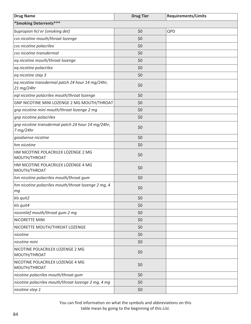| <b>Drug Name</b>                                                | <b>Drug Tier</b> | <b>Requirements/Limits</b> |
|-----------------------------------------------------------------|------------------|----------------------------|
| *Smoking Deterrents***                                          |                  |                            |
| bupropion hcl er (smoking det)                                  | \$0              | QPD                        |
| cvs nicotine mouth/throat lozenge                               | \$0              |                            |
| cvs nicotine polacrilex                                         | \$0              |                            |
| cvs nicotine transdermal                                        | \$0              |                            |
| eq nicotine mouth/throat lozenge                                | \$0              |                            |
| eq nicotine polacrilex                                          | \$0              |                            |
| eq nicotine step 3                                              | \$0              |                            |
| eq nicotine transdermal patch 24 hour 14 mg/24hr,<br>21 mg/24hr | \$0              |                            |
| eql nicotine polacrilex mouth/throat lozenge                    | \$0              |                            |
| GNP NICOTINE MINI LOZENGE 2 MG MOUTH/THROAT                     | \$0              |                            |
| gnp nicotine mini mouth/throat lozenge 2 mg                     | \$0              |                            |
| gnp nicotine polacrilex                                         | \$0              |                            |
| gnp nicotine transdermal patch 24 hour 14 mg/24hr,<br>7 mg/24hr | \$0              |                            |
| goodsense nicotine                                              | \$0              |                            |
| hm nicotine                                                     | \$0              |                            |
| HM NICOTINE POLACRILEX LOZENGE 2 MG<br>MOUTH/THROAT             | \$0              |                            |
| HM NICOTINE POLACRILEX LOZENGE 4 MG<br>MOUTH/THROAT             | \$0              |                            |
| hm nicotine polacrilex mouth/throat gum                         | \$0              |                            |
| hm nicotine polacrilex mouth/throat lozenge 2 mg, 4<br>mg       | \$0              |                            |
| kls quit2                                                       | \$0              |                            |
| kls quit4                                                       | \$0              |                            |
| nicorelief mouth/throat gum 2 mg                                | \$0              |                            |
| NICORETTE MINI                                                  | \$0              |                            |
| NICORETTE MOUTH/THROAT LOZENGE                                  | \$0              |                            |
| nicotine                                                        | \$0              |                            |
| nicotine mini                                                   | \$0              |                            |
| NICOTINE POLACRILEX LOZENGE 2 MG<br>MOUTH/THROAT                | \$0              |                            |
| NICOTINE POLACRILEX LOZENGE 4 MG<br>MOUTH/THROAT                | \$0              |                            |
| nicotine polacrilex mouth/throat gum                            | \$0              |                            |
| nicotine polacrilex mouth/throat lozenge 2 mg, 4 mg             | \$0              |                            |
| nicotine step 1                                                 | \$0              |                            |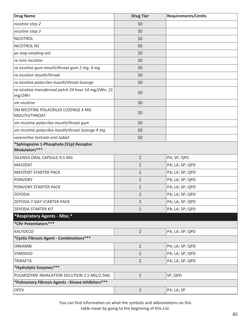| <b>Drug Name</b>                                                | <b>Drug Tier</b> | <b>Requirements/Limits</b> |
|-----------------------------------------------------------------|------------------|----------------------------|
| nicotine step 2                                                 | \$0              |                            |
| nicotine step 3                                                 | \$0              |                            |
| <b>NICOTROL</b>                                                 | \$0              |                            |
| NICOTROL NS                                                     | \$0              |                            |
| px stop smoking aid                                             | \$0              |                            |
| ra mini nicotine                                                | \$0              |                            |
| ra nicotine gum mouth/throat gum 2 mg, 4 mg                     | \$0              |                            |
| ra nicotine mouth/throat                                        | \$0              |                            |
| ra nicotine polacrilex mouth/throat lozenge                     | \$0              |                            |
| ra nicotine transdermal patch 24 hour 14 mg/24hr, 21<br>mq/24hr | \$0              |                            |
| sm nicotine                                                     | \$0              |                            |
| SM NICOTINE POLACRILEX LOZENGE 4 MG<br>MOUTH/THROAT             | \$0              |                            |
| sm nicotine polacrilex mouth/throat gum                         | \$0              |                            |
| sm nicotine polacrilex mouth/throat lozenge 4 mg                | \$0              |                            |
| varenicline tartrate oral tablet                                | \$0              |                            |
| *Sphingosine 1-Phosphate (S1p) Receptor<br>Modulators***        |                  |                            |
| GILENYA ORAL CAPSULE 0.5 MG                                     | $\overline{2}$   | PA; SP; QPD                |
| <b>MAYZENT</b>                                                  | $\overline{2}$   | PA; LA; SP; QPD            |
| <b>MAYZENT STARTER PACK</b>                                     | $\overline{2}$   | PA; LA; SP; QPD            |
| <b>PONVORY</b>                                                  | $\overline{2}$   | PA; LA; SP; QPD            |
| PONVORY STARTER PACK                                            | $\overline{2}$   | PA; LA; SP; QPD            |
| <b>ZEPOSIA</b>                                                  | $\overline{2}$   | PA; LA; SP; QPD            |
| ZEPOSIA 7-DAY STARTER PACK                                      | $\overline{2}$   | PA; LA; SP; QPD            |
| <b>ZEPOSIA STARTER KIT</b>                                      | $\overline{2}$   | PA; LA; SP; QPD            |
| *Respiratory Agents - Misc.*                                    |                  |                            |
| *Cftr Potentiators***                                           |                  |                            |
| KALYDECO                                                        | $\overline{2}$   | PA; LA; SP; QPD            |
| *Cystic Fibrosis Agent - Combinations***                        |                  |                            |
| <b>ORKAMBI</b>                                                  | $\overline{2}$   | PA; LA; SP; QPD            |
| SYMDEKO                                                         | $\overline{2}$   | PA; LA; SP; QPD            |
| <b>TRIKAFTA</b>                                                 | $\overline{2}$   | PA; LA; SP; QPD            |
| *Hydrolytic Enzymes***                                          |                  |                            |
| PULMOZYME INHALATION SOLUTION 2.5 MG/2.5ML                      | $\overline{2}$   | SP; QPD                    |
| *Pulmonary Fibrosis Agents - Kinase Inhibitors***               |                  |                            |
| <b>OFEV</b>                                                     | $\overline{2}$   | PA; LA; SP                 |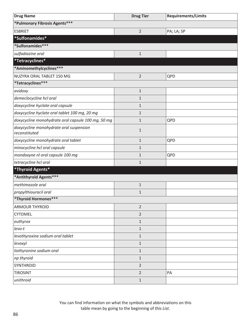| <b>Drug Name</b>                                         | <b>Drug Tier</b> | <b>Requirements/Limits</b> |
|----------------------------------------------------------|------------------|----------------------------|
| *Pulmonary Fibrosis Agents***                            |                  |                            |
| <b>ESBRIET</b>                                           | $\overline{2}$   | PA; LA; SP                 |
| *Sulfonamides*                                           |                  |                            |
| *Sulfonamides***                                         |                  |                            |
| sulfadiazine oral                                        | $\mathbf 1$      |                            |
| *Tetracyclines*                                          |                  |                            |
| *Aminomethylcyclines***                                  |                  |                            |
| NUZYRA ORAL TABLET 150 MG                                | $\overline{2}$   | QPD                        |
| *Tetracyclines***                                        |                  |                            |
| avidoxy                                                  | $\mathbf 1$      |                            |
| demeclocycline hcl oral                                  | $\mathbf{1}$     |                            |
| doxycycline hyclate oral capsule                         | $\mathbf{1}$     |                            |
| doxycycline hyclate oral tablet 100 mg, 20 mg            | $\mathbf{1}$     |                            |
| doxycycline monohydrate oral capsule 100 mg, 50 mg       | $\mathbf{1}$     | QPD                        |
| doxycycline monohydrate oral suspension<br>reconstituted | $\mathbf 1$      |                            |
| doxycycline monohydrate oral tablet                      | $\mathbf{1}$     | QPD                        |
| minocycline hcl oral capsule                             | $\mathbf{1}$     |                            |
| mondoxyne nl oral capsule 100 mg                         | $\mathbf{1}$     | QPD                        |
| tetracycline hcl oral                                    | $\mathbf{1}$     |                            |
| *Thyroid Agents*                                         |                  |                            |
| *Antithyroid Agents ***                                  |                  |                            |
| methimazole oral                                         | $\mathbf 1$      |                            |
| propylthiouracil oral                                    | $\mathbf{1}$     |                            |
| *Thyroid Hormones***                                     |                  |                            |
| <b>ARMOUR THYROID</b>                                    | $\overline{2}$   |                            |
| <b>CYTOMEL</b>                                           | $\overline{2}$   |                            |
| euthyrox                                                 | $\mathbf 1$      |                            |
| $levo-t$                                                 | $\mathbf{1}$     |                            |
| levothyroxine sodium oral tablet                         | $\mathbf 1$      |                            |
| levoxyl                                                  | $\mathbf{1}$     |                            |
| liothyronine sodium oral                                 | $\mathbf 1$      |                            |
| np thyroid                                               | $\mathbf{1}$     |                            |
| SYNTHROID                                                | $\overline{2}$   |                            |
| <b>TIROSINT</b>                                          | $\overline{2}$   | PA                         |
| unithroid                                                | $\mathbf{1}$     |                            |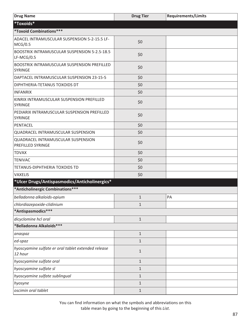| <b>Drug Name</b>                                               | <b>Drug Tier</b> | <b>Requirements/Limits</b> |
|----------------------------------------------------------------|------------------|----------------------------|
| *Toxoids*                                                      |                  |                            |
| *Toxoid Combinations***                                        |                  |                            |
| ADACEL INTRAMUSCULAR SUSPENSION 5-2-15.5 LF-<br>MCG/0.5        | \$0              |                            |
| BOOSTRIX INTRAMUSCULAR SUSPENSION 5-2.5-18.5<br>$LF-MCG/0.5$   | \$0              |                            |
| BOOSTRIX INTRAMUSCULAR SUSPENSION PREFILLED<br><b>SYRINGE</b>  | \$0              |                            |
| DAPTACEL INTRAMUSCULAR SUSPENSION 23-15-5                      | \$0              |                            |
| DIPHTHERIA-TETANUS TOXOIDS DT                                  | \$0              |                            |
| <b>INFANRIX</b>                                                | \$0              |                            |
| KINRIX INTRAMUSCULAR SUSPENSION PREFILLED<br><b>SYRINGE</b>    | \$0              |                            |
| PEDIARIX INTRAMUSCULAR SUSPENSION PREFILLED<br><b>SYRINGE</b>  | \$0              |                            |
| PENTACEL                                                       | \$0              |                            |
| QUADRACEL INTRAMUSCULAR SUSPENSION                             | \$0              |                            |
| QUADRACEL INTRAMUSCULAR SUSPENSION<br>PREFILLED SYRINGE        | \$0              |                            |
| <b>TDVAX</b>                                                   | \$0              |                            |
| <b>TENIVAC</b>                                                 | \$0              |                            |
| TETANUS-DIPHTHERIA TOXOIDS TD                                  | \$0              |                            |
| <b>VAXELIS</b>                                                 | \$0              |                            |
| *Ulcer Drugs/Antispasmodics/Anticholinergics*                  |                  |                            |
| *Anticholinergic Combinations***                               |                  |                            |
| belladonna alkaloids-opium                                     | $\mathbf{1}$     | PA                         |
| chlordiazepoxide-clidinium                                     | $\mathbf{1}$     |                            |
| *Antispasmodics***                                             |                  |                            |
| dicyclomine hcl oral                                           | $\mathbf{1}$     |                            |
| *Belladonna Alkaloids***                                       |                  |                            |
| anaspaz                                                        | $\mathbf{1}$     |                            |
| ed-spaz                                                        | $\mathbf{1}$     |                            |
| hyoscyamine sulfate er oral tablet extended release<br>12 hour | $1\,$            |                            |
| hyoscyamine sulfate oral                                       | $\mathbf{1}$     |                            |
| hyoscyamine sulfate sl                                         | $\mathbf{1}$     |                            |
| hyoscyamine sulfate sublingual                                 | $1\,$            |                            |
| hyosyne                                                        | $\mathbf{1}$     |                            |
| oscimin oral tablet                                            | $1\,$            |                            |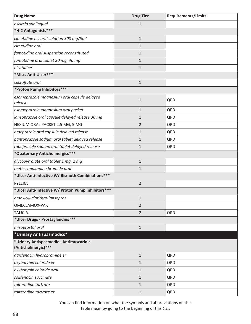| <b>Drug Name</b>                                                | <b>Drug Tier</b> | <b>Requirements/Limits</b> |
|-----------------------------------------------------------------|------------------|----------------------------|
| oscimin sublingual                                              | $\mathbf{1}$     |                            |
| *H-2 Antagonists***                                             |                  |                            |
| cimetidine hcl oral solution 300 mg/5ml                         | $\mathbf{1}$     |                            |
| cimetidine oral                                                 | $\mathbf{1}$     |                            |
| famotidine oral suspension reconstituted                        | $\mathbf{1}$     |                            |
| famotidine oral tablet 20 mg, 40 mg                             | $\mathbf{1}$     |                            |
| nizatidine                                                      | $\mathbf{1}$     |                            |
| *Misc. Anti-Ulcer***                                            |                  |                            |
| sucralfate oral                                                 | $1\,$            |                            |
| *Proton Pump Inhibitors***                                      |                  |                            |
| esomeprazole magnesium oral capsule delayed<br>release          | $\mathbf{1}$     | QPD                        |
| esomeprazole magnesium oral packet                              | $\mathbf{1}$     | QPD                        |
| lansoprazole oral capsule delayed release 30 mg                 | $\mathbf{1}$     | QPD                        |
| NEXIUM ORAL PACKET 2.5 MG, 5 MG                                 | $\overline{2}$   | QPD                        |
| omeprazole oral capsule delayed release                         | $\mathbf{1}$     | QPD                        |
| pantoprazole sodium oral tablet delayed release                 | $\mathbf{1}$     | QPD                        |
| rabeprazole sodium oral tablet delayed release                  | $\mathbf{1}$     | QPD                        |
| *Quaternary Anticholinergics***                                 |                  |                            |
| glycopyrrolate oral tablet 1 mg, 2 mg                           | $1\,$            |                            |
| methscopolamine bromide oral                                    | $\mathbf{1}$     |                            |
| *Ulcer Anti-Infective W/ Bismuth Combinations***                |                  |                            |
| PYLERA                                                          | $\overline{2}$   |                            |
| *Ulcer Anti-Infective W/ Proton Pump Inhibitors ***             |                  |                            |
| amoxicill-clarithro-lansopraz                                   | 1                |                            |
| OMECLAMOX-PAK                                                   | $\overline{2}$   |                            |
| <b>TALICIA</b>                                                  | $\overline{2}$   | QPD                        |
| *Ulcer Drugs - Prostaglandins***                                |                  |                            |
| misoprostol oral                                                | $1\,$            |                            |
| *Urinary Antispasmodics*                                        |                  |                            |
| *Urinary Antispasmodic - Antimuscarinic<br>(Anticholinergic)*** |                  |                            |
| darifenacin hydrobromide er                                     | $1\,$            | QPD                        |
| oxybutynin chloride er                                          | $\mathbf{1}$     | QPD                        |
| oxybutynin chloride oral                                        | $\mathbf{1}$     | QPD                        |
| solifenacin succinate                                           | $\mathbf{1}$     | QPD                        |
| tolterodine tartrate                                            | $\mathbf{1}$     | QPD                        |
| tolterodine tartrate er                                         | $\mathbf{1}$     | QPD                        |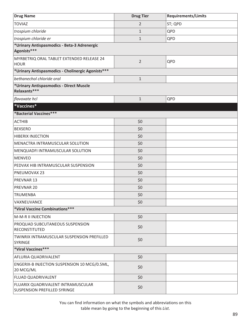| <b>Drug Name</b>                                                   | <b>Drug Tier</b> | <b>Requirements/Limits</b> |
|--------------------------------------------------------------------|------------------|----------------------------|
| <b>TOVIAZ</b>                                                      | $\overline{2}$   | ST; QPD                    |
| trospium chloride                                                  | $\mathbf{1}$     | QPD                        |
| trospium chloride er                                               | $\mathbf{1}$     | QPD                        |
| *Urinary Antispasmodics - Beta-3 Adrenergic<br>Agonists***         |                  |                            |
| MYRBETRIQ ORAL TABLET EXTENDED RELEASE 24<br><b>HOUR</b>           | $\overline{2}$   | QPD                        |
| *Urinary Antispasmodics - Cholinergic Agonists***                  |                  |                            |
| bethanechol chloride oral                                          | $\mathbf{1}$     |                            |
| *Urinary Antispasmodics - Direct Muscle<br>Relaxants***            |                  |                            |
| flavoxate hcl                                                      | $\mathbf{1}$     | QPD                        |
| *Vaccines*                                                         |                  |                            |
| *Bacterial Vaccines***                                             |                  |                            |
| <b>ACTHIB</b>                                                      | \$0              |                            |
| <b>BEXSERO</b>                                                     | \$0              |                            |
| <b>HIBERIX INJECTION</b>                                           | \$0              |                            |
| MENACTRA INTRAMUSCULAR SOLUTION                                    | \$0              |                            |
| MENQUADFI INTRAMUSCULAR SOLUTION                                   | \$0              |                            |
| <b>MENVEO</b>                                                      | \$0              |                            |
| PEDVAX HIB INTRAMUSCULAR SUSPENSION                                | \$0              |                            |
| PNEUMOVAX 23                                                       | \$0              |                            |
| PREVNAR 13                                                         | \$0              |                            |
| PREVNAR 20                                                         | \$0              |                            |
| <b>TRUMENBA</b>                                                    | \$0              |                            |
| VAXNEUVANCE                                                        | \$0              |                            |
| *Viral Vaccine Combinations***                                     |                  |                            |
| M-M-R II INJECTION                                                 | \$0              |                            |
| PROQUAD SUBCUTANEOUS SUSPENSION<br>RECONSTITUTED                   | \$0              |                            |
| TWINRIX INTRAMUSCULAR SUSPENSION PREFILLED<br>SYRINGE              | \$0              |                            |
| *Viral Vaccines***                                                 |                  |                            |
| AFLURIA QUADRIVALENT                                               | \$0              |                            |
| ENGERIX-B INJECTION SUSPENSION 10 MCG/0.5ML,<br>20 MCG/ML          | \$0              |                            |
| FLUAD QUADRIVALENT                                                 | \$0              |                            |
| FLUARIX QUADRIVALENT INTRAMUSCULAR<br>SUSPENSION PREFILLED SYRINGE | \$0              |                            |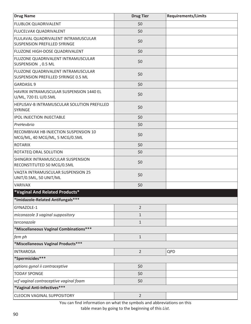| <b>Drug Name</b>                                                               | <b>Drug Tier</b> | <b>Requirements/Limits</b> |
|--------------------------------------------------------------------------------|------------------|----------------------------|
| <b>FLUBLOK QUADRIVALENT</b>                                                    | \$0              |                            |
| <b>FLUCELVAX QUADRIVALENT</b>                                                  | \$0              |                            |
| FLULAVAL QUADRIVALENT INTRAMUSCULAR<br><b>SUSPENSION PREFILLED SYRINGE</b>     | \$0              |                            |
| FLUZONE HIGH-DOSE QUADRIVALENT                                                 | \$0              |                            |
| FLUZONE QUADRIVALENT INTRAMUSCULAR<br>SUSPENSION , 0.5 ML                      | \$0              |                            |
| FLUZONE QUADRIVALENT INTRAMUSCULAR<br>SUSPENSION PREFILLED SYRINGE 0.5 ML      | \$0              |                            |
| <b>GARDASIL 9</b>                                                              | \$0              |                            |
| HAVRIX INTRAMUSCULAR SUSPENSION 1440 EL<br>U/ML, 720 EL U/0.5ML                | \$0              |                            |
| HEPLISAV-B INTRAMUSCULAR SOLUTION PREFILLED<br><b>SYRINGE</b>                  | \$0              |                            |
| <b>IPOL INJECTION INJECTABLE</b>                                               | \$0              |                            |
| PreHevbrio                                                                     | \$0              |                            |
| <b>RECOMBIVAX HB INJECTION SUSPENSION 10</b><br>MCG/ML, 40 MCG/ML, 5 MCG/0.5ML | \$0              |                            |
| <b>ROTARIX</b>                                                                 | \$0              |                            |
| <b>ROTATEQ ORAL SOLUTION</b>                                                   | \$0              |                            |
| SHINGRIX INTRAMUSCULAR SUSPENSION<br>RECONSTITUTED 50 MCG/0.5ML                | \$0              |                            |
| VAQTA INTRAMUSCULAR SUSPENSION 25<br>UNIT/0.5ML, 50 UNIT/ML                    | \$0              |                            |
| <b>VARIVAX</b>                                                                 | \$0              |                            |
| *Vaginal And Related Products*                                                 |                  |                            |
| *Imidazole-Related Antifungals ***                                             |                  |                            |
| GYNAZOLE-1                                                                     | $\overline{2}$   |                            |
| miconazole 3 vaginal suppository                                               | $\mathbf{1}$     |                            |
| terconazole                                                                    | $1\,$            |                            |
| *Miscellaneous Vaginal Combinations***                                         |                  |                            |
| fem ph                                                                         | $1\,$            |                            |
| *Miscellaneous Vaginal Products***                                             |                  |                            |
| <b>INTRAROSA</b>                                                               | $\overline{2}$   | QPD                        |
| *Spermicides***                                                                |                  |                            |
| options gynol ii contraceptive                                                 | \$0              |                            |
| <b>TODAY SPONGE</b>                                                            | \$0              |                            |
| vcf vaginal contraceptive vaginal foam                                         | \$0              |                            |
| *Vaginal Anti-Infectives***                                                    |                  |                            |
| <b>CLEOCIN VAGINAL SUPPOSITORY</b>                                             | $\overline{2}$   |                            |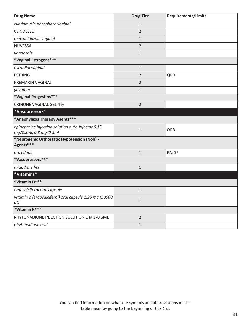| <b>Drug Name</b>                                                            | <b>Drug Tier</b> | <b>Requirements/Limits</b> |
|-----------------------------------------------------------------------------|------------------|----------------------------|
| clindamycin phosphate vaginal                                               | $\mathbf{1}$     |                            |
| <b>CLINDESSE</b>                                                            | $\overline{2}$   |                            |
| metronidazole vaginal                                                       | $\mathbf{1}$     |                            |
| <b>NUVESSA</b>                                                              | $\overline{2}$   |                            |
| vandazole                                                                   | $\mathbf{1}$     |                            |
| *Vaginal Estrogens***                                                       |                  |                            |
| estradiol vaginal                                                           | $1\,$            |                            |
| <b>ESTRING</b>                                                              | $\overline{2}$   | QPD                        |
| PREMARIN VAGINAL                                                            | $\overline{2}$   |                            |
| yuvafem                                                                     | $1\,$            |                            |
| *Vaginal Progestins***                                                      |                  |                            |
| <b>CRINONE VAGINAL GEL 4 %</b>                                              | $\overline{2}$   |                            |
| *Vasopressors*                                                              |                  |                            |
| *Anaphylaxis Therapy Agents***                                              |                  |                            |
| epinephrine injection solution auto-injector 0.15<br>mg/0.3ml, 0.3 mg/0.3ml | $1\,$            | QPD                        |
| *Neurogenic Orthostatic Hypotension (Noh) -<br>Agents***                    |                  |                            |
| droxidopa                                                                   | $\mathbf{1}$     | PA; SP                     |
| *Vasopressors***                                                            |                  |                            |
| midodrine hcl                                                               | $\mathbf{1}$     |                            |
| *Vitamins*                                                                  |                  |                            |
| *Vitamin D***                                                               |                  |                            |
| ergocalciferol oral capsule                                                 | $1\,$            |                            |
| vitamin d (ergocalciferol) oral capsule 1.25 mg (50000<br>ut)               | $\mathbf 1$      |                            |
| *Vitamin K***                                                               |                  |                            |
| PHYTONADIONE INJECTION SOLUTION 1 MG/0.5ML                                  | $\overline{2}$   |                            |
| phytonadione oral                                                           | $1\,$            |                            |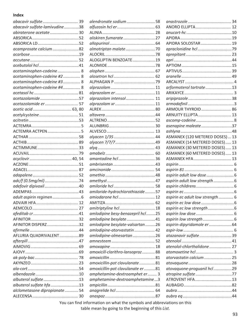## **Index**

| abacavir sulfate  39          |  |
|-------------------------------|--|
| abacavir sulfate-lamivudine38 |  |
| abiraterone acetate  30       |  |
|                               |  |
|                               |  |
| acamprosate calcium82         |  |
|                               |  |
|                               |  |
|                               |  |
| acetaminophen-codeine 8       |  |
| acetaminophen-codeine #2  8   |  |
| acetaminophen-codeine #3  8   |  |
| acetaminophen-codeine #4 8    |  |
|                               |  |
| acetazolamide57               |  |
| acetazolamide er  57          |  |
|                               |  |
|                               |  |
|                               |  |
|                               |  |
|                               |  |
|                               |  |
|                               |  |
|                               |  |
|                               |  |
|                               |  |
|                               |  |
|                               |  |
|                               |  |
|                               |  |
|                               |  |
| adefovir dipivoxil40          |  |
|                               |  |
|                               |  |
| ADVAIR HFA 17                 |  |
|                               |  |
|                               |  |
|                               |  |
| AFINITOR DISPERZ32            |  |
|                               |  |
| AFLURIA QUADRIVALENT89        |  |
|                               |  |
|                               |  |
|                               |  |
|                               |  |
|                               |  |
|                               |  |
|                               |  |
|                               |  |
| albuterol sulfate 13          |  |
| albuterol sulfate hfa 13      |  |
| alclometasone dipropionate 54 |  |
|                               |  |

| alendronate sodium 58             |  |
|-----------------------------------|--|
|                                   |  |
|                                   |  |
|                                   |  |
| aliskiren fumarate 27             |  |
|                                   |  |
|                                   |  |
|                                   |  |
| ALOGLIPTIN BENZOATE19             |  |
|                                   |  |
|                                   |  |
|                                   |  |
|                                   |  |
|                                   |  |
|                                   |  |
| alprazolam intensol  11           |  |
|                                   |  |
|                                   |  |
|                                   |  |
|                                   |  |
|                                   |  |
|                                   |  |
|                                   |  |
|                                   |  |
|                                   |  |
|                                   |  |
|                                   |  |
| amantadine hcl  36                |  |
|                                   |  |
|                                   |  |
|                                   |  |
|                                   |  |
|                                   |  |
| amiloride-hydrochlorothiazide 57  |  |
| amiodarone hcl  12                |  |
|                                   |  |
| amitriptyline hcl  18             |  |
| amlodipine besy-benazepril hcl25  |  |
| amlodipine besylate 41            |  |
| amlodipine besylate-valsartan 26  |  |
| amlodipine-atorvastatin 42        |  |
| amlodipine-olmesartan26           |  |
|                                   |  |
|                                   |  |
| amoxicill-clarithro-lansopraz  88 |  |
|                                   |  |
| amoxicillin-pot clavulanate81     |  |
|                                   |  |
| amoxicillin-pot clavulanate er 81 |  |
| amphetamine-dextroamphet er 3     |  |
| amphetamine-dextroamphetamine3    |  |
|                                   |  |
|                                   |  |
|                                   |  |
|                                   |  |

| ANORO ELLIPTA 12                |  |
|---------------------------------|--|
|                                 |  |
|                                 |  |
| APIDRA SOLOSTAR 19              |  |
|                                 |  |
|                                 |  |
|                                 |  |
|                                 |  |
|                                 |  |
|                                 |  |
|                                 |  |
| arformoterol tartrate13         |  |
|                                 |  |
|                                 |  |
|                                 |  |
| ARMOUR THYROID 86               |  |
| ARNUITY ELLIPTA 13              |  |
|                                 |  |
| asenapine maleate 37            |  |
|                                 |  |
| ASMANEX (120 METERED DOSES) 13  |  |
| ASMANEX (14 METERED DOSES) 13   |  |
| ASMANEX (30 METERED DOSES) 13   |  |
| ASMANEX (60 METERED DOSES) 13   |  |
|                                 |  |
|                                 |  |
| ASMANEX HFA 13                  |  |
|                                 |  |
|                                 |  |
|                                 |  |
|                                 |  |
|                                 |  |
|                                 |  |
| aspirin ec adult low strength 6 |  |
|                                 |  |
|                                 |  |
|                                 |  |
|                                 |  |
| aspirin-dipyridamole er 64      |  |
|                                 |  |
| atazanavir sulfate  39          |  |
|                                 |  |
| atenolol-chlorthalidone 27      |  |
|                                 |  |
| atorvastatin calcium  25        |  |
|                                 |  |
| atovaquone-proguanil hcl 29     |  |
| atropine sulfate 77             |  |
| ATROVENT HFA 13                 |  |
|                                 |  |
|                                 |  |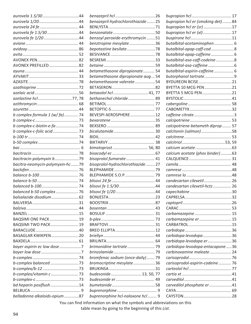| aurovela fe 1.5/3044                                |  |
|-----------------------------------------------------|--|
|                                                     |  |
|                                                     |  |
|                                                     |  |
|                                                     |  |
|                                                     |  |
| AVONEX PREFILLED82                                  |  |
|                                                     |  |
|                                                     |  |
|                                                     |  |
|                                                     |  |
|                                                     |  |
|                                                     |  |
|                                                     |  |
|                                                     |  |
| b complex formula 1 (w/ fa)  74                     |  |
|                                                     |  |
| b complex-c-biotin-e-fa 74                          |  |
| b complex-c-folic acid 73                           |  |
|                                                     |  |
|                                                     |  |
|                                                     |  |
|                                                     |  |
|                                                     |  |
|                                                     |  |
| bacitracin-polymyxin b79                            |  |
| bacitra-neomycin-polymyxin-hc79                     |  |
|                                                     |  |
|                                                     |  |
|                                                     |  |
|                                                     |  |
| balanced b-50 complex 76<br>balsalazide disodium 62 |  |
|                                                     |  |
|                                                     |  |
|                                                     |  |
| BAQSIMI ONE PACK 19                                 |  |
| BAQSIMI TWO PACK 19                                 |  |
|                                                     |  |
| BASAGLAR KWIKPEN20                                  |  |
|                                                     |  |
|                                                     |  |
| bayer aspirin ec low dose 7                         |  |
|                                                     |  |
|                                                     |  |
|                                                     |  |
| b-complex/vitamin c 73                              |  |
|                                                     |  |
| bd heparin posiflush14                              |  |
|                                                     |  |

| benazepril-hydrochlorothiazide  25 |  |
|------------------------------------|--|
|                                    |  |
|                                    |  |
| benzoyl peroxide-erythromycin51    |  |
| benztropine mesylate36             |  |
| bepotastine besilate78             |  |
|                                    |  |
|                                    |  |
|                                    |  |
| betamethasone dipropionate  54     |  |
| betamethasone dipropionate aug 54  |  |
| betamethasone valerate54           |  |
|                                    |  |
| betaxolol hcl41,77                 |  |
| bethanechol chloride 89            |  |
|                                    |  |
|                                    |  |
| BEVESPI AEROSPHERE12               |  |
|                                    |  |
|                                    |  |
|                                    |  |
|                                    |  |
|                                    |  |
| bimatoprost 56, 80                 |  |
|                                    |  |
| bisoprolol fumarate  41            |  |
| bisoprolol-hydrochlorothiazide 27  |  |
|                                    |  |
|                                    |  |
|                                    |  |
| blisovi fe 1.5/30 44               |  |
|                                    |  |
|                                    |  |
|                                    |  |
|                                    |  |
|                                    |  |
|                                    |  |
|                                    |  |
|                                    |  |
|                                    |  |
|                                    |  |
| brimonidine tartrate  79           |  |
|                                    |  |
| bromfenac sodium (once-daily) 79   |  |
| bromocriptine mesylate 36          |  |
|                                    |  |
| budesonide13, 50, 77               |  |
|                                    |  |
|                                    |  |
|                                    |  |
| buprenorphine hcl-naloxone hcl 9   |  |

| bupropion hcl er (smoking det)84  |  |
|-----------------------------------|--|
| bupropion hcl er (sr) 17          |  |
| bupropion hcl er (xl) 17          |  |
|                                   |  |
| butalbital-acetaminophen 6        |  |
| butalbital-apap-caff-cod  8       |  |
| butalbital-apap-caffeine 6        |  |
| butalbital-asa-caff-codeine8      |  |
|                                   |  |
| butalbital-aspirin-caffeine 6     |  |
|                                   |  |
| BYDUREON BCISE21                  |  |
| BYETTA 10 MCG PEN21               |  |
| BYETTA 5 MCG PEN21                |  |
|                                   |  |
|                                   |  |
|                                   |  |
|                                   |  |
|                                   |  |
|                                   |  |
| calcipotriene-betameth diprop  57 |  |
| calcitonin (salmon)58             |  |
|                                   |  |
|                                   |  |
|                                   |  |
|                                   |  |
|                                   |  |
| calcium acetate (phos binder) 63  |  |
|                                   |  |
|                                   |  |
|                                   |  |
| candesartan cilexetil 26          |  |
| candesartan cilexetil-hctz 26     |  |
|                                   |  |
|                                   |  |
|                                   |  |
|                                   |  |
|                                   |  |
| carbamazepine 15                  |  |
| carbamazepine er 15               |  |
|                                   |  |
|                                   |  |
| carbidopa-levodopa  36            |  |
| carbidopa-levodopa er 36          |  |
| carbidopa-levodopa-entacapone36   |  |
| carbinoxamine maleate 24          |  |
|                                   |  |
| carisoprodol-aspirin-codeine  76  |  |
|                                   |  |
|                                   |  |
|                                   |  |
| carvedilol phosphate er41         |  |
|                                   |  |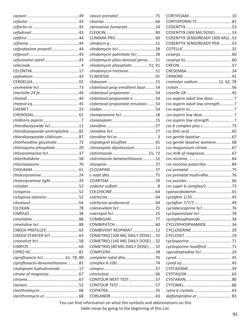|                                   |                                                                           | CORTISPORIN-TC81                  |  |
|-----------------------------------|---------------------------------------------------------------------------|-----------------------------------|--|
|                                   | clemastine fumarate 24                                                    |                                   |  |
|                                   |                                                                           | COSENTYX (300 MG DOSE) 53         |  |
|                                   |                                                                           | COSENTYX SENSOREADY (300 MG)53    |  |
|                                   |                                                                           | <b>COSENTYX SENSOREADY PEN 53</b> |  |
| cefpodoxime proxetil 44           |                                                                           |                                   |  |
|                                   | clindamycin palmitate hcl  28                                             |                                   |  |
|                                   | clindamycin phos-benzoyl perox 51                                         |                                   |  |
|                                   | clindamycin phosphate 51, 91                                              |                                   |  |
|                                   | clindamycin-tretinoin51                                                   |                                   |  |
|                                   |                                                                           |                                   |  |
|                                   |                                                                           | cromolyn sodium12, 62, 78         |  |
|                                   | clobetasol prop emollient base  54                                        |                                   |  |
|                                   | clobetasol propionate  54                                                 |                                   |  |
|                                   |                                                                           |                                   |  |
|                                   | clobetasol propionate e  54                                               | cvs aspirin adult low dose 7      |  |
|                                   | clobetasol propionate emulsion 54                                         | cvs aspirin adult low strength7   |  |
|                                   |                                                                           |                                   |  |
|                                   | clomipramine hcl18                                                        |                                   |  |
|                                   |                                                                           |                                   |  |
| chlordiazepoxide hcl 11           |                                                                           |                                   |  |
| chlordiazepoxide-amitriptyline 82 |                                                                           |                                   |  |
| chlordiazepoxide-clidinium 87     |                                                                           |                                   |  |
| chlorhexidine gluconate 72        | clopidogrel bisulfate 65                                                  | cvs gentle laxative womens 68     |  |
| chloroquine phosphate 29          | clorazepate dipotassium 11                                                | cvs magnesium citrate 67          |  |
| chlorpromazine hcl37              | clotrimazole  55, 72                                                      | cvs milk of magnesia67            |  |
|                                   | clotrimazole-betamethasone52                                              |                                   |  |
|                                   |                                                                           | cvs nicotine polacrilex 84        |  |
|                                   |                                                                           |                                   |  |
| cholestyramine24                  |                                                                           | cvs prenatal multi+dha  76        |  |
| cholestyramine light 24           |                                                                           |                                   |  |
|                                   |                                                                           |                                   |  |
|                                   |                                                                           |                                   |  |
| ciclopirox olamine 52             |                                                                           |                                   |  |
|                                   | colchicine-probenecid 64                                                  |                                   |  |
|                                   |                                                                           | cyclobenzaprine hcl76             |  |
|                                   |                                                                           | cyclopentolate hcl  78            |  |
|                                   |                                                                           | cyclophosphamide 34               |  |
|                                   |                                                                           | CYCLOPHOSPHAMIDE 34               |  |
|                                   | COMBIVENT RESPIMAT12                                                      |                                   |  |
|                                   | COMETRIQ (100 MG DAILY DOSE) 32                                           |                                   |  |
|                                   | COMETRIQ (140 MG DAILY DOSE) 32                                           |                                   |  |
|                                   | COMETRIQ (60 MG DAILY DOSE) 32                                            | cyclosporine modified 71          |  |
|                                   |                                                                           | cyproheptadine hcl24              |  |
| ciprofloxacin hcl  61, 78, 80     |                                                                           |                                   |  |
| ciprofloxacin-dexamethasone81     |                                                                           |                                   |  |
| citalopram hydrobromide 17        |                                                                           |                                   |  |
|                                   |                                                                           |                                   |  |
|                                   | CONTOUR NEXT TEST57                                                       |                                   |  |
|                                   |                                                                           |                                   |  |
|                                   |                                                                           |                                   |  |
|                                   |                                                                           | dalfampridine er 83               |  |
|                                   | More one find information on what the countries and abbreviations on this |                                   |  |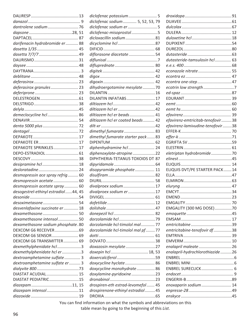|                                                            | diclofenac potassium 5                                                 |                                   |  |
|------------------------------------------------------------|------------------------------------------------------------------------|-----------------------------------|--|
|                                                            | diclofenac sodium  5, 52, 53, 79                                       |                                   |  |
| dantrolene sodium76                                        | diclofenac sodium er 5                                                 |                                   |  |
|                                                            | diclofenac-misoprostol5                                                |                                   |  |
|                                                            | dicloxacillin sodium81                                                 |                                   |  |
| darifenacin hydrobromide er  88                            |                                                                        |                                   |  |
|                                                            |                                                                        |                                   |  |
|                                                            | diflorasone diacetate  54                                              |                                   |  |
|                                                            |                                                                        | dutasteride-tamsulosin hcl 63     |  |
|                                                            |                                                                        |                                   |  |
|                                                            |                                                                        | econazole nitrate  55             |  |
|                                                            |                                                                        |                                   |  |
|                                                            |                                                                        |                                   |  |
| deferasirox granules 23                                    | dihydroergotamine mesylate70                                           |                                   |  |
|                                                            |                                                                        |                                   |  |
|                                                            | DILANTIN INFATABS 17                                                   |                                   |  |
|                                                            |                                                                        |                                   |  |
|                                                            |                                                                        |                                   |  |
| demeclocycline hcl  86                                     | diltiazem hcl er beads 41                                              |                                   |  |
|                                                            | diltiazem hcl er coated beads 42                                       | efavirenz-emtricitab-tenofovir38  |  |
| denta 5000 plus  72                                        |                                                                        | efavirenz-lamivudine-tenofovir 38 |  |
|                                                            | dimethyl fumarate 83                                                   |                                   |  |
|                                                            | dimethyl fumarate starter pack83                                       |                                   |  |
|                                                            |                                                                        |                                   |  |
| DEPAKOTE SPRINKLES17                                       | diphenhydramine hcl 24                                                 |                                   |  |
|                                                            | diphenoxylate-atropine22                                               | eletriptan hydrobromide70         |  |
|                                                            | DIPHTHERIA-TETANUS TOXOIDS DT 87                                       |                                   |  |
| desipramine hcl18                                          |                                                                        |                                   |  |
|                                                            | disopyramide phosphate 11                                              | ELIQUIS DVT/PE STARTER PACK  14   |  |
| desmopressin ace spray refrig 60                           |                                                                        |                                   |  |
| desmopressin acetate 60                                    |                                                                        |                                   |  |
| desmopressin acetate spray 60                              | divalproex sodium 17                                                   |                                   |  |
| desogestrel-ethinyl estradiol44, 45                        | divalproex sodium er17                                                 |                                   |  |
|                                                            |                                                                        |                                   |  |
|                                                            |                                                                        |                                   |  |
| desvenlafaxine succinate er  18                            |                                                                        | EMGALITY (300 MG DOSE)70          |  |
|                                                            |                                                                        |                                   |  |
| dexamethasone intensol50                                   |                                                                        |                                   |  |
|                                                            | dorzolamide hcl-timolol mal 77                                         |                                   |  |
| dexamethasone sodium phosphate.80<br>DEXCOM G6 RECEIVER 69 |                                                                        | emtricitabine-tenofovir df38      |  |
|                                                            | dorzolamide hcl-timolol mal pf 77                                      |                                   |  |
|                                                            |                                                                        |                                   |  |
| DEXCOM G6 TRANSMITTER 69                                   | doxazosin mesylate27                                                   |                                   |  |
| dexmethylphenidate hcl 3                                   |                                                                        | enalapril maleate 26              |  |
| dexmethylphenidate hcl er3                                 |                                                                        | enalapril-hydrochlorothiazide26   |  |
| dextroamphetamine sulfate  3                               |                                                                        |                                   |  |
| dextroamphetamine sulfate er  3                            | doxycycline hyclate 86                                                 |                                   |  |
|                                                            | doxycycline monohydrate 86                                             |                                   |  |
| DIASTAT ACUDIAL 15                                         | doxylamine-pyridoxine23                                                |                                   |  |
| DIASTAT PEDIATRIC15                                        |                                                                        |                                   |  |
|                                                            | drospiren-eth estrad-levomefol 45                                      | enoxaparin sodium 14              |  |
| diazepam intensol  11                                      | drospirenone-ethinyl estradiol45                                       |                                   |  |
|                                                            |                                                                        |                                   |  |
|                                                            | Vou con final information on what the quickels and elementions on this |                                   |  |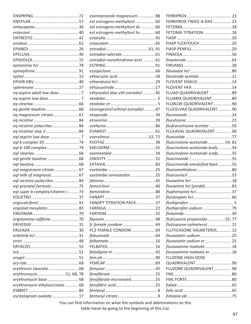| FERRIPROX TWICE-A-DAY 23<br>est estrogens-methyltest 60<br>est estrogens-methyltest ds  60<br>FETZIMA TITRATION18<br>est estrogens-methyltest hs60<br>FIASP FLEXTOUCH 20<br>estradiol-norethindrone acet 61<br>flecainide acetate11<br>ethacrynic acid58<br>FLOVENT DISKUS14<br>FLOVENT HFA 14<br>ethynodiol diac-eth estradiol 45<br>FLUAD QUADRIVALENT89<br>FLUARIX QUADRIVALENT 89<br>FLUBLOK QUADRIVALENT 90<br>etonogestrel-ethinyl estradiol47<br>FLUCELVAX QUADRIVALENT 90<br>eq magnesium citrate 67<br>fludrocortisone acetate50<br>eq nicotine polacrilex 84<br>eq nicotine step 384<br>FLULAVAL QUADRIVALENT 90<br>everolimus32,72<br>fluocinolone acetonide54, 81<br>fluocinolone acetonide body54<br>fluocinolone acetonide scalp 55<br>fluocinonide emulsified base 55<br>eql magnesium citrate 67<br>fluorometholone 80<br>ezetimibe-simvastatin25<br>eql nicotine polacrilex 84<br>fluoxetine hcl (pmdd) 83<br>eql super b complex/vitamin c73<br>FANAPT TITRATION PACK 37<br>ergoloid mesylates83<br>flurbiprofen sodium 79<br>fluticasone propionate  55, 77<br>fluticasone-salmeterol 12<br>FC2 FEMALE CONDOM 69<br>FLUTICASONE-SALMETEROL 12<br>fluvastatin sodium 25<br>fluvastatin sodium er 25<br>fluvoxamine maleate 18<br>fluvoxamine maleate er 18<br><b>FLUZONE HIGH-DOSE</b> |  | esomeprazole magnesium88 |  |  |
|----------------------------------------------------------------------------------------------------------------------------------------------------------------------------------------------------------------------------------------------------------------------------------------------------------------------------------------------------------------------------------------------------------------------------------------------------------------------------------------------------------------------------------------------------------------------------------------------------------------------------------------------------------------------------------------------------------------------------------------------------------------------------------------------------------------------------------------------------------------------------------------------------------------------------------------------------------------------------------------------------------------------------------------------------------------------------------------------------------------------------------------------------------------------------------------------------------------------------------------------------------------------------------------------------------|--|--------------------------|--|--|
|                                                                                                                                                                                                                                                                                                                                                                                                                                                                                                                                                                                                                                                                                                                                                                                                                                                                                                                                                                                                                                                                                                                                                                                                                                                                                                          |  |                          |  |  |
|                                                                                                                                                                                                                                                                                                                                                                                                                                                                                                                                                                                                                                                                                                                                                                                                                                                                                                                                                                                                                                                                                                                                                                                                                                                                                                          |  |                          |  |  |
|                                                                                                                                                                                                                                                                                                                                                                                                                                                                                                                                                                                                                                                                                                                                                                                                                                                                                                                                                                                                                                                                                                                                                                                                                                                                                                          |  |                          |  |  |
|                                                                                                                                                                                                                                                                                                                                                                                                                                                                                                                                                                                                                                                                                                                                                                                                                                                                                                                                                                                                                                                                                                                                                                                                                                                                                                          |  |                          |  |  |
|                                                                                                                                                                                                                                                                                                                                                                                                                                                                                                                                                                                                                                                                                                                                                                                                                                                                                                                                                                                                                                                                                                                                                                                                                                                                                                          |  |                          |  |  |
|                                                                                                                                                                                                                                                                                                                                                                                                                                                                                                                                                                                                                                                                                                                                                                                                                                                                                                                                                                                                                                                                                                                                                                                                                                                                                                          |  |                          |  |  |
|                                                                                                                                                                                                                                                                                                                                                                                                                                                                                                                                                                                                                                                                                                                                                                                                                                                                                                                                                                                                                                                                                                                                                                                                                                                                                                          |  |                          |  |  |
|                                                                                                                                                                                                                                                                                                                                                                                                                                                                                                                                                                                                                                                                                                                                                                                                                                                                                                                                                                                                                                                                                                                                                                                                                                                                                                          |  |                          |  |  |
|                                                                                                                                                                                                                                                                                                                                                                                                                                                                                                                                                                                                                                                                                                                                                                                                                                                                                                                                                                                                                                                                                                                                                                                                                                                                                                          |  |                          |  |  |
|                                                                                                                                                                                                                                                                                                                                                                                                                                                                                                                                                                                                                                                                                                                                                                                                                                                                                                                                                                                                                                                                                                                                                                                                                                                                                                          |  |                          |  |  |
|                                                                                                                                                                                                                                                                                                                                                                                                                                                                                                                                                                                                                                                                                                                                                                                                                                                                                                                                                                                                                                                                                                                                                                                                                                                                                                          |  |                          |  |  |
|                                                                                                                                                                                                                                                                                                                                                                                                                                                                                                                                                                                                                                                                                                                                                                                                                                                                                                                                                                                                                                                                                                                                                                                                                                                                                                          |  |                          |  |  |
|                                                                                                                                                                                                                                                                                                                                                                                                                                                                                                                                                                                                                                                                                                                                                                                                                                                                                                                                                                                                                                                                                                                                                                                                                                                                                                          |  |                          |  |  |
|                                                                                                                                                                                                                                                                                                                                                                                                                                                                                                                                                                                                                                                                                                                                                                                                                                                                                                                                                                                                                                                                                                                                                                                                                                                                                                          |  |                          |  |  |
|                                                                                                                                                                                                                                                                                                                                                                                                                                                                                                                                                                                                                                                                                                                                                                                                                                                                                                                                                                                                                                                                                                                                                                                                                                                                                                          |  |                          |  |  |
|                                                                                                                                                                                                                                                                                                                                                                                                                                                                                                                                                                                                                                                                                                                                                                                                                                                                                                                                                                                                                                                                                                                                                                                                                                                                                                          |  |                          |  |  |
|                                                                                                                                                                                                                                                                                                                                                                                                                                                                                                                                                                                                                                                                                                                                                                                                                                                                                                                                                                                                                                                                                                                                                                                                                                                                                                          |  |                          |  |  |
|                                                                                                                                                                                                                                                                                                                                                                                                                                                                                                                                                                                                                                                                                                                                                                                                                                                                                                                                                                                                                                                                                                                                                                                                                                                                                                          |  |                          |  |  |
|                                                                                                                                                                                                                                                                                                                                                                                                                                                                                                                                                                                                                                                                                                                                                                                                                                                                                                                                                                                                                                                                                                                                                                                                                                                                                                          |  |                          |  |  |
|                                                                                                                                                                                                                                                                                                                                                                                                                                                                                                                                                                                                                                                                                                                                                                                                                                                                                                                                                                                                                                                                                                                                                                                                                                                                                                          |  |                          |  |  |
|                                                                                                                                                                                                                                                                                                                                                                                                                                                                                                                                                                                                                                                                                                                                                                                                                                                                                                                                                                                                                                                                                                                                                                                                                                                                                                          |  |                          |  |  |
|                                                                                                                                                                                                                                                                                                                                                                                                                                                                                                                                                                                                                                                                                                                                                                                                                                                                                                                                                                                                                                                                                                                                                                                                                                                                                                          |  |                          |  |  |
|                                                                                                                                                                                                                                                                                                                                                                                                                                                                                                                                                                                                                                                                                                                                                                                                                                                                                                                                                                                                                                                                                                                                                                                                                                                                                                          |  |                          |  |  |
|                                                                                                                                                                                                                                                                                                                                                                                                                                                                                                                                                                                                                                                                                                                                                                                                                                                                                                                                                                                                                                                                                                                                                                                                                                                                                                          |  |                          |  |  |
|                                                                                                                                                                                                                                                                                                                                                                                                                                                                                                                                                                                                                                                                                                                                                                                                                                                                                                                                                                                                                                                                                                                                                                                                                                                                                                          |  |                          |  |  |
|                                                                                                                                                                                                                                                                                                                                                                                                                                                                                                                                                                                                                                                                                                                                                                                                                                                                                                                                                                                                                                                                                                                                                                                                                                                                                                          |  |                          |  |  |
|                                                                                                                                                                                                                                                                                                                                                                                                                                                                                                                                                                                                                                                                                                                                                                                                                                                                                                                                                                                                                                                                                                                                                                                                                                                                                                          |  |                          |  |  |
|                                                                                                                                                                                                                                                                                                                                                                                                                                                                                                                                                                                                                                                                                                                                                                                                                                                                                                                                                                                                                                                                                                                                                                                                                                                                                                          |  |                          |  |  |
|                                                                                                                                                                                                                                                                                                                                                                                                                                                                                                                                                                                                                                                                                                                                                                                                                                                                                                                                                                                                                                                                                                                                                                                                                                                                                                          |  |                          |  |  |
|                                                                                                                                                                                                                                                                                                                                                                                                                                                                                                                                                                                                                                                                                                                                                                                                                                                                                                                                                                                                                                                                                                                                                                                                                                                                                                          |  |                          |  |  |
|                                                                                                                                                                                                                                                                                                                                                                                                                                                                                                                                                                                                                                                                                                                                                                                                                                                                                                                                                                                                                                                                                                                                                                                                                                                                                                          |  |                          |  |  |
|                                                                                                                                                                                                                                                                                                                                                                                                                                                                                                                                                                                                                                                                                                                                                                                                                                                                                                                                                                                                                                                                                                                                                                                                                                                                                                          |  |                          |  |  |
|                                                                                                                                                                                                                                                                                                                                                                                                                                                                                                                                                                                                                                                                                                                                                                                                                                                                                                                                                                                                                                                                                                                                                                                                                                                                                                          |  |                          |  |  |
|                                                                                                                                                                                                                                                                                                                                                                                                                                                                                                                                                                                                                                                                                                                                                                                                                                                                                                                                                                                                                                                                                                                                                                                                                                                                                                          |  |                          |  |  |
|                                                                                                                                                                                                                                                                                                                                                                                                                                                                                                                                                                                                                                                                                                                                                                                                                                                                                                                                                                                                                                                                                                                                                                                                                                                                                                          |  |                          |  |  |
|                                                                                                                                                                                                                                                                                                                                                                                                                                                                                                                                                                                                                                                                                                                                                                                                                                                                                                                                                                                                                                                                                                                                                                                                                                                                                                          |  |                          |  |  |
|                                                                                                                                                                                                                                                                                                                                                                                                                                                                                                                                                                                                                                                                                                                                                                                                                                                                                                                                                                                                                                                                                                                                                                                                                                                                                                          |  |                          |  |  |
|                                                                                                                                                                                                                                                                                                                                                                                                                                                                                                                                                                                                                                                                                                                                                                                                                                                                                                                                                                                                                                                                                                                                                                                                                                                                                                          |  |                          |  |  |
|                                                                                                                                                                                                                                                                                                                                                                                                                                                                                                                                                                                                                                                                                                                                                                                                                                                                                                                                                                                                                                                                                                                                                                                                                                                                                                          |  |                          |  |  |
|                                                                                                                                                                                                                                                                                                                                                                                                                                                                                                                                                                                                                                                                                                                                                                                                                                                                                                                                                                                                                                                                                                                                                                                                                                                                                                          |  |                          |  |  |
|                                                                                                                                                                                                                                                                                                                                                                                                                                                                                                                                                                                                                                                                                                                                                                                                                                                                                                                                                                                                                                                                                                                                                                                                                                                                                                          |  |                          |  |  |
|                                                                                                                                                                                                                                                                                                                                                                                                                                                                                                                                                                                                                                                                                                                                                                                                                                                                                                                                                                                                                                                                                                                                                                                                                                                                                                          |  |                          |  |  |
|                                                                                                                                                                                                                                                                                                                                                                                                                                                                                                                                                                                                                                                                                                                                                                                                                                                                                                                                                                                                                                                                                                                                                                                                                                                                                                          |  |                          |  |  |
|                                                                                                                                                                                                                                                                                                                                                                                                                                                                                                                                                                                                                                                                                                                                                                                                                                                                                                                                                                                                                                                                                                                                                                                                                                                                                                          |  |                          |  |  |
|                                                                                                                                                                                                                                                                                                                                                                                                                                                                                                                                                                                                                                                                                                                                                                                                                                                                                                                                                                                                                                                                                                                                                                                                                                                                                                          |  |                          |  |  |
|                                                                                                                                                                                                                                                                                                                                                                                                                                                                                                                                                                                                                                                                                                                                                                                                                                                                                                                                                                                                                                                                                                                                                                                                                                                                                                          |  |                          |  |  |
| FLUZONE QUADRIVALENT 90                                                                                                                                                                                                                                                                                                                                                                                                                                                                                                                                                                                                                                                                                                                                                                                                                                                                                                                                                                                                                                                                                                                                                                                                                                                                                  |  |                          |  |  |
| erythromycin51, 68, 78                                                                                                                                                                                                                                                                                                                                                                                                                                                                                                                                                                                                                                                                                                                                                                                                                                                                                                                                                                                                                                                                                                                                                                                                                                                                                   |  |                          |  |  |
| fenofibrate micronized25                                                                                                                                                                                                                                                                                                                                                                                                                                                                                                                                                                                                                                                                                                                                                                                                                                                                                                                                                                                                                                                                                                                                                                                                                                                                                 |  |                          |  |  |
| erythromycin ethylsuccinate 68                                                                                                                                                                                                                                                                                                                                                                                                                                                                                                                                                                                                                                                                                                                                                                                                                                                                                                                                                                                                                                                                                                                                                                                                                                                                           |  |                          |  |  |
|                                                                                                                                                                                                                                                                                                                                                                                                                                                                                                                                                                                                                                                                                                                                                                                                                                                                                                                                                                                                                                                                                                                                                                                                                                                                                                          |  |                          |  |  |
| escitalopram oxalate 17<br>Nou can find information on what the quebals and object integration on this                                                                                                                                                                                                                                                                                                                                                                                                                                                                                                                                                                                                                                                                                                                                                                                                                                                                                                                                                                                                                                                                                                                                                                                                   |  |                          |  |  |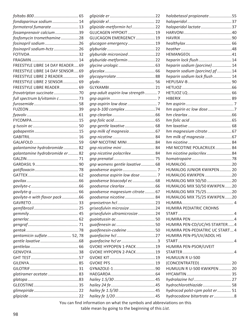|                                  |    |                                 | halobetasol propionate55        |  |
|----------------------------------|----|---------------------------------|---------------------------------|--|
| fondaparinux sodium  14          |    |                                 |                                 |  |
| formoterol fumarate13            |    | glipizide-metformin hcl  22     | haloperidol lactate37           |  |
| fosamprenavir calcium39          |    | <b>GLUCAGEN HYPOKIT 19</b>      |                                 |  |
| fosfomycin tromethamine28        |    | GLUCAGON EMERGENCY 19           |                                 |  |
| fosinopril sodium26              |    | glucagon emergency19            |                                 |  |
| fosinopril sodium-hctz26         |    |                                 |                                 |  |
|                                  |    | glyburide micronized22          |                                 |  |
|                                  |    | glyburide-metformin22           | heparin lock flush14            |  |
| FREESTYLE LIBRE 14 DAY READER 69 |    |                                 | heparin sodium (porcine) 14     |  |
| FREESTYLE LIBRE 14 DAY SENSOR 69 |    |                                 | heparin sodium (porcine) pf14   |  |
| FREESTYLE LIBRE 2 READER         | 69 |                                 | heparin sodium lock flush 14    |  |
| FREESTYLE LIBRE 2 SENSOR         | 69 |                                 |                                 |  |
| FREESTYLE LIBRE READER 69        |    |                                 |                                 |  |
|                                  |    | gnp adult aspirin low strength7 |                                 |  |
| full spectrum b/vitamin c73      |    |                                 |                                 |  |
|                                  |    |                                 |                                 |  |
|                                  |    | gnp b-100 complex74             | hm aspirin ec low dose 7        |  |
|                                  |    |                                 |                                 |  |
|                                  |    |                                 |                                 |  |
|                                  |    |                                 |                                 |  |
|                                  |    |                                 | hm magnesium citrate 67         |  |
|                                  |    |                                 | hm milk of magnesia67           |  |
|                                  |    | GNP NICOTINE MINI84             |                                 |  |
| galantamine hydrobromide 82      |    | gnp nicotine mini 84            | HM NICOTINE POLACRILEX 84       |  |
| galantamine hydrobromide er  82  |    | gnp nicotine polacrilex84       | hm nicotine polacrilex84        |  |
|                                  |    |                                 |                                 |  |
|                                  |    | gnp womens gentle laxative 68   |                                 |  |
|                                  |    |                                 | HUMALOG JUNIOR KWIKPEN 20       |  |
|                                  |    | goodsense aspirin low dose  7   | HUMALOG KWIKPEN20               |  |
|                                  |    | goodsense bisacodyl ec68        | HUMALOG MIX 50/5020             |  |
|                                  |    |                                 | HUMALOG MIX 50/50 KWIKPEN 20    |  |
|                                  |    | goodsense magnesium citrate 67  | HUMALOG MIX 75/2520             |  |
| gavilyte-n with flavor pack66    |    | goodsense nicotine 84           | HUMALOG MIX 75/25 KWIKPEN 20    |  |
|                                  |    |                                 |                                 |  |
|                                  |    | griseofulvin microsize24        | HUMIRA PEDIATRIC CROHNS         |  |
|                                  |    | griseofulvin ultramicrosize24   |                                 |  |
|                                  |    |                                 |                                 |  |
|                                  |    |                                 | HUMIRA PEN-CD/UC/HS STARTER 4   |  |
|                                  |    | guaifenesin-codeine50           | HUMIRA PEN-PEDIATRIC UC START 4 |  |
| gentamicin sulfate 52, 78        |    |                                 | HUMIRA PEN-PS/UV/ADOL HS        |  |
|                                  |    |                                 |                                 |  |
|                                  |    | GVOKE HYPOPEN 1-PACK19          | HUMIRA PEN-PSOR/UVEIT           |  |
|                                  |    | GVOKE HYPOPEN 2-PACK19          |                                 |  |
|                                  |    |                                 | HUMULIN R U-500                 |  |
|                                  |    |                                 |                                 |  |
|                                  |    |                                 |                                 |  |
|                                  |    |                                 | HUMULIN R U-500 KWIKPEN 20      |  |
| glatiramer acetate 83            |    |                                 |                                 |  |
|                                  |    |                                 |                                 |  |
|                                  |    |                                 | hydrochlorothiazide 58          |  |
|                                  |    |                                 | hydrocod polst-cpm polst er  51 |  |
|                                  |    |                                 | hydrocodone bitartrate er 8     |  |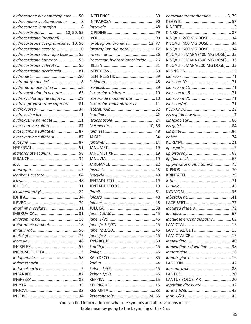| hydrocodone bit-homatrop mbr  50    | <b>INT</b> |
|-------------------------------------|------------|
| hydrocodone-acetaminophen8          | <b>INT</b> |
| hydrocodone-ibuprofen 8             | intı       |
| hydrocortisone  10, 50, 55          | <b>IOF</b> |
| hydrocortisone (perianal)10         | <b>IPC</b> |
| hydrocortisone ace-pramoxine 10, 56 | ipro       |
| hydrocortisone acetate 10           | ipro       |
| hydrocortisone butyr lipo base  55  | irbe       |
| hydrocortisone butyrate 55          | irbe       |
| hydrocortisone valerate55           | <b>IRE</b> |
| hydrocortisone-acetic acid81        | <b>ISE</b> |
|                                     | <b>ISE</b> |
| hydromorphone hcl 8                 | isib       |
| hydromorphone hcl er8               | isol       |
| hydroxocobalamin acetate 65         | iso.       |
| hydroxychloroquine sulfate29        | iso:       |
| hydroxyprogesterone caproate81      | iso:       |
|                                     | isoi       |
| hydroxyzine hcl 11                  | isrc       |
| hydroxyzine pamoate11               | itrc       |
| hyoscyamine sulfate 87              | ivel       |
| hyoscyamine sulfate er 87           | jair       |
| hyoscyamine sulfate sl 87           | <b>JAK</b> |
|                                     | jan        |
|                                     | <b>JAN</b> |
| ibandronate sodium58                | JAN        |
|                                     | <b>JAN</b> |
|                                     | <b>JAF</b> |
|                                     | jası       |
|                                     | jen        |
|                                     | JEN        |
|                                     | <b>JEN</b> |
|                                     | jint       |
|                                     | jole       |
|                                     | jule       |
| imatinib mesylate 31                | JUL        |
|                                     | jun        |
|                                     | jun        |
| imipramine pamoate 18               | jun        |
|                                     |            |
|                                     | jun<br>jun |
|                                     | <b>JYN</b> |
|                                     | kai        |
| INCRUSE ELLIPTA13                   | kal        |
|                                     | KAI        |
|                                     |            |
|                                     | kar        |
|                                     | kel        |
|                                     | kel        |
|                                     | <b>KEF</b> |
|                                     | <b>KEF</b> |
|                                     | <b>KES</b> |
|                                     | ket        |

| oratropium bromide13, 77         |  |
|----------------------------------|--|
| pratropium-albuterol 12          |  |
|                                  |  |
| besartan-hydrochlorothiazide  26 |  |
|                                  |  |
|                                  |  |
|                                  |  |
|                                  |  |
|                                  |  |
| sosorbide dinitrate 10           |  |
| sosorbide mononitrate10          |  |
| sosorbide mononitrate er 11      |  |
|                                  |  |
|                                  |  |
|                                  |  |
|                                  |  |
| vermectin  10, 56                |  |
|                                  |  |
|                                  |  |
|                                  |  |
|                                  |  |
|                                  |  |
|                                  |  |
|                                  |  |
|                                  |  |
|                                  |  |
|                                  |  |
| ENTADUETO XR 19                  |  |
|                                  |  |
|                                  |  |
|                                  |  |
|                                  |  |
|                                  |  |
|                                  |  |
|                                  |  |
|                                  |  |
|                                  |  |
|                                  |  |
|                                  |  |
|                                  |  |
|                                  |  |
|                                  |  |
|                                  |  |
|                                  |  |
|                                  |  |
|                                  |  |
|                                  |  |
|                                  |  |
| etoconazole  24, 55              |  |

| ketorolac tromethamine 5, 79   |  |
|--------------------------------|--|
|                                |  |
|                                |  |
|                                |  |
| KISQALI (200 MG DOSE)34        |  |
| KISQALI (400 MG DOSE)34        |  |
| KISQALI (600 MG DOSE)34        |  |
| KISQALI FEMARA (400 MG DOSE)33 |  |
| KISQALI FEMARA (600 MG DOSE)33 |  |
| KISQALI FEMARA(200 MG DOSE)33  |  |
|                                |  |
|                                |  |
|                                |  |
|                                |  |
|                                |  |
|                                |  |
|                                |  |
|                                |  |
|                                |  |
|                                |  |
|                                |  |
|                                |  |
|                                |  |
|                                |  |
|                                |  |
|                                |  |
|                                |  |
| kp prenatal multivitamins 75   |  |
|                                |  |
|                                |  |
|                                |  |
|                                |  |
|                                |  |
|                                |  |
|                                |  |
|                                |  |
|                                |  |
| lactulose encephalopathy 62    |  |
|                                |  |
| LAMICTAL ODT15                 |  |
|                                |  |
|                                |  |
| lamivudine-zidovudine38        |  |
|                                |  |
|                                |  |
|                                |  |
|                                |  |
|                                |  |
|                                |  |
| LANTUS SOLOSTAR 20             |  |
| lapatinib ditosylate  32       |  |
|                                |  |
|                                |  |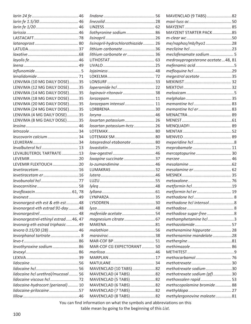|                                      | lir |
|--------------------------------------|-----|
|                                      | lir |
|                                      | LI  |
|                                      | lic |
|                                      | lis |
|                                      | lis |
|                                      | lit |
|                                      | lit |
|                                      | Lľ  |
|                                      | LI  |
|                                      | lo  |
|                                      | LC  |
| LENVIMA (10 MG DAILY DOSE)35         | L(  |
| LENVIMA (12 MG DAILY DOSE)35         | lo  |
| LENVIMA (14 MG DAILY DOSE)35         | lo  |
| LENVIMA (18 MG DAILY DOSE)35         | lo  |
| LENVIMA (20 MG DAILY DOSE)35         | lo  |
| LENVIMA (24 MG DAILY DOSE)35         | L(  |
| LENVIMA (4 MG DAILY DOSE)35          | lo  |
|                                      |     |
| LENVIMA (8 MG DAILY DOSE)35          | lo  |
|                                      | lo  |
|                                      | L(  |
| leucovorin calcium 34                | L(  |
|                                      | lo  |
|                                      | lo  |
| LEVALBUTEROL TARTRATE13              | lo  |
|                                      | lo  |
| LEVEMIR FLEXTOUCH20                  | lo  |
|                                      | Ll  |
| levetiracetam er16                   | lu  |
|                                      | Ll  |
|                                      | ly  |
| levofloxacin  61, 78                 | ly  |
|                                      | L١  |
| levonorgest-eth est & eth est48      | L١  |
| levonorgest-eth estrad 91-day 48     | ly. |
|                                      | т   |
| levonorgestrel-ethinyl estrad 46, 47 | т   |
| levonorg-eth estrad triphasic49      | M   |
| levora 0.15/30 (28) 46               | т   |
| levorphanol tartrate 8               | m   |
|                                      | M   |
| levothyroxine sodium86               | M   |
|                                      | т   |
|                                      | M   |
|                                      | M   |
|                                      | M   |
| lidocaine hcl urethral/mucosal 56    |     |
|                                      | M   |
|                                      | M   |
| lidocaine-hydrocort (perianal) 10    | M   |
| lidocaine-prilocaine57               | M   |
|                                      | M   |

| liothyronine sodium 86            |  |
|-----------------------------------|--|
|                                   |  |
| lisinopril-hydrochlorothiazide 26 |  |
| lithium carbonate36               |  |
| lithium carbonate er 36           |  |
|                                   |  |
|                                   |  |
|                                   |  |
|                                   |  |
|                                   |  |
|                                   |  |
| lopinavir-ritonavir  38           |  |
|                                   |  |
| lorazepam intensol  11            |  |
|                                   |  |
|                                   |  |
| losartan potassium  26            |  |
| losartan potassium-hctz 26        |  |
|                                   |  |
|                                   |  |
| loteprednol etabonate 80          |  |
|                                   |  |
|                                   |  |
| loxapine succinate 37             |  |
| lo-zumandimine  46                |  |
|                                   |  |
|                                   |  |
|                                   |  |
|                                   |  |
|                                   |  |
|                                   |  |
|                                   |  |
|                                   |  |
|                                   |  |
| mafenide acetate 54               |  |
|                                   |  |
|                                   |  |
|                                   |  |
|                                   |  |
|                                   |  |
| MAR-COF CG EXPECTORANT 50         |  |
|                                   |  |
|                                   |  |
|                                   |  |
| MAVENCLAD (10 TABS)82             |  |
| MAVENCLAD (4 TABS)82              |  |
| MAVENCLAD (5 TABS)82              |  |
| MAVENCLAD (6 TABS)82              |  |
| MAVENCLAD (7 TABS)82              |  |
| MAVENCLAD (8 TABS)82              |  |

| MAVENCLAD (9 TABS)82              |  |
|-----------------------------------|--|
|                                   |  |
|                                   |  |
| MAYZENT STARTER PACK85            |  |
|                                   |  |
| me/naphos/mb/hyo128               |  |
|                                   |  |
| meclofenamate sodium 5            |  |
| medroxyprogesterone acetate48, 81 |  |
|                                   |  |
|                                   |  |
| megestrol acetate35               |  |
|                                   |  |
|                                   |  |
|                                   |  |
|                                   |  |
|                                   |  |
| memantine hcl er 83               |  |
|                                   |  |
|                                   |  |
|                                   |  |
|                                   |  |
|                                   |  |
|                                   |  |
|                                   |  |
| mercaptopurine 30                 |  |
|                                   |  |
|                                   |  |
|                                   |  |
|                                   |  |
|                                   |  |
|                                   |  |
| metformin hcl er  19              |  |
|                                   |  |
| methadone hcl intensol8           |  |
|                                   |  |
| methadose sugar-free8             |  |
| methamphetamine hcl3              |  |
| methazolamide 57                  |  |
| methenamine hippurate 28          |  |
| methenamine mandelate28           |  |
|                                   |  |
|                                   |  |
|                                   |  |
|                                   |  |
|                                   |  |
| methotrexate sodium30             |  |
| methotrexate sodium (pf)30        |  |
| methoxsalen rapid 53              |  |
| methscopolamine bromide 88        |  |
|                                   |  |
| methylergonovine maleate81        |  |
|                                   |  |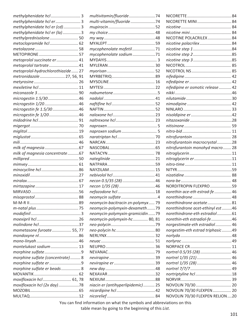|                                   | multivitamin/fluoride74           | NICORETTE          |
|-----------------------------------|-----------------------------------|--------------------|
| methylphenidate hcl er 3          | multi-vitamin/fluoride74          | NICORETTE M        |
| methylphenidate hcl er (cd) 3     |                                   | nicotine           |
| methylphenidate hcl er (la) 3     |                                   | nicotine mini      |
| methylprednisolone 50             |                                   | NICOTINE POL       |
| metoclopramide hcl 62             |                                   | nicotine polac.    |
|                                   | mycophenolate mofetil71           | nicotine step 1    |
|                                   | mycophenolate sodium71            | nicotine step 2    |
| metoprolol succinate er  41       |                                   | nicotine step 3    |
| metoprolol tartrate 41            |                                   | NICOTROL           |
| metoprolol-hydrochlorothiazide 27 |                                   | <b>NICOTROL NS</b> |
| metronidazole  27, 56, 91         |                                   | nifedipine         |
|                                   |                                   | nifedipine er      |
|                                   |                                   | nifedipine er o    |
|                                   |                                   | nikki              |
| microgestin 1.5/3046              |                                   | nilutamide         |
| microgestin 1/2046                |                                   | nimodipine         |
| microgestin fe 1.5/3046           |                                   | NINLARO            |
| microgestin fe 1/2046             |                                   | nisoldipine er.    |
|                                   |                                   | nitazoxanide       |
|                                   |                                   | nitisinone         |
|                                   |                                   | nitro-bid          |
|                                   |                                   | nitrofurantoin     |
|                                   |                                   | nitrofurantoin     |
|                                   |                                   | nitrofurantoin     |
|                                   |                                   |                    |
| milk of magnesia concentrate67    |                                   | nitroglycerin      |
|                                   |                                   | nitroglycerin e    |
|                                   |                                   | nitro-time         |
|                                   |                                   | <b>NITYR</b>       |
|                                   |                                   | nizatidine         |
|                                   |                                   | nora-be            |
|                                   |                                   | <b>NORDITROPIN</b> |
|                                   |                                   | norethin ace-e     |
|                                   |                                   | norethindrone      |
|                                   | neomycin-bacitracin zn-polymyx 79 | norethindrone      |
|                                   | neomycin-polymyxin-dexameth79     | norethindrone      |
|                                   | neomycin-polymyxin-gramicidin 79  | norethindrone      |
|                                   | neomycin-polymyxin-hc 80, 81      | norethin-eth e     |
|                                   |                                   | norgestimate-      |
| mometasone furoate  55, 77        |                                   | norgestim-eth      |
|                                   |                                   | norlyda            |
|                                   |                                   | norlyroc           |
| montelukast sodium 13             |                                   | <b>NORPACE CR.</b> |
|                                   |                                   | nortrel 0.5/35     |
| morphine sulfate (concentrate)  8 |                                   | nortrel 1/35 (2    |
|                                   |                                   | nortrel 1/35 (2    |
| morphine sulfate er beads 8       |                                   | nortrel 7/7/7.     |
|                                   |                                   | nortriptyline h    |
| moxifloxacin hcl  61, 78          |                                   | NORVIR             |
| moxifloxacin hcl (2x day)78       | niacin er (antihyperlipidemic) 25 | NOVOLIN 70/3       |
|                                   |                                   |                    |
|                                   |                                   | NOVOLIN 70/3       |

NICORETTE.......................................84 NICORETTE MINI.............................. 84 *nicotine*............................................ 84 *nicotine mini*.................................... 84 NICOTINE POLACRILEX.....................84 *nicotine polacrilex*............................84 *nicotine step 1*..................................84 *nicotine step 2*..................................85 *nicotine step 3*..................................85 NICOTROL........................................ 85 NICOTROL NS................................... 85 *nifedipine*......................................... 42 *nifedipine er*..................................... 42 *nifedipine er osmotic release*........... 42 *nikki*..................................................46 *nilutamide*........................................30 *nimodipine*....................................... 42 NINLARO.......................................... 33 *nisoldipine er*....................................42 *nitazoxanide*.....................................28 *nitisinone*......................................... 59 *nitro-bid*........................................... 11 *nitrofurantoin*.................................. 28 *nitrofurantoin macrocrystal*.............28 monohyd macro....... 28 *nitroglycerin*.....................................11 *nitroglycerin er*.................................11 *nitro-time*.........................................11 NITYR................................................59 *nizatidine*......................................... 88 *nora-be*............................................ 48 FLEXPRO....................59 *norethin ace-eth estrad-fe*............... 46 *norethindrone*.................................. 48 *norethindrone acetate*..................... 81 *norethindrone acet-ethinyl est*.........46 *norethindrone-eth estradiol*.............61 *norethin-eth estradiol-fe*..................46 *norgestimate-eth estradiol*.............. 46 *norgestim-eth estrad triphasic*.........49 *norlyda*.............................................48 *norlyroc*............................................49 NORPACE CR.................................... 11 *nortrel 0.5/35 (28)*........................... 46 *nortrel 1/35 (21)*.............................. 46 *nortrel 1/35 (28)*.............................. 46 *nortrel 7/7/7*.................................... 49 *nortriptyline hcl*................................18 NORVIR............................................ 39 NOVOLIN 70/30............................... 20 30 FLEXPEN ................. 20 **30 FLEXPEN RELION....20**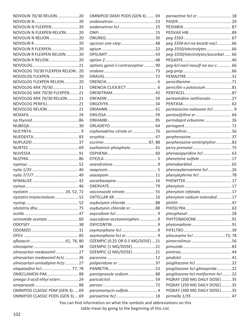| NOVOLIN 70/30 RELION 20                                 |
|---------------------------------------------------------|
|                                                         |
| NOVOLIN N FLEXPEN 20                                    |
| NOVOLIN N FLEXPEN RELION20                              |
| NOVOLIN N RELION 20                                     |
|                                                         |
| NOVOLIN R FLEXPEN 20                                    |
| NOVOLIN R FLEXPEN RELION 20                             |
| NOVOLIN R RELION  20                                    |
|                                                         |
| NOVOLOG 70/30 FLEXPEN RELION20                          |
| NOVOLOG FLEXPEN  20                                     |
| NOVOLOG FLEXPEN RELION  20                              |
| NOVOLOG MIX 70/30 21                                    |
| NOVOLOG MIX 70/30 FLEXPEN21                             |
| NOVOLOG MIX 70/30 RELION21                              |
| NOVOLOG PENFILL21                                       |
| NOVOLOG RELION 21                                       |
|                                                         |
|                                                         |
|                                                         |
|                                                         |
|                                                         |
|                                                         |
|                                                         |
|                                                         |
|                                                         |
|                                                         |
|                                                         |
|                                                         |
|                                                         |
|                                                         |
| nystatin  24, 52, 72                                    |
| nystatin-triamcinolone52                                |
|                                                         |
|                                                         |
|                                                         |
|                                                         |
|                                                         |
|                                                         |
|                                                         |
|                                                         |
| ofloxacin61, 78, 80                                     |
| olmesartan medoxomil 27                                 |
| olmesartan medoxomil-hctz 26                            |
|                                                         |
| olmesartan-amlodipine-hctz27<br>olopatadine hcl  77, 78 |
|                                                         |
| OMECLAMOX-PAK 88                                        |
| omega-3-acid ethyl esters24                             |
|                                                         |
| OMNIPOD CLASSIC PDM (GEN 3)69                           |
| OMNIPOD CLASSIC PODS (GEN 3)69                          |

| OMNIPOD DASH PODS (GEN 4) 69      |  |
|-----------------------------------|--|
|                                   |  |
|                                   |  |
|                                   |  |
|                                   |  |
| opcicon one-step  48              |  |
|                                   |  |
|                                   |  |
|                                   |  |
| options gynol ii contraceptive 90 |  |
|                                   |  |
|                                   |  |
|                                   |  |
|                                   |  |
|                                   |  |
|                                   |  |
|                                   |  |
|                                   |  |
|                                   |  |
|                                   |  |
|                                   |  |
|                                   |  |
| orphenadrine citrate er 76        |  |
|                                   |  |
|                                   |  |
| oseltamivir phosphate 41          |  |
|                                   |  |
|                                   |  |
|                                   |  |
|                                   |  |
|                                   |  |
| oxcarbazepine  16                 |  |
|                                   |  |
| oxiconazole nitrate 55            |  |
|                                   |  |
| oxybutynin chloride88             |  |
| oxybutynin chloride er 88         |  |
|                                   |  |
| oxycodone-acetaminophen9          |  |
|                                   |  |
|                                   |  |
|                                   |  |
|                                   |  |
| OZEMPIC (0.25 OR 0.5 MG/DOSE) 21  |  |
| OZEMPIC (1 MG/DOSE)21             |  |
| OZEMPIC (2 MG/DOSE)21             |  |
|                                   |  |
|                                   |  |
|                                   |  |
| pantoprazole sodium 88            |  |
|                                   |  |
|                                   |  |
| paromomycin sulfate 4             |  |

| paroxetine hcl er 18                                               |  |
|--------------------------------------------------------------------|--|
|                                                                    |  |
|                                                                    |  |
|                                                                    |  |
|                                                                    |  |
| peg 3350-kcl-na bicarb-nacl66                                      |  |
| peg-3350/electrolytes66                                            |  |
| peg-3350/electrolytes/ascorbat  66                                 |  |
|                                                                    |  |
| peg-kcl-nacl-nasulf-na asc-c  66                                   |  |
|                                                                    |  |
|                                                                    |  |
|                                                                    |  |
| penicillin v potassium81                                           |  |
|                                                                    |  |
| pentamidine isethionate 27                                         |  |
|                                                                    |  |
| pentazocine-naloxone hcl 9                                         |  |
| pentoxifylline er  64                                              |  |
| perindopril erbumine  26                                           |  |
|                                                                    |  |
|                                                                    |  |
|                                                                    |  |
| perphenazine-amitriptyline83                                       |  |
|                                                                    |  |
| phenazopyridine hcl  63                                            |  |
| phenelzine sulfate  17                                             |  |
|                                                                    |  |
| phenoxybenzamine hcl 26                                            |  |
|                                                                    |  |
|                                                                    |  |
|                                                                    |  |
| phenytoin infatabs 17                                              |  |
| phenytoin sodium extended 17                                       |  |
|                                                                    |  |
|                                                                    |  |
|                                                                    |  |
| PHYTONADIONE91                                                     |  |
|                                                                    |  |
|                                                                    |  |
| pilocarpine hcl73, 78                                              |  |
|                                                                    |  |
|                                                                    |  |
|                                                                    |  |
|                                                                    |  |
|                                                                    |  |
| pioglitazone hcl-glimepiride22                                     |  |
| pioglitazone hcl-metformin hcl  22<br>PIQRAY (200 MG DAILY DOSE)35 |  |
| PIQRAY (250 MG DAILY DOSE)35                                       |  |
| PIQRAY (300 MG DAILY DOSE)35                                       |  |
|                                                                    |  |
|                                                                    |  |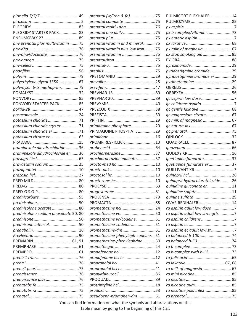|                                      |                                                                        | PULMICORT FLEXHALER14           |  |
|--------------------------------------|------------------------------------------------------------------------|---------------------------------|--|
|                                      | prenatal complete75                                                    |                                 |  |
|                                      | prenatal multi +dha  76                                                |                                 |  |
| PLEGRIDY STARTER PACK83              |                                                                        | px b complex/vitamin c73        |  |
| PNEUMOVAX 23 89                      |                                                                        |                                 |  |
| pnv prenatal plus multivitamin  75   | prenatal vitamin and mineral 75                                        |                                 |  |
|                                      | prenatal vitamin plus low iron  75                                     | px milk of magnesia 67          |  |
|                                      |                                                                        | px stop smoking aid 85          |  |
|                                      |                                                                        |                                 |  |
|                                      |                                                                        |                                 |  |
|                                      |                                                                        | pyridostigmine bromide29        |  |
|                                      |                                                                        | pyridostigmine bromide er29     |  |
| polyethylene glycol 3350 67          |                                                                        | pyrimethamine29                 |  |
| polymyxin b-trimethoprim79           |                                                                        |                                 |  |
|                                      |                                                                        |                                 |  |
|                                      |                                                                        |                                 |  |
| PONVORY STARTER PACK 85              |                                                                        |                                 |  |
|                                      |                                                                        |                                 |  |
|                                      |                                                                        | qc magnesium citrate  67        |  |
| potassium chloride71                 |                                                                        | qc milk of magnesia 67          |  |
| potassium chloride crys er  71       | primaquine phosphate29                                                 |                                 |  |
| potassium chloride er 71             | PRIMAQUINE PHOSPHATE29                                                 |                                 |  |
|                                      |                                                                        |                                 |  |
|                                      | PROAIR RESPICLICK 13                                                   |                                 |  |
| pramipexole dihydrochloride 36       |                                                                        |                                 |  |
| pramipexole dihydrochloride er 36    | prochlorperazine37                                                     |                                 |  |
|                                      | prochlorperazine maleate37                                             | quetiapine fumarate  37         |  |
| pravastatin sodium 25                |                                                                        |                                 |  |
|                                      |                                                                        | quetiapine fumarate er 37       |  |
|                                      |                                                                        |                                 |  |
|                                      |                                                                        | quinapril-hydrochlorothiazide26 |  |
|                                      |                                                                        | quinidine gluconate er  11      |  |
|                                      |                                                                        | quinidine sulfate 11            |  |
|                                      |                                                                        |                                 |  |
|                                      |                                                                        | <b>QVAR REDIHALER14</b>         |  |
| prednisolone acetate 80              | promethazine hcl  24                                                   | ra aspirin adult low dose 7     |  |
|                                      |                                                                        |                                 |  |
| prednisolone sodium phosphate 50, 80 | promethazine vc50                                                      | ra aspirin adult low strength7  |  |
|                                      | promethazine vc/codeine 51                                             |                                 |  |
| prednisone intensol50                | promethazine-codeine 51<br>promethazine-dm  51                         |                                 |  |
|                                      | promethazine-phenyleph-codeine 51                                      | ra aspirin ec adult low st7     |  |
|                                      |                                                                        |                                 |  |
|                                      | promethazine-phenylephrine50                                           |                                 |  |
|                                      | propafenone hcl  12                                                    |                                 |  |
|                                      | propafenone hcl er12                                                   |                                 |  |
|                                      |                                                                        |                                 |  |
|                                      |                                                                        |                                 |  |
|                                      |                                                                        | ra milk of magnesia 67          |  |
|                                      |                                                                        |                                 |  |
|                                      |                                                                        |                                 |  |
|                                      |                                                                        |                                 |  |
|                                      |                                                                        | ra nicotine polacrilex85        |  |
|                                      | pseudoeph-bromphen-dm  51                                              |                                 |  |
|                                      | You can find information on what the symbols and abbreviations on this |                                 |  |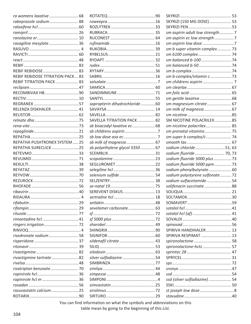| rabeprazole sodium 88                   |
|-----------------------------------------|
|                                         |
|                                         |
|                                         |
| rasagiline mesylate36                   |
|                                         |
|                                         |
|                                         |
|                                         |
|                                         |
| <b>REBIF REBIDOSE TITRATION PACK 83</b> |
| <b>REBIF TITRATION PACK 83</b>          |
|                                         |
| RECOMBIVAX HB90                         |
|                                         |
|                                         |
| RELENZA DISKHALER 41                    |
|                                         |
|                                         |
|                                         |
|                                         |
|                                         |
| REPATHA PUSHTRONEX SYSTEM 25            |
| REPATHA SURECLICK25                     |
|                                         |
|                                         |
|                                         |
|                                         |
|                                         |
|                                         |
|                                         |
|                                         |
|                                         |
| RIDAIIRA 4                              |
|                                         |
|                                         |
|                                         |
|                                         |
|                                         |
|                                         |
| risedronate sodium 58                   |
|                                         |
|                                         |
|                                         |
| rivastigmine tartrate82                 |
|                                         |
| rizatriptan benzoate 70                 |
|                                         |
| ropinirole hcl er36                     |
|                                         |
| rosuvastatin calcium25                  |
|                                         |

| sapropterin dihydrochloride60 |  |
|-------------------------------|--|
|                               |  |
|                               |  |
| SAVELLA TITRATION PACK 82     |  |
| sb bisacodyl laxative ec68    |  |
|                               |  |
|                               |  |
| sb milk of magnesia 67        |  |
| sb polyethylene glycol 335067 |  |
|                               |  |
|                               |  |
|                               |  |
|                               |  |
| selenium sulfide  54          |  |
|                               |  |
|                               |  |
|                               |  |
| SEREVENT DISKUS 13            |  |
|                               |  |
|                               |  |
| sevelamer carbonate 63        |  |
|                               |  |
|                               |  |
|                               |  |
|                               |  |
|                               |  |
| sildenafil citrate  43        |  |
|                               |  |
|                               |  |
| silver sulfadiazine 54        |  |
|                               |  |
|                               |  |
|                               |  |
|                               |  |
|                               |  |
|                               |  |

| SKYRIZI (150 MG DOSE) 53         |  |
|----------------------------------|--|
|                                  |  |
|                                  |  |
| sm aspirin adult low strength  7 |  |
| sm aspirin ec low strength7      |  |
| sm aspirin low dose 7            |  |
| sm b super vitamin complex 73    |  |
|                                  |  |
| sm balanced b-100 74             |  |
|                                  |  |
|                                  |  |
| sm b-complex/vitamin c73         |  |
|                                  |  |
|                                  |  |
|                                  |  |
|                                  |  |
| sm magnesium citrate  67         |  |
| sm milk of magnesia 67           |  |
|                                  |  |
| SM NICOTINE POLACRILEX85         |  |
| sm nicotine polacrilex 85        |  |
|                                  |  |
| sm prenatal vitamins 75          |  |
| sm super b complex/c  74         |  |
|                                  |  |
| sodium chloride51, 63            |  |
| sodium fluoride 70, 73           |  |
|                                  |  |
| sodium fluoride 5000 plus 73     |  |
| sodium fluoride 5000 ppm  73     |  |
| sodium phenylbutyrate 60         |  |
| sodium polystyrene sulfonate  72 |  |
| sodium sulfacetamide54           |  |
| solifenacin succinate  88        |  |
|                                  |  |
|                                  |  |
|                                  |  |
|                                  |  |
|                                  |  |
|                                  |  |
|                                  |  |
|                                  |  |
| SPIRIVA HANDIHALER 13            |  |
| SPIRIVA RESPIMAT 13              |  |
|                                  |  |
| spironolactone-hctz 57           |  |
|                                  |  |
|                                  |  |
|                                  |  |
|                                  |  |
|                                  |  |
| ssd (silver sulfadiazine)  54    |  |
|                                  |  |
|                                  |  |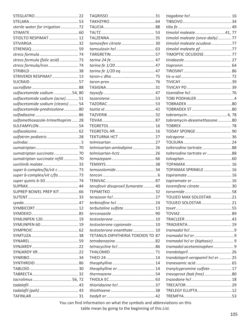| sterile water for irrigation72    |
|-----------------------------------|
|                                   |
| STIOLTO RESPIMAT 12               |
|                                   |
|                                   |
|                                   |
| stress formula (folic acid)73     |
| stress formula/iron  74           |
|                                   |
| STRIVERDI RESPIMAT 13             |
|                                   |
|                                   |
|                                   |
| sulfacetamide sodium54, 80        |
| sulfacetamide sodium (acne)51     |
| sulfacetamide sodium (cleans) 54  |
| sulfacetamide-prednisolone80      |
|                                   |
| sulfamethoxazole-trimethoprim  28 |
|                                   |
|                                   |
| sulfatrim pediatric28             |
|                                   |
|                                   |
| sumatriptan succinate  70         |
| sumatriptan succinate refill 70   |
| sunitinib malate  33              |
| super b complex/fa/vit c  73      |
| super b-complex/vit c/fa 73       |
| super quints b-50 74              |
|                                   |
| SUPREP BOWEL PREP KIT 66          |
| <b>SLITENT</b>                    |
|                                   |
|                                   |
|                                   |
|                                   |
| SYMLINPEN 120 19                  |
| SYMLINPEN 60 19                   |
|                                   |
|                                   |
|                                   |
|                                   |
|                                   |
|                                   |
|                                   |
|                                   |
|                                   |
| tacrolimus 56, 72                 |
|                                   |
|                                   |
|                                   |

| tamoxifen citrate 30                    |  |
|-----------------------------------------|--|
|                                         |  |
|                                         |  |
|                                         |  |
|                                         |  |
|                                         |  |
|                                         |  |
|                                         |  |
|                                         |  |
|                                         |  |
|                                         |  |
|                                         |  |
|                                         |  |
|                                         |  |
|                                         |  |
|                                         |  |
|                                         |  |
|                                         |  |
| TEKTURNA HCT 27                         |  |
|                                         |  |
| telmisartan-amlodipine 26               |  |
| telmisartan-hctz 26                     |  |
|                                         |  |
|                                         |  |
|                                         |  |
|                                         |  |
|                                         |  |
| tenofovir disoproxil fumarate  40       |  |
|                                         |  |
|                                         |  |
|                                         |  |
| terbutaline sulfate 13                  |  |
|                                         |  |
|                                         |  |
| testosterone cypionate 10               |  |
| testosterone enanthate 10               |  |
| <b>TETANUS-DIPHTHERIA TOXOIDS TD 87</b> |  |
|                                         |  |
|                                         |  |
|                                         |  |
|                                         |  |
|                                         |  |
| theophylline er 14                      |  |
|                                         |  |
|                                         |  |
|                                         |  |
|                                         |  |
|                                         |  |
|                                         |  |

| timolol maleate41,77              |  |
|-----------------------------------|--|
| timolol maleate (once-daily)77    |  |
| timolol maleate ocudose 77        |  |
| timolol maleate pf77              |  |
| TIMOPTIC OCUDOSE  77              |  |
|                                   |  |
|                                   |  |
|                                   |  |
|                                   |  |
|                                   |  |
|                                   |  |
|                                   |  |
| TOBI PODHALER4                    |  |
|                                   |  |
|                                   |  |
|                                   |  |
| tobramycin-dexamethasone80        |  |
|                                   |  |
|                                   |  |
|                                   |  |
|                                   |  |
| tolterodine tartrate88            |  |
| tolterodine tartrate er88         |  |
|                                   |  |
|                                   |  |
| TOPAMAX SPRINKLE 16               |  |
|                                   |  |
|                                   |  |
| toremifene citrate30              |  |
|                                   |  |
| TOUJEO MAX SOLOSTAR21             |  |
| TOUJEO SOLOSTAR 21                |  |
|                                   |  |
|                                   |  |
|                                   |  |
|                                   |  |
|                                   |  |
|                                   |  |
| tramadol hcl er (biphasic) 9      |  |
| tramadol-acetaminophen9           |  |
|                                   |  |
| trandolapril-verapamil hcl er  25 |  |
| tranexamic acid 65                |  |
| tranylcypromine sulfate17         |  |
| travoprost (bak free)80           |  |
|                                   |  |
|                                   |  |
| TRELEGY ELLIPTA12                 |  |
|                                   |  |
|                                   |  |

You can find information on what the symbols and abbreviations on this table mean by going to the beginning of this *List*.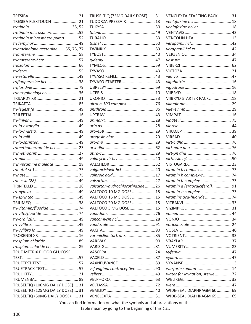| TRESIBA FLEXTOUCH21                 |
|-------------------------------------|
|                                     |
| tretinoin microsphere52             |
| tretinoin microsphere pump 52       |
|                                     |
| triamcinolone acetonide  55, 73, 77 |
|                                     |
| triamterene-hctz 57                 |
|                                     |
|                                     |
|                                     |
| trifluoperazine hcl  38             |
|                                     |
| trihexyphenidyl hcl 36              |
|                                     |
|                                     |
|                                     |
|                                     |
|                                     |
|                                     |
|                                     |
|                                     |
|                                     |
| trimethobenzamide hcl 23            |
|                                     |
|                                     |
| trimipramine maleate  18            |
|                                     |
|                                     |
|                                     |
|                                     |
|                                     |
|                                     |
|                                     |
| tri-vitamin/fluoride 74             |
|                                     |
|                                     |
|                                     |
|                                     |
|                                     |
| trospium chloride  89               |
| trospium chloride er 89             |
| TRUE METRIX BLOOD GLUCOSE           |
|                                     |
|                                     |
| TRUETRACK TEST 57                   |
|                                     |
|                                     |
| TRUSELTIQ (100MG DAILY DOSE) 31     |
|                                     |
| TRUSELTIQ (125MG DAILY DOSE) 31     |
| TRUSELTIQ (50MG DAILY DOSE)  31     |

| TRUSELTIQ (75MG DAILY DOSE) 31  |  |
|---------------------------------|--|
| TUDORZA PRESSAIR 13             |  |
|                                 |  |
|                                 |  |
|                                 |  |
|                                 |  |
|                                 |  |
|                                 |  |
|                                 |  |
|                                 |  |
|                                 |  |
|                                 |  |
|                                 |  |
| TYVASO STARTER 43               |  |
|                                 |  |
|                                 |  |
|                                 |  |
|                                 |  |
|                                 |  |
|                                 |  |
|                                 |  |
|                                 |  |
|                                 |  |
|                                 |  |
|                                 |  |
|                                 |  |
|                                 |  |
|                                 |  |
|                                 |  |
|                                 |  |
|                                 |  |
|                                 |  |
| valsartan-hydrochlorothiazide26 |  |
| VALTOCO 10 MG DOSE  15          |  |
| VALTOCO 15 MG DOSE  15          |  |
|                                 |  |
| VALTOCO 20 MG DOSE  15          |  |
| VALTOCO 5 MG DOSE  15           |  |
|                                 |  |
|                                 |  |
|                                 |  |
|                                 |  |
| varenicline tartrate 85         |  |
|                                 |  |
|                                 |  |
|                                 |  |
|                                 |  |
| VAXNEUVANCE 89                  |  |
| vcf vaginal contraceptive 90    |  |
|                                 |  |
|                                 |  |
|                                 |  |
|                                 |  |
|                                 |  |
|                                 |  |

| VENCLEXTA STARTING PACK31       |  |
|---------------------------------|--|
| venlafaxine hcl  18             |  |
| venlafaxine hcl er  18          |  |
|                                 |  |
| <b>VENTOLIN HFA 13</b>          |  |
|                                 |  |
| verapamil hcl er  42            |  |
|                                 |  |
|                                 |  |
|                                 |  |
|                                 |  |
|                                 |  |
|                                 |  |
|                                 |  |
|                                 |  |
| VIIBRYD STARTER PACK18          |  |
|                                 |  |
|                                 |  |
|                                 |  |
|                                 |  |
|                                 |  |
|                                 |  |
|                                 |  |
|                                 |  |
|                                 |  |
|                                 |  |
|                                 |  |
|                                 |  |
| vitamin b complex73             |  |
|                                 |  |
| vitamin b-complex 73            |  |
| vitamin d (ergocalciferol)91    |  |
| vitamin-b complex 73            |  |
| vitamins acd-fluoride  74       |  |
|                                 |  |
|                                 |  |
|                                 |  |
|                                 |  |
|                                 |  |
|                                 |  |
|                                 |  |
|                                 |  |
|                                 |  |
|                                 |  |
|                                 |  |
|                                 |  |
| warfarin sodium14               |  |
| water for irrigation, sterile72 |  |
|                                 |  |
|                                 |  |
| WIDE-SEAL DIAPHRAGM 60 69       |  |
| WIDE-SEAL DIAPHRAGM 65  69      |  |

You can find information on what the symbols and abbreviations on this table mean by going to the beginning of this List.